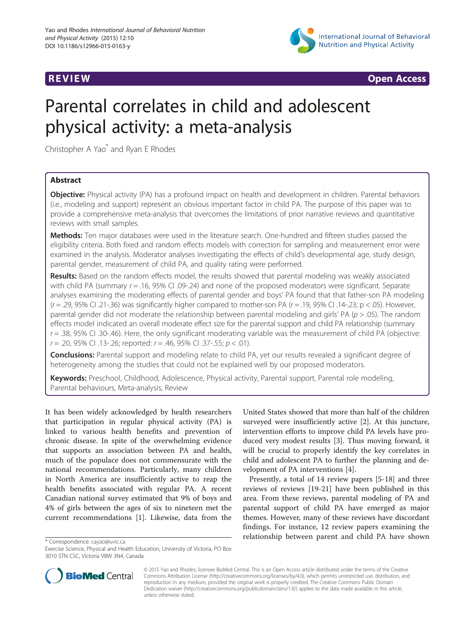

**REVIEW CONSTRUCTION CONSTRUCTION CONSTRUCTS** 

# Parental correlates in child and adolescent physical activity: a meta-analysis

Christopher A Yao\* and Ryan E Rhodes

# Abstract

**Objective:** Physical activity (PA) has a profound impact on health and development in children. Parental behaviors (i.e., modeling and support) represent an obvious important factor in child PA. The purpose of this paper was to provide a comprehensive meta-analysis that overcomes the limitations of prior narrative reviews and quantitative reviews with small samples.

Methods: Ten major databases were used in the literature search. One-hundred and fifteen studies passed the eligibility criteria. Both fixed and random effects models with correction for sampling and measurement error were examined in the analysis. Moderator analyses investigating the effects of child's developmental age, study design, parental gender, measurement of child PA, and quality rating were performed.

Results: Based on the random effects model, the results showed that parental modeling was weakly associated with child PA (summary  $r = .16$ , 95% CI .09-.24) and none of the proposed moderators were significant. Separate analyses examining the moderating effects of parental gender and boys' PA found that that father-son PA modeling ( $r = .29$ , 95% CI .21-.36) was significantly higher compared to mother-son PA ( $r = .19$ , 95% CI .14-.23; p < .05). However, parental gender did not moderate the relationship between parental modeling and girls' PA ( $p > .05$ ). The random effects model indicated an overall moderate effect size for the parental support and child PA relationship (summary  $r = 0.38$ , 95% CI .30-.46). Here, the only significant moderating variable was the measurement of child PA (objective:  $r = 0.20$ , 95% CI .13-.26; reported:  $r = 0.46$ , 95% CI .37-.55;  $p < 0.01$ ).

Conclusions: Parental support and modeling relate to child PA, yet our results revealed a significant degree of heterogeneity among the studies that could not be explained well by our proposed moderators.

Keywords: Preschool, Childhood, Adolescence, Physical activity, Parental support, Parental role modeling, Parental behaviours, Meta-analysis, Review

It has been widely acknowledged by health researchers that participation in regular physical activity (PA) is linked to various health benefits and prevention of chronic disease. In spite of the overwhelming evidence that supports an association between PA and health, much of the populace does not commensurate with the national recommendations. Particularly, many children in North America are insufficiently active to reap the health benefits associated with regular PA. A recent Canadian national survey estimated that 9% of boys and 4% of girls between the ages of six to nineteen met the current recommendations [\[1](#page-34-0)]. Likewise, data from the

United States showed that more than half of the children surveyed were insufficiently active [[2\]](#page-34-0). At this juncture, intervention efforts to improve child PA levels have produced very modest results [[3\]](#page-34-0). Thus moving forward, it will be crucial to properly identify the key correlates in child and adolescent PA to further the planning and development of PA interventions [\[4](#page-34-0)].

Presently, a total of 14 review papers [\[5-18](#page-34-0)] and three reviews of reviews [[19-21\]](#page-34-0) have been published in this area. From these reviews, parental modeling of PA and parental support of child PA have emerged as major themes. However, many of these reviews have discordant findings. For instance, 12 review papers examining the \* Correspondence: [cayao@uvic.ca](mailto:cayao@uvic.ca) **https://www.fragonaryle.com/correspondence: cayao@uvic.ca html** \* Correspondence: cayao@uvic.ca

Exercise Science, Physical and Health Education, University of Victoria, PO Box 3010 STN CSC, Victoria V8W 3N4, Canada



© 2015 Yao and Rhodes; licensee BioMed Central. This is an Open Access article distributed under the terms of the Creative Commons Attribution License [\(http://creativecommons.org/licenses/by/4.0\)](http://creativecommons.org/licenses/by/4.0), which permits unrestricted use, distribution, and reproduction in any medium, provided the original work is properly credited. The Creative Commons Public Domain Dedication waiver [\(http://creativecommons.org/publicdomain/zero/1.0/](http://creativecommons.org/publicdomain/zero/1.0/)) applies to the data made available in this article, unless otherwise stated.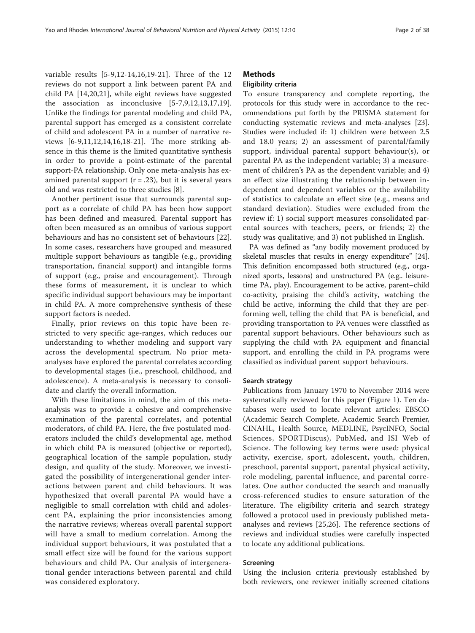variable results [\[5](#page-34-0)-[9,12](#page-34-0)-[14,16,19](#page-34-0)-[21\]](#page-34-0). Three of the 12 reviews do not support a link between parent PA and child PA [[14,20,21](#page-34-0)], while eight reviews have suggested the association as inconclusive [\[5](#page-34-0)-[7,9,12](#page-34-0),[13,17,19](#page-34-0)]. Unlike the findings for parental modeling and child PA, parental support has emerged as a consistent correlate of child and adolescent PA in a number of narrative reviews [[6-9](#page-34-0),[11,12,14,16](#page-34-0),[18-21](#page-34-0)]. The more striking absence in this theme is the limited quantitative synthesis in order to provide a point-estimate of the parental support-PA relationship. Only one meta-analysis has examined parental support  $(r = .23)$ , but it is several years old and was restricted to three studies [\[8](#page-34-0)].

Another pertinent issue that surrounds parental support as a correlate of child PA has been how support has been defined and measured. Parental support has often been measured as an omnibus of various support behaviours and has no consistent set of behaviours [[22](#page-34-0)]. In some cases, researchers have grouped and measured multiple support behaviours as tangible (e.g., providing transportation, financial support) and intangible forms of support (e.g., praise and encouragement). Through these forms of measurement, it is unclear to which specific individual support behaviours may be important in child PA. A more comprehensive synthesis of these support factors is needed.

Finally, prior reviews on this topic have been restricted to very specific age-ranges, which reduces our understanding to whether modeling and support vary across the developmental spectrum. No prior metaanalyses have explored the parental correlates according to developmental stages (i.e., preschool, childhood, and adolescence). A meta-analysis is necessary to consolidate and clarify the overall information.

With these limitations in mind, the aim of this metaanalysis was to provide a cohesive and comprehensive examination of the parental correlates, and potential moderators, of child PA. Here, the five postulated moderators included the child's developmental age, method in which child PA is measured (objective or reported), geographical location of the sample population, study design, and quality of the study. Moreover, we investigated the possibility of intergenerational gender interactions between parent and child behaviours. It was hypothesized that overall parental PA would have a negligible to small correlation with child and adolescent PA, explaining the prior inconsistencies among the narrative reviews; whereas overall parental support will have a small to medium correlation. Among the individual support behaviours, it was postulated that a small effect size will be found for the various support behaviours and child PA. Our analysis of intergenerational gender interactions between parental and child was considered exploratory.

#### **Methods**

# Eligibility criteria

To ensure transparency and complete reporting, the protocols for this study were in accordance to the recommendations put forth by the PRISMA statement for conducting systematic reviews and meta-analyses [\[23](#page-34-0)]. Studies were included if: 1) children were between 2.5 and 18.0 years; 2) an assessment of parental/family support, individual parental support behaviour(s), or parental PA as the independent variable; 3) a measurement of children's PA as the dependent variable; and 4) an effect size illustrating the relationship between independent and dependent variables or the availability of statistics to calculate an effect size (e.g., means and standard deviation). Studies were excluded from the review if: 1) social support measures consolidated parental sources with teachers, peers, or friends; 2) the study was qualitative; and 3) not published in English.

PA was defined as "any bodily movement produced by skeletal muscles that results in energy expenditure" [[24](#page-34-0)]. This definition encompassed both structured (e.g., organized sports, lessons) and unstructured PA (e.g.. leisuretime PA, play). Encouragement to be active, parent–child co-activity, praising the child's activity, watching the child be active, informing the child that they are performing well, telling the child that PA is beneficial, and providing transportation to PA venues were classified as parental support behaviours. Other behaviours such as supplying the child with PA equipment and financial support, and enrolling the child in PA programs were classified as individual parent support behaviours.

#### Search strategy

Publications from January 1970 to November 2014 were systematically reviewed for this paper (Figure [1\)](#page-2-0). Ten databases were used to locate relevant articles: EBSCO (Academic Search Complete, Academic Search Premier, CINAHL, Health Source, MEDLINE, PsycINFO, Social Sciences, SPORTDiscus), PubMed, and ISI Web of Science. The following key terms were used: physical activity, exercise, sport, adolescent, youth, children, preschool, parental support, parental physical activity, role modeling, parental influence, and parental correlates. One author conducted the search and manually cross-referenced studies to ensure saturation of the literature. The eligibility criteria and search strategy followed a protocol used in previously published metaanalyses and reviews [\[25](#page-34-0),[26\]](#page-34-0). The reference sections of reviews and individual studies were carefully inspected to locate any additional publications.

#### Screening

Using the inclusion criteria previously established by both reviewers, one reviewer initially screened citations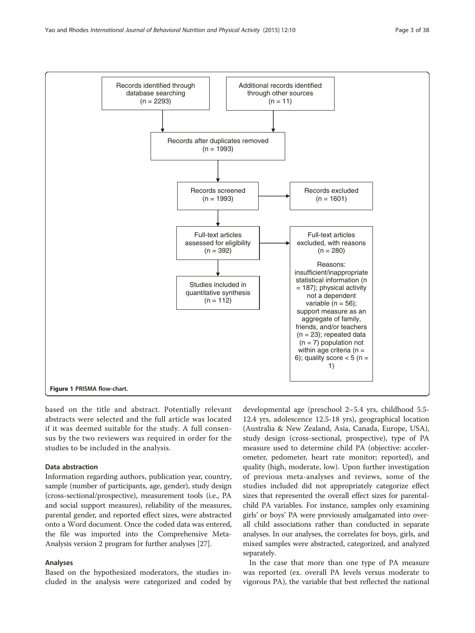<span id="page-2-0"></span>

based on the title and abstract. Potentially relevant abstracts were selected and the full article was located if it was deemed suitable for the study. A full consensus by the two reviewers was required in order for the studies to be included in the analysis.

#### Data abstraction

Information regarding authors, publication year, country, sample (number of participants, age, gender), study design (cross-sectional/prospective), measurement tools (i.e., PA and social support measures), reliability of the measures, parental gender, and reported effect sizes, were abstracted onto a Word document. Once the coded data was entered, the file was imported into the Comprehensive Meta-Analysis version 2 program for further analyses [[27](#page-34-0)].

#### Analyses

Based on the hypothesized moderators, the studies included in the analysis were categorized and coded by

developmental age (preschool 2–5.4 yrs, childhood 5.5- 12.4 yrs, adolescence 12.5-18 yrs), geographical location (Australia & New Zealand, Asia, Canada, Europe, USA), study design (cross-sectional, prospective), type of PA measure used to determine child PA (objective: accelerometer, pedometer, heart rate monitor; reported), and quality (high, moderate, low). Upon further investigation of previous meta-analyses and reviews, some of the studies included did not appropriately categorize effect sizes that represented the overall effect sizes for parentalchild PA variables. For instance, samples only examining girls' or boys' PA were previously amalgamated into overall child associations rather than conducted in separate analyses. In our analyses, the correlates for boys, girls, and mixed samples were abstracted, categorized, and analyzed separately.

In the case that more than one type of PA measure was reported (ex. overall PA levels versus moderate to vigorous PA), the variable that best reflected the national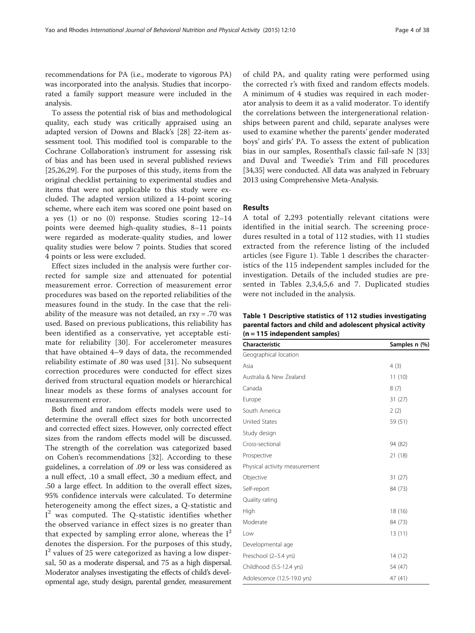recommendations for PA (i.e., moderate to vigorous PA) was incorporated into the analysis. Studies that incorporated a family support measure were included in the analysis.

To assess the potential risk of bias and methodological quality, each study was critically appraised using an adapted version of Downs and Black's [\[28](#page-34-0)] 22-item assessment tool. This modified tool is comparable to the Cochrane Collaboration's instrument for assessing risk of bias and has been used in several published reviews [[25,26,29\]](#page-34-0). For the purposes of this study, items from the original checklist pertaining to experimental studies and items that were not applicable to this study were excluded. The adapted version utilized a 14-point scoring scheme, where each item was scored one point based on a yes (1) or no (0) response. Studies scoring 12–14 points were deemed high-quality studies, 8–11 points were regarded as moderate-quality studies, and lower quality studies were below 7 points. Studies that scored 4 points or less were excluded.

Effect sizes included in the analysis were further corrected for sample size and attenuated for potential measurement error. Correction of measurement error procedures was based on the reported reliabilities of the measures found in the study. In the case that the reliability of the measure was not detailed, an rxy = .70 was used. Based on previous publications, this reliability has been identified as a conservative, yet acceptable estimate for reliability [[30\]](#page-34-0). For accelerometer measures that have obtained 4–9 days of data, the recommended reliability estimate of .80 was used [[31\]](#page-34-0). No subsequent correction procedures were conducted for effect sizes derived from structural equation models or hierarchical linear models as these forms of analyses account for measurement error.

Both fixed and random effects models were used to determine the overall effect sizes for both uncorrected and corrected effect sizes. However, only corrected effect sizes from the random effects model will be discussed. The strength of the correlation was categorized based on Cohen's recommendations [[32\]](#page-34-0). According to these guidelines, a correlation of .09 or less was considered as a null effect, .10 a small effect, .30 a medium effect, and .50 a large effect. In addition to the overall effect sizes, 95% confidence intervals were calculated. To determine heterogeneity among the effect sizes, a Q-statistic and I<sup>2</sup> was computed. The Q-statistic identifies whether the observed variance in effect sizes is no greater than that expected by sampling error alone, whereas the  $I^2$ denotes the dispersion. For the purposes of this study,  $I<sup>2</sup>$  values of 25 were categorized as having a low dispersal, 50 as a moderate dispersal, and 75 as a high dispersal. Moderator analyses investigating the effects of child's developmental age, study design, parental gender, measurement

of child PA, and quality rating were performed using the corrected r's with fixed and random effects models. A minimum of 4 studies was required in each moderator analysis to deem it as a valid moderator. To identify the correlations between the intergenerational relationships between parent and child, separate analyses were used to examine whether the parents' gender moderated boys' and girls' PA. To assess the extent of publication bias in our samples, Rosenthal's classic fail-safe N [\[33](#page-34-0)] and Duval and Tweedie's Trim and Fill procedures [[34,35](#page-34-0)] were conducted. All data was analyzed in February 2013 using Comprehensive Meta-Analysis.

#### **Results**

A total of 2,293 potentially relevant citations were identified in the initial search. The screening procedures resulted in a total of 112 studies, with 11 studies extracted from the reference listing of the included articles (see Figure [1](#page-2-0)). Table 1 describes the characteristics of the 115 independent samples included for the investigation. Details of the included studies are presented in Tables [2,](#page-4-0)[3](#page-8-0),[4,](#page-13-0)[5](#page-18-0)[,6](#page-22-0) and [7.](#page-28-0) Duplicated studies were not included in the analysis.

Table 1 Descriptive statistics of 112 studies investigating parental factors and child and adolescent physical activity (n = 115 independent samples)

| <b>Characteristic</b>         | Samples n (%) |
|-------------------------------|---------------|
| Geographical location         |               |
| Asia                          | 4(3)          |
| Australia & New Zealand       | 11(10)        |
| Canada                        | 8(7)          |
| Europe                        | 31(27)        |
| South America                 | 2(2)          |
| <b>United States</b>          | 59 (51)       |
| Study design                  |               |
| Cross-sectional               | 94 (82)       |
| Prospective                   | 21 (18)       |
| Physical activity measurement |               |
| Objective                     | 31(27)        |
| Self-report                   | 84 (73)       |
| Quality rating                |               |
| High                          | 18 (16)       |
| Moderate                      | 84 (73)       |
| Low                           | 13(11)        |
| Developmental age             |               |
| Preschool (2-5.4 yrs)         | 14 (12)       |
| Childhood (5.5-12.4 yrs)      | 54 (47)       |
| Adolescence (12.5-19.0 yrs)   | 47 (41)       |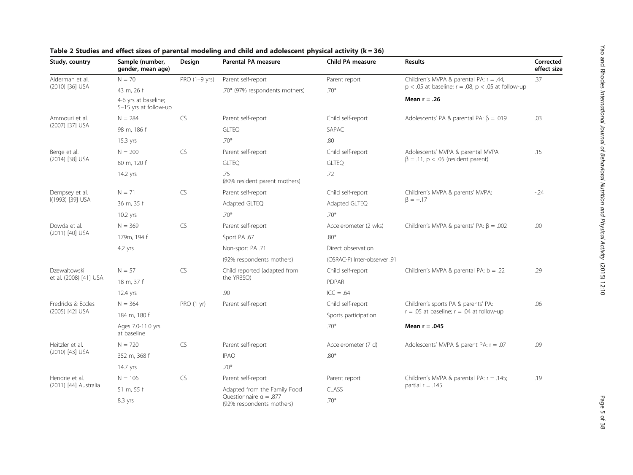| Study, country         | Sample (number,<br>gender, mean age)                | Design        | Parental PA measure                                        | Child PA measure             | <b>Results</b>                                            | Corrected<br>effect size |
|------------------------|-----------------------------------------------------|---------------|------------------------------------------------------------|------------------------------|-----------------------------------------------------------|--------------------------|
| Alderman et al.        | $N = 70$                                            | PRO (1-9 yrs) | Parent self-report                                         | Parent report                | Children's MVPA & parental PA: $r = .44$ ,                | 37                       |
| (2010) [36] USA        | 43 m, 26 f                                          |               | .70* (97% respondents mothers)                             | $.70*$                       | $p < .05$ at baseline; $r = .08$ , $p < .05$ at follow-up |                          |
|                        | 4-6 yrs at baseline;<br>5-15 yrs at follow-up       |               |                                                            |                              | Mean $r = .26$                                            |                          |
| Ammouri et al.         | $N = 284$                                           | <b>CS</b>     | Parent self-report                                         | Child self-report            | Adolescents' PA & parental PA: $\beta = .019$             | .03                      |
| (2007) [37] USA        | 98 m, 186 f                                         |               | <b>GLTEQ</b>                                               | SAPAC                        |                                                           |                          |
|                        | 15.3 yrs                                            |               | $.70*$                                                     | .80                          |                                                           |                          |
| Berge et al.           | $N = 200$                                           | <b>CS</b>     | Parent self-report                                         | Child self-report            | Adolescents' MVPA & parental MVPA                         | .15                      |
| (2014) [38] USA        | 80 m, 120 f                                         |               | <b>GLTEQ</b>                                               | <b>GLTEQ</b>                 | $\beta = .11$ , p < .05 (resident parent)                 |                          |
|                        | 14.2 yrs                                            |               | .75<br>(80% resident parent mothers)                       | .72                          |                                                           |                          |
| Dempsey et al.         | $N = 71$                                            | <b>CS</b>     | Parent self-report                                         | Child self-report            | Children's MVPA & parents' MVPA:<br>$\beta = -.17$        | $-24$                    |
| I(1993) [39] USA       | 36 m, 35 f                                          |               | Adapted GLTEQ                                              | Adapted GLTEQ                |                                                           |                          |
|                        | 10.2 yrs                                            |               | $.70*$                                                     | $.70*$                       |                                                           |                          |
| Dowda et al.           | $N = 369$                                           | <b>CS</b>     | Parent self-report                                         | Accelerometer (2 wks)        | Children's MVPA & parents' PA: $\beta = .002$             | .00                      |
| (2011) [40] USA        | 179m, 194 f                                         |               | Sport PA .67                                               | $.80*$                       |                                                           |                          |
|                        | 4.2 yrs                                             |               | Non-sport PA .71                                           | Direct observation           |                                                           |                          |
|                        |                                                     |               | (92% respondents mothers)                                  | (OSRAC-P) Inter-observer .91 |                                                           |                          |
| Dzewaltowski           | $N = 57$                                            | <b>CS</b>     | Child reported (adapted from                               | Child self-report            | Children's MVPA & parental PA: $b = .22$                  | .29                      |
| et al. (2008) [41] USA | 18 m, 37 f                                          |               | the YRBSQ)                                                 | PDPAR                        |                                                           |                          |
|                        | 12.4 yrs                                            |               | .90                                                        | $ICC = .64$                  |                                                           |                          |
| Fredricks & Eccles     | $N = 364$                                           | PRO (1 yr)    | Parent self-report                                         | Child self-report            | Children's sports PA & parents' PA:                       | .06                      |
| (2005) [42] USA        | 184 m, 180 f                                        |               |                                                            | Sports participation         | $r = .05$ at baseline; $r = .04$ at follow-up             |                          |
|                        | Ages 7.0-11.0 yrs<br>at baseline                    |               |                                                            | $.70*$                       | Mean $r = .045$                                           |                          |
| Heitzler et al.        | $N = 720$                                           | <b>CS</b>     | Parent self-report                                         | Accelerometer (7 d)          | Adolescents' MVPA & parent PA: $r = .07$                  | .09                      |
| (2010) [43] USA        | 352 m, 368 f                                        |               | <b>IPAQ</b>                                                | $.80*$                       |                                                           |                          |
|                        | 14.7 yrs                                            |               | $.70*$                                                     |                              |                                                           |                          |
| Hendrie et al.         | $N = 106$                                           | <b>CS</b>     | Parent self-report                                         | Parent report                | Children's MVPA & parental PA: $r = .145$ ;               | .19                      |
| (2011) [44] Australia  | Adapted from the Family Food<br>CLASS<br>51 m, 55 f |               | partial $r = .145$                                         |                              |                                                           |                          |
|                        | 8.3 yrs                                             |               | Questionnaire $\alpha = .877$<br>(92% respondents mothers) | $.70*$                       |                                                           |                          |

# <span id="page-4-0"></span>Table 2 Studies and effect sizes of parental modeling and child and adolescent physical activity (k = 36)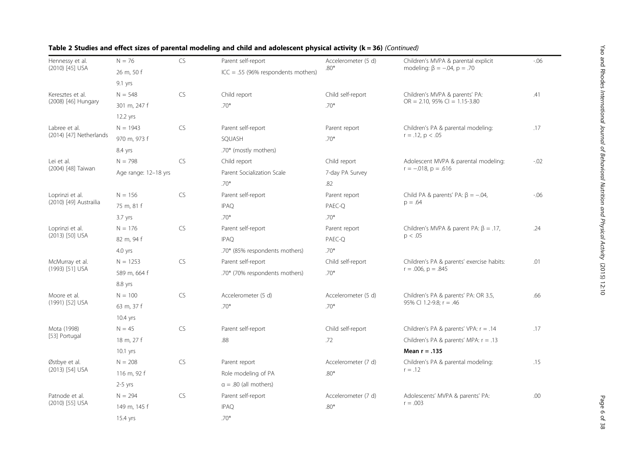| Hennessy et al.<br>(2010) [45] USA      | $N = 76$             | CS        | Parent self-report                    | Accelerometer (5 d)<br>$.80*$ | Children's MVPA & parental explicit<br>modeling: $\beta = -.04$ , $p = .70$ | $-06$   |
|-----------------------------------------|----------------------|-----------|---------------------------------------|-------------------------------|-----------------------------------------------------------------------------|---------|
|                                         | 26 m, 50 f           |           | $ICC = .55 (96% respondents mothers)$ |                               |                                                                             |         |
|                                         | 9.1 yrs              |           |                                       |                               |                                                                             |         |
| Keresztes et al.<br>(2008) [46] Hungary | $N = 548$            | <b>CS</b> | Child report                          | Child self-report             | Children's MVPA & parents' PA:<br>$OR = 2.10, 95\% CI = 1.15 - 3.80$        | .41     |
|                                         | 301 m, 247 f         |           | $.70*$                                | $.70*$                        |                                                                             |         |
|                                         | 12.2 yrs             |           |                                       |                               |                                                                             |         |
| Labree et al.                           | $N = 1943$           | <b>CS</b> | Parent self-report                    | Parent report                 | Children's PA & parental modeling:                                          | .17     |
| (2014) [47] Netherlands                 | 970 m, 973 f         |           | SOUASH                                | $.70*$                        | $r = .12, p < .05$                                                          |         |
|                                         | 8.4 yrs              |           | .70* (mostly mothers)                 |                               |                                                                             |         |
| Lei et al.                              | $N = 798$            | <b>CS</b> | Child report                          | Child report                  | Adolescent MVPA & parental modeling:                                        | $-0.02$ |
| (2004) [48] Taiwan                      | Age range: 12-18 yrs |           | Parent Socialization Scale            | 7-day PA Survey               | $r = -.018$ , $p = .616$                                                    |         |
|                                         |                      |           | $.70*$                                | .82                           |                                                                             |         |
| Loprinzi et al.                         | $N = 156$            | <b>CS</b> | Parent self-report                    | Parent report                 | Child PA & parents' PA: $\beta = -.04$ ,                                    | $-06$   |
| (2010) [49] Austrailia                  | 75 m, 81 f           |           | <b>IPAQ</b>                           | PAEC-Q                        | $p = .64$                                                                   |         |
|                                         | 3.7 yrs              |           | $.70*$                                | $.70*$                        |                                                                             |         |
| Loprinzi et al.                         | $N = 176$            | <b>CS</b> | Parent self-report                    | Parent report                 | Children's MVPA & parent PA: $\beta = .17$ ,                                | .24     |
| (2013) [50] USA                         | 82 m, 94 f           |           | <b>IPAQ</b>                           | PAEC-Q                        | p < .05                                                                     |         |
|                                         | $4.0$ yrs            |           | .70* (85% respondents mothers)        | $.70*$                        |                                                                             |         |
| McMurray et al.                         | $N = 1253$           | <b>CS</b> | Parent self-report                    | Child self-report             | Children's PA & parents' exercise habits:<br>$r = .006$ , $p = .845$        | .01     |
| (1993) [51] USA                         | 589 m, 664 f         |           | .70* (70% respondents mothers)        | $.70*$                        |                                                                             |         |
|                                         | 8.8 yrs              |           |                                       |                               |                                                                             |         |
| Moore et al.                            | $N = 100$            | CS.       | Accelerometer (5 d)                   | Accelerometer (5 d)           | Children's PA & parents' PA: OR 3.5,                                        | .66     |
| (1991) [52] USA                         | 63 m, 37 f           |           | $.70*$                                | $.70*$                        | 95% Cl 1.2-9.8; $r = .46$                                                   |         |
|                                         | 10.4 yrs             |           |                                       |                               |                                                                             |         |
| Mota (1998)                             | $N = 45$             | <b>CS</b> | Parent self-report                    | Child self-report             | Children's PA & parents' VPA: $r = .14$                                     | .17     |
| [53] Portugal                           | 18 m, 27 f           |           | .88                                   | .72                           | Children's PA & parents' MPA: $r = .13$                                     |         |
|                                         | $10.1$ yrs           |           |                                       |                               | Mean $r = .135$                                                             |         |
| Østbye et al.                           | $N = 208$            | <b>CS</b> | Parent report                         | Accelerometer (7 d)           | Children's PA & parental modeling:                                          | .15     |
| (2013) [54] USA                         | 116 m, 92 f          |           | Role modeling of PA                   | $.80*$                        | $r = .12$                                                                   |         |
|                                         | $2-5$ yrs            |           | $\alpha$ = .80 (all mothers)          |                               |                                                                             |         |
| Patnode et al.                          | $N = 294$            | <b>CS</b> | Parent self-report                    | Accelerometer (7 d)           | Adolescents' MVPA & parents' PA:                                            | .00     |
| (2010) [55] USA                         | 149 m, 145 f         |           | <b>IPAQ</b>                           | $.80*$                        | $r = .003$                                                                  |         |
|                                         | 15.4 yrs             |           | $.70*$                                |                               |                                                                             |         |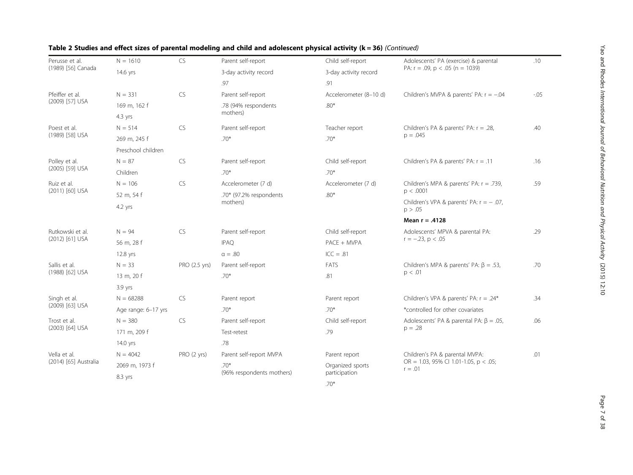| Perusse et al.        | $N = 1610$          | CS            | Parent self-report                  | Child self-report      | Adolescents' PA (exercise) & parental                  | .10     |
|-----------------------|---------------------|---------------|-------------------------------------|------------------------|--------------------------------------------------------|---------|
| (1989) [56] Canada    | 14.6 yrs            |               | 3-day activity record               | 3-day activity record  | PA: $r = .09$ , $p < .05$ (n = 1039)                   |         |
|                       |                     |               | .97                                 | .91                    |                                                        |         |
| Pfeiffer et al.       | $N = 331$           | CS            | Parent self-report                  | Accelerometer (8-10 d) | Children's MVPA & parents' PA: $r = -.04$              | $-0.05$ |
| (2009) [57] USA       | 169 m, 162 f        |               | .78 (94% respondents                | $.80*$                 |                                                        |         |
|                       | 4.3 yrs             |               | mothers)                            |                        |                                                        |         |
| Poest et al.          | $N = 514$           | <b>CS</b>     | Parent self-report                  | Teacher report         | Children's PA & parents' PA: $r = .28$ ,               | .40     |
| (1989) [58] USA       | 269 m, 245 f        |               | $.70*$                              | $.70*$                 | $p = .045$                                             |         |
|                       | Preschool children  |               |                                     |                        |                                                        |         |
| Polley et al.         | $N = 87$            | ${\sf CS}$    | Parent self-report                  | Child self-report      | Children's PA & parents' PA: $r = .11$                 | .16     |
| (2005) [59] USA       | Children            |               | $.70*$                              | $.70*$                 |                                                        |         |
| Ruiz et al.           | $N = 106$           | <b>CS</b>     | Accelerometer (7 d)                 | Accelerometer (7 d)    | Children's MPA & parents' PA: $r = .739$ ,             | .59     |
| (2011) [60] USA       | 52 m, 54 f          |               | .70* (97.2% respondents<br>mothers) | $.80*$                 | p < .0001                                              |         |
|                       | 4.2 yrs             |               |                                     |                        | Children's VPA & parents' PA: $r = -0.07$ ,<br>p > .05 |         |
|                       |                     |               |                                     |                        | Mean $r = .4128$                                       |         |
| Rutkowski et al.      | $N = 94$            | <b>CS</b>     | Parent self-report                  | Child self-report      | Adolescents' MPVA & parental PA:                       | .29     |
| (2012) [61] USA       | 56 m, 28 f          |               | <b>IPAQ</b>                         | PACE + MVPA            | $r = -.23$ , $p < .05$                                 |         |
|                       | 12.8 yrs            |               | $\alpha = .80$                      | $ICC = .81$            |                                                        |         |
| Sallis et al.         | $N = 33$            | PRO (2.5 yrs) | Parent self-report                  | FATS                   | Children's MPA & parents' PA: $\beta = .53$ ,          | .70     |
| (1988) [62] USA       | 13 m, 20 f          |               | $.70*$                              | .81                    | p < .01                                                |         |
|                       | 3.9 yrs             |               |                                     |                        |                                                        |         |
| Singh et al.          | $N = 68288$         | <b>CS</b>     | Parent report                       | Parent report          | Children's VPA & parents' PA: $r = .24*$               | .34     |
| (2009) [63] USA       | Age range: 6-17 yrs |               | $.70*$                              | $.70*$                 | *controlled for other covariates                       |         |
| Trost et al.          | $N = 380$           | <b>CS</b>     | Parent self-report                  | Child self-report      | Adolescents' PA & parental PA: $\beta = .05$ ,         | .06     |
| (2003) [64] USA       | 171 m, 209 f        |               | Test-retest                         | .79                    | $p = .28$                                              |         |
|                       | 14.0 yrs            |               | .78                                 |                        |                                                        |         |
| Vella et al.          | $N = 4042$          | PRO (2 yrs)   | Parent self-report MVPA             | Parent report          | Children's PA & parental MVPA:                         | .01     |
| (2014) [65] Australia | 2069 m, 1973 f      |               | $.70*$                              | Organized sports       | OR = 1.03, 95% CI 1.01-1.05, $p < .05$ ;<br>$r = .01$  |         |
|                       | 8.3 yrs             |               | (96% respondents mothers)           | participation          |                                                        |         |
|                       |                     |               |                                     | $.70*$                 |                                                        |         |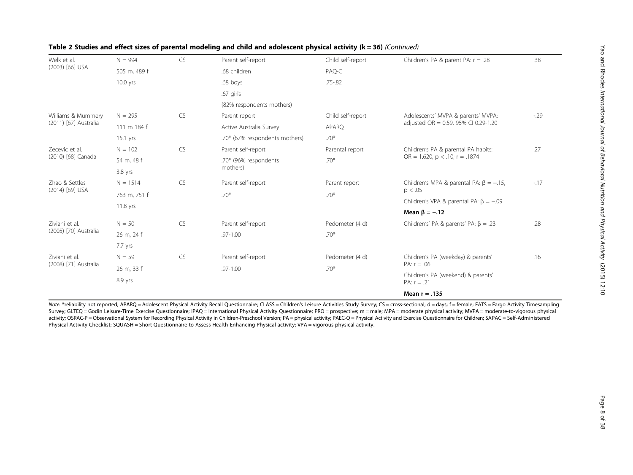| Welk et al.           | $N = 994$    | <b>CS</b> | Parent self-report             | Child self-report | Children's PA & parent PA: $r = .28$                | .38   |
|-----------------------|--------------|-----------|--------------------------------|-------------------|-----------------------------------------------------|-------|
| (2003) [66] USA       | 505 m, 489 f |           | .68 children                   | PAQ-C             |                                                     |       |
|                       | 10.0 yrs     |           | .68 boys                       | $.75 - .82$       |                                                     |       |
|                       |              |           | .67 girls                      |                   |                                                     |       |
|                       |              |           | (82% respondents mothers)      |                   |                                                     |       |
| Williams & Mummery    | $N = 295$    | <b>CS</b> | Parent report                  | Child self-report | Adolescents' MVPA & parents' MVPA:                  | $-29$ |
| (2011) [67] Australia | 111 m 184 f  |           | Active Australia Survey        | APARO             | adjusted OR = 0.59, 95% CI 0.29-1.20                |       |
|                       | 15.1 yrs     |           | .70* (67% respondents mothers) | $.70*$            |                                                     |       |
| Zecevic et al.        | $N = 102$    | <b>CS</b> | Parent self-report             | Parental report   | Children's PA & parental PA habits:                 | .27   |
| (2010) [68] Canada    | 54 m, 48 f   |           | .70* (96% respondents          | $.70*$            | OR = 1.620, $p < .10$ ; r = .1874                   |       |
|                       | 3.8 yrs      |           | mothers)                       |                   |                                                     |       |
| Zhao & Settles        | $N = 1514$   | <b>CS</b> | Parent self-report             | Parent report     | Children's MPA & parental PA: $\beta = -.15$ ,      | $-17$ |
| (2014) [69] USA       | 763 m, 751 f |           | $.70*$                         | $.70*$            | p < .05                                             |       |
|                       | 11.8 yrs     |           |                                |                   | Children's VPA & parental PA: $\beta = -.09$        |       |
|                       |              |           |                                |                   | Mean $\beta = -.12$                                 |       |
| Ziviani et al.        | $N = 50$     | <b>CS</b> | Parent self-report             | Pedometer (4 d)   | Children's' PA & parents' PA: $\beta = .23$         | .28   |
| (2005) [70] Australia | 26 m, 24 f   |           | .97-1.00                       | $.70*$            |                                                     |       |
|                       | 7.7 yrs      |           |                                |                   |                                                     |       |
| Ziviani et al.        | $N = 59$     | <b>CS</b> | Parent self-report             | Pedometer (4 d)   | Children's PA (weekday) & parents'                  | .16   |
| (2008) [71] Australia | 26 m, 33 f   |           | $.97 - 1.00$                   | $.70*$            | $PA: r = .06$                                       |       |
|                       | 8.9 yrs      |           |                                |                   | Children's PA (weekend) & parents'<br>PA: $r = .21$ |       |
|                       |              |           |                                |                   | Mean $r = .135$                                     |       |

Table 2 Studies and effect sizes of parental modeling and child and adolescent physical activity ( $k = 36$ ) (Continued)

Note. \*reliability not reported; APARQ = Adolescent Physical Activity Recall Questionnaire; CLASS = Children's Leisure Activities Study Survey; CS = cross-sectional; d = days; f = female; FATS = Fargo Activity Timesampling Survey; GLTEQ = Godin Leisure-Time Exercise Questionnaire; IPAQ = International Physical Activity Questionnaire; PRO = prospective; m = male; MPA = moderate physical activity; MVPA = moderate-to-vigorous physical activity; OSRAC-P = Observational System for Recording Physical Activity in Children-Preschool Version; PA = physical activity; PAEC-Q = Physical Activity and Exercise Questionnaire for Children; SAPAC = Self-Administered Physical Activity Checklist; SQUASH = Short Questionnaire to Assess Health-Enhancing Physical activity; VPA = vigorous physical activity.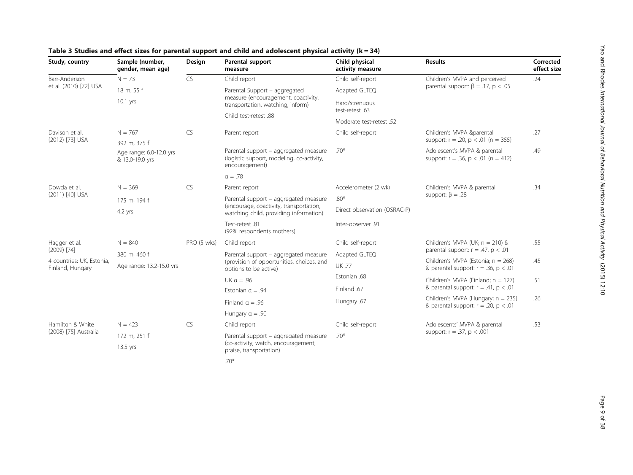| Study, country                                | Sample (number,<br>gender, mean age)       | Design      | Parental support<br>measure                                                                                                | Child physical<br>activity measure | <b>Results</b>                                                                     | Corrected<br>effect size |
|-----------------------------------------------|--------------------------------------------|-------------|----------------------------------------------------------------------------------------------------------------------------|------------------------------------|------------------------------------------------------------------------------------|--------------------------|
| Barr-Anderson                                 | $N = 73$                                   | <b>CS</b>   | Child report                                                                                                               | Child self-report                  | Children's MVPA and perceived                                                      | .24                      |
| et al. (2010) [72] USA                        | 18 m, 55 f                                 |             | Parental Support - aggregated<br>measure (encouragement, coactivity,<br>transportation, watching, inform)                  | Adapted GLTEQ                      | parental support: $\beta = .17$ , $p < .05$                                        |                          |
|                                               | 10.1 yrs                                   |             |                                                                                                                            | Hard/strenuous<br>test-retest .63  |                                                                                    |                          |
|                                               |                                            |             | Child test-retest .88                                                                                                      |                                    |                                                                                    |                          |
|                                               |                                            |             |                                                                                                                            | Moderate test-retest .52           |                                                                                    |                          |
| Davison et al.<br>(2012) [73] USA             | $N = 767$                                  | <b>CS</b>   | Parent report                                                                                                              | Child self-report                  | Children's MVPA &parental<br>support: $r = .20$ , $p < .01$ (n = 355)              | .27                      |
|                                               | 392 m. 375 f                               |             | Parental support - aggregated measure                                                                                      | $.70*$                             | Adolescent's MVPA & parental                                                       | .49                      |
|                                               | Age range: 6.0-12.0 yrs<br>& 13.0-19.0 yrs |             | (logistic support, modeling, co-activity,<br>encouragement)                                                                |                                    | support: $r = .36$ , $p < .01$ ( $n = 412$ )                                       |                          |
|                                               |                                            |             | $\alpha = .78$                                                                                                             |                                    |                                                                                    |                          |
| Dowda et al.                                  | $N = 369$                                  | <b>CS</b>   | Parent report                                                                                                              | Accelerometer (2 wk)               | Children's MVPA & parental<br>support: $\beta = .28$                               | .34                      |
| (2011) [40] USA                               | 175 m, 194 f                               |             | Parental support - aggregated measure<br>(encourage, coactivity, transportation,<br>watching child, providing information) | $.80*$                             |                                                                                    |                          |
|                                               | 4.2 yrs                                    |             |                                                                                                                            | Direct observation (OSRAC-P)       |                                                                                    |                          |
|                                               |                                            |             | Test-retest .81<br>(92% respondents mothers)                                                                               | lnter-observer .91                 |                                                                                    |                          |
| Hagger et al.                                 | $N = 840$                                  | PRO (5 wks) | Child report                                                                                                               | Child self-report                  | Children's MVPA (UK; $n = 210$ ) &                                                 | .55                      |
| $(2009)$ [74]                                 | 380 m, 460 f                               |             | Parental support - aggregated measure                                                                                      | Adapted GLTEQ                      | parental support: $r = .47$ , $p < .01$                                            |                          |
| 4 countries: UK, Estonia,<br>Finland, Hungary | Age range: 13.2-15.0 yrs                   |             | (provision of opportunities, choices, and<br>options to be active)                                                         | <b>UK .77</b>                      | Children's MVPA (Estonia; n = 268)<br>& parental support: $r = .36$ , $p < .01$    | .45                      |
|                                               |                                            |             | UK $\alpha = .96$                                                                                                          | Estonian .68                       | Children's MVPA (Finland; $n = 127$ )                                              | .51                      |
|                                               |                                            |             | Estonian $\alpha = .94$                                                                                                    | Finland .67                        | & parental support: $r = .41$ , $p < .01$                                          |                          |
|                                               |                                            |             | Finland $\alpha = .96$                                                                                                     | Hungary .67                        | Children's MVPA (Hungary; $n = 235$ )<br>& parental support: $r = .20$ , $p < .01$ | .26                      |
|                                               |                                            |             | Hungary $\alpha = .90$                                                                                                     |                                    |                                                                                    |                          |
| Hamilton & White                              | $N = 423$                                  | <b>CS</b>   | Child report                                                                                                               | Child self-report                  | Adolescents' MVPA & parental                                                       | .53                      |
| (2008) [75] Australia                         | 172 m, 251 f                               |             | Parental support - aggregated measure                                                                                      | $.70*$                             | support: $r = .37$ , $p < .001$                                                    |                          |
|                                               | 13.5 yrs                                   |             | (co-activity, watch, encouragement,<br>praise, transportation)                                                             |                                    |                                                                                    |                          |
|                                               |                                            |             | $.70*$                                                                                                                     |                                    |                                                                                    |                          |

<span id="page-8-0"></span>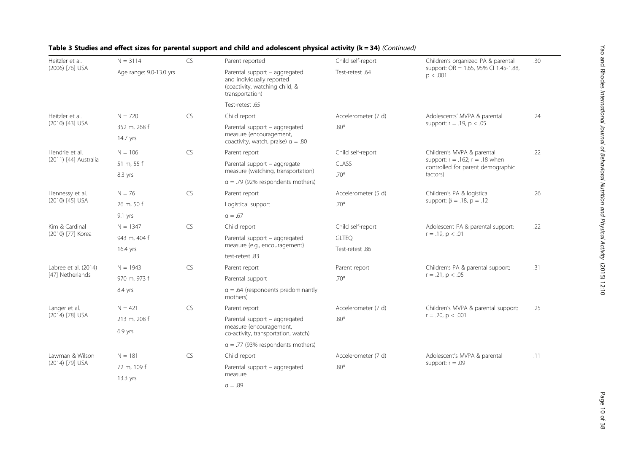| Heitzler et al.       | $N = 3114$              | CS        | Parent reported                                                                                                 | Child self-report   | Children's organized PA & parental                                        | .30 <sub>2</sub> |
|-----------------------|-------------------------|-----------|-----------------------------------------------------------------------------------------------------------------|---------------------|---------------------------------------------------------------------------|------------------|
| (2006) [76] USA       | Age range: 9.0-13.0 yrs |           | Parental support - aggregated<br>and individually reported<br>(coactivity, watching child, &<br>transportation) | Test-retest .64     | support: OR = 1.65, 95% Cl 1.45-1.88,<br>p < .001                         |                  |
|                       |                         |           | Test-retest .65                                                                                                 |                     |                                                                           |                  |
| Heitzler et al.       | $N = 720$               | <b>CS</b> | Child report                                                                                                    | Accelerometer (7 d) | Adolescents' MVPA & parental                                              | .24              |
| (2010) [43] USA       | 352 m, 268 f            |           | Parental support - aggregated                                                                                   | $.80*$              | support: $r = .19$ , $p < .05$                                            |                  |
|                       | 14.7 yrs                |           | measure (encouragement,<br>coactivity, watch, praise) $\alpha = .80$                                            |                     |                                                                           |                  |
| Hendrie et al.        | $N = 106$               | <b>CS</b> | Parent report                                                                                                   | Child self-report   | Children's MVPA & parental                                                | .22              |
| (2011) [44] Australia | 51 m, 55 f              |           | Parental support - aggregate                                                                                    | <b>CLASS</b>        | support: $r = .162$ ; $r = .18$ when<br>controlled for parent demographic |                  |
|                       | 8.3 yrs                 |           | measure (watching, transportation)<br>$\alpha = .79$ (92% respondents mothers)                                  | $.70*$              | factors)                                                                  |                  |
| Hennessy et al.       | $N = 76$                | <b>CS</b> | Parent report                                                                                                   | Accelerometer (5 d) | Children's PA & logistical                                                | .26              |
| (2010) [45] USA       | 26 m, 50 f              |           | Logistical support                                                                                              | $.70*$              | support: $\beta = .18$ , $p = .12$                                        |                  |
|                       | 9.1 yrs                 |           | $\alpha = .67$                                                                                                  |                     |                                                                           |                  |
| Kim & Cardinal        | $N = 1347$              | CS        | Child report                                                                                                    | Child self-report   | Adolescent PA & parental support:                                         | .22              |
| (2010) [77] Korea     | 943 m, 404 f            |           | Parental support - aggregated<br>measure (e.g., encouragement)                                                  | <b>GLTEQ</b>        | $r = .19$ , $p < .01$                                                     |                  |
|                       | 16.4 yrs                |           |                                                                                                                 | Test-retest .86     |                                                                           |                  |
|                       |                         |           | test-retest 83                                                                                                  |                     |                                                                           |                  |
| Labree et al. (2014)  | $N = 1943$              | <b>CS</b> | Parent report                                                                                                   | Parent report       | Children's PA & parental support:                                         | .31              |
| [47] Netherlands      | 970 m, 973 f            |           | Parental support                                                                                                | $.70*$              | $r = .21$ , $p < .05$                                                     |                  |
|                       | 8.4 yrs                 |           | $\alpha$ = .64 (respondents predominantly<br>mothers)                                                           |                     |                                                                           |                  |
| Langer et al.         | $N = 421$               | <b>CS</b> | Parent report                                                                                                   | Accelerometer (7 d) | Children's MVPA & parental support:                                       | .25              |
| (2014) [78] USA       | 213 m, 208 f            |           | Parental support - aggregated                                                                                   | $.80*$              | $r = .20$ , $p < .001$                                                    |                  |
|                       | 6.9 yrs                 |           | measure (encouragement,<br>co-activity, transportation, watch)                                                  |                     |                                                                           |                  |
|                       |                         |           | $\alpha$ = .77 (93% respondents mothers)                                                                        |                     |                                                                           |                  |
| Lawman & Wilson       | $N = 181$               | <b>CS</b> | Child report                                                                                                    | Accelerometer (7 d) | Adolescent's MVPA & parental                                              | .11              |
| (2014) [79] USA       | 72 m, 109 f             |           | Parental support - aggregated                                                                                   | $.80*$              | support: $r = .09$                                                        |                  |
|                       | 13.3 yrs                |           | measure                                                                                                         |                     |                                                                           |                  |
|                       |                         |           | $\alpha = .89$                                                                                                  |                     |                                                                           |                  |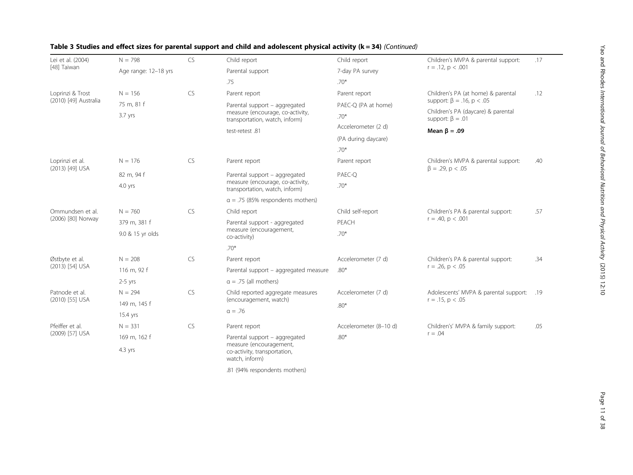| Lei et al. (2004)     | $N = 798$            | <b>CS</b> | Child report                                                                             | Child report           | Children's MVPA & parental support:                                                                                                                        | .17 |
|-----------------------|----------------------|-----------|------------------------------------------------------------------------------------------|------------------------|------------------------------------------------------------------------------------------------------------------------------------------------------------|-----|
| [48] Taiwan           | Age range: 12-18 yrs |           | Parental support                                                                         | 7-day PA survey        | $r = .12$ , $p < .001$                                                                                                                                     |     |
|                       |                      |           | .75                                                                                      | $.70*$                 |                                                                                                                                                            |     |
| Loprinzi & Trost      | $N = 156$            | <b>CS</b> | Parent report                                                                            | Parent report          | Children's PA (at home) & parental<br>support: $\beta = .16$ , $p < .05$<br>Children's PA (daycare) & parental<br>support: $\beta = .01$<br>Mean $β = .09$ | .12 |
| (2010) [49] Australia | 75 m, 81 f           |           | Parental support - aggregated                                                            | PAEC-Q (PA at home)    |                                                                                                                                                            |     |
|                       | 3.7 yrs              |           | measure (encourage, co-activity,<br>transportation, watch, inform)                       | $.70*$                 |                                                                                                                                                            |     |
|                       |                      |           | test-retest .81                                                                          | Accelerometer (2 d)    |                                                                                                                                                            |     |
|                       |                      |           |                                                                                          | (PA during daycare)    |                                                                                                                                                            |     |
|                       |                      |           |                                                                                          | $.70*$                 |                                                                                                                                                            |     |
| Loprinzi et al.       | $N = 176$            | <b>CS</b> | Parent report                                                                            | Parent report          | Children's MVPA & parental support:                                                                                                                        | .40 |
| (2013) [49] USA       | 82 m, 94 f           |           | Parental support - aggregated                                                            | PAEC-Q                 | $\beta = .29$ , p < .05                                                                                                                                    |     |
|                       | $4.0$ yrs            |           | measure (encourage, co-activity,                                                         | $.70*$                 |                                                                                                                                                            |     |
|                       |                      |           | transportation, watch, inform)<br>$\alpha = .75$ (85% respondents mothers)               |                        |                                                                                                                                                            |     |
| Ommundsen et al.      | $N = 760$            | <b>CS</b> |                                                                                          |                        |                                                                                                                                                            | .57 |
| (2006) [80] Norway    |                      |           | Child report<br>Parental support - aggregated<br>measure (encouragement,<br>co-activity) | Child self-report      | Children's PA & parental support:<br>$r = .40, p < .001$                                                                                                   |     |
|                       | 379 m, 381 f         |           |                                                                                          | PEACH                  |                                                                                                                                                            |     |
|                       | 9.0 & 15 yr olds     |           |                                                                                          | $.70*$                 |                                                                                                                                                            |     |
|                       |                      |           | $.70*$                                                                                   |                        |                                                                                                                                                            |     |
| Østbyte et al.        | $N = 208$            | <b>CS</b> | Parent report                                                                            | Accelerometer (7 d)    | Children's PA & parental support:                                                                                                                          | .34 |
| (2013) [54] USA       | 116 m. $92 f$        |           | Parental support - aggregated measure                                                    | $.80*$                 | $r = .26$ , $p < .05$                                                                                                                                      |     |
|                       | $2-5$ yrs            |           | $\alpha = .75$ (all mothers)                                                             |                        |                                                                                                                                                            |     |
| Patnode et al.        | $N = 294$            | <b>CS</b> | Child reported aggregate measures                                                        | Accelerometer (7 d)    | Adolescents' MVPA & parental support: .19                                                                                                                  |     |
| (2010) [55] USA       | 149 m, 145 f         |           | (encouragement, watch)                                                                   | $.80*$                 | $r = .15, p < .05$                                                                                                                                         |     |
|                       | 15.4 yrs             |           | $\alpha = .76$                                                                           |                        |                                                                                                                                                            |     |
| Pfeiffer et al.       | $N = 331$            | CS        | Parent report                                                                            | Accelerometer (8-10 d) | Children's' MVPA & family support:                                                                                                                         | .05 |
| (2009) [57] USA       | 169 m, 162 f         |           | Parental support - aggregated                                                            | $.80*$                 | $r = .04$                                                                                                                                                  |     |
|                       | 4.3 yrs              |           | measure (encouragement,<br>co-activity, transportation,<br>watch, inform)                |                        |                                                                                                                                                            |     |
|                       |                      |           | .81 (94% respondents mothers)                                                            |                        |                                                                                                                                                            |     |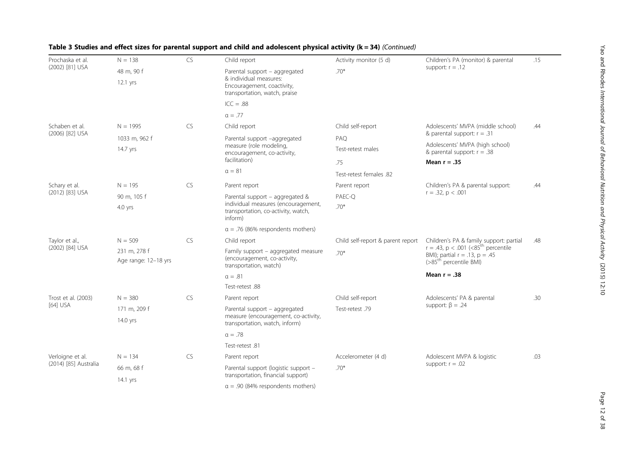| Prochaska et al.<br>(2002) [81] USA | $N = 138$                            | <b>CS</b> | Child report                                                                                                             | Activity monitor (5 d)            | Children's PA (monitor) & parental<br>support: $r = .12$                                                                        | .15                                      |  |  |
|-------------------------------------|--------------------------------------|-----------|--------------------------------------------------------------------------------------------------------------------------|-----------------------------------|---------------------------------------------------------------------------------------------------------------------------------|------------------------------------------|--|--|
|                                     | 48 m, 90 f                           |           | Parental support - aggregated<br>& individual measures:                                                                  | $.70*$                            |                                                                                                                                 |                                          |  |  |
|                                     | 12.1 yrs                             |           | Encouragement, coactivity,<br>transportation, watch, praise                                                              |                                   |                                                                                                                                 |                                          |  |  |
|                                     |                                      |           | $ICC = .88$                                                                                                              |                                   |                                                                                                                                 |                                          |  |  |
|                                     |                                      |           | $\alpha = .77$                                                                                                           |                                   |                                                                                                                                 |                                          |  |  |
| Schaben et al.                      | $N = 1995$                           | <b>CS</b> | Child report                                                                                                             | Child self-report                 | Adolescents' MVPA (middle school)                                                                                               | .44                                      |  |  |
| (2006) [82] USA                     | 1033 m, 962 f                        |           | Parental support -aggregated                                                                                             | PAQ                               | & parental support: $r = .31$                                                                                                   |                                          |  |  |
|                                     | 14.7 yrs                             |           | measure (role modeling,<br>encouragement, co-activity,                                                                   | Test-retest males                 | Adolescents' MVPA (high school)<br>& parental support: $r = .38$                                                                |                                          |  |  |
|                                     |                                      |           | facilitation)                                                                                                            | .75                               | Mean $r = .35$                                                                                                                  |                                          |  |  |
|                                     |                                      |           | $\alpha = 81$                                                                                                            | Test-retest females 82            |                                                                                                                                 |                                          |  |  |
| Schary et al.                       | $N = 195$                            | <b>CS</b> | Parent report                                                                                                            | Parent report                     | Children's PA & parental support:                                                                                               | .44                                      |  |  |
| (2012) [83] USA                     | 90 m, 105 f                          |           | Parental support - aggregated &<br>individual measures (encouragement,<br>transportation, co-activity, watch,<br>inform) | PAEC-O                            | $r = .32$ , $p < .001$                                                                                                          |                                          |  |  |
|                                     | $4.0$ yrs                            |           |                                                                                                                          | $.70*$                            |                                                                                                                                 |                                          |  |  |
|                                     |                                      |           | $\alpha = .76$ (86% respondents mothers)                                                                                 |                                   |                                                                                                                                 |                                          |  |  |
| Taylor et al.,                      | $N = 509$                            | <b>CS</b> | Child report                                                                                                             | Child self-report & parent report | Children's PA & family support: partial                                                                                         | .48                                      |  |  |
| (2002) [84] USA                     | 231 m, 278 f<br>Age range: 12-18 yrs |           | Family support - aggregated measure<br>(encouragement, co-activity,<br>transportation, watch)                            | $.70*$                            | $r = .43$ , p < .001 (<85 <sup>th</sup> percentile<br>BMI); partial $r = .13$ , $p = .45$<br>(>85 <sup>th</sup> percentile BMI) |                                          |  |  |
|                                     |                                      |           | $\alpha = .81$                                                                                                           |                                   | Mean $r = .38$                                                                                                                  |                                          |  |  |
|                                     |                                      |           | Test-retest .88                                                                                                          |                                   |                                                                                                                                 |                                          |  |  |
| Trost et al. (2003)                 | $N = 380$                            | <b>CS</b> | Parent report                                                                                                            | Child self-report                 | Adolescents' PA & parental                                                                                                      | .30                                      |  |  |
| [64] USA                            | 171 m, 209 f                         |           | Parental support - aggregated                                                                                            | Test-retest .79                   | support: $\beta = .24$                                                                                                          |                                          |  |  |
|                                     | 14.0 yrs                             |           | measure (encouragement, co-activity,<br>transportation, watch, inform)                                                   |                                   |                                                                                                                                 |                                          |  |  |
|                                     |                                      |           | $\alpha = .78$                                                                                                           |                                   |                                                                                                                                 |                                          |  |  |
|                                     |                                      |           | Test-retest .81                                                                                                          |                                   |                                                                                                                                 |                                          |  |  |
| Verloigne et al.                    | $N = 134$                            | <b>CS</b> | Parent report                                                                                                            | Accelerometer (4 d)               | Adolescent MVPA & logistic                                                                                                      | .03                                      |  |  |
| (2014) [85] Australia               | 66 m, 68 f                           |           | Parental support (logistic support -                                                                                     | $.70*$                            | support: $r = .02$                                                                                                              |                                          |  |  |
|                                     | 14.1 yrs                             |           | transportation, financial support)                                                                                       |                                   |                                                                                                                                 |                                          |  |  |
|                                     |                                      |           |                                                                                                                          |                                   |                                                                                                                                 | $\alpha = .90$ (84% respondents mothers) |  |  |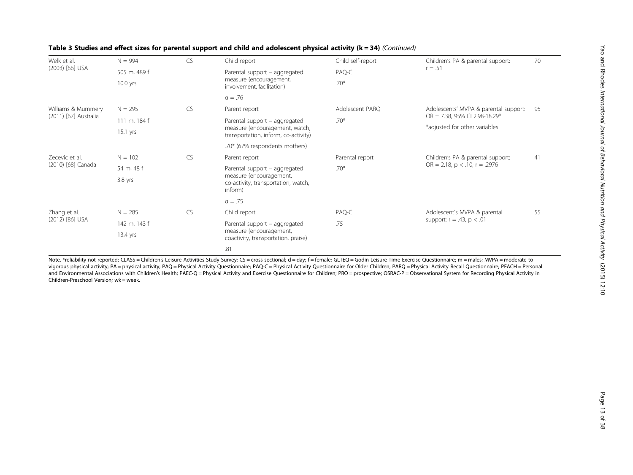| Welk et al.           | $N = 994$    | <b>CS</b> | Child report                                                                                               | Child self-report | Children's PA & parental support:     | .70 |
|-----------------------|--------------|-----------|------------------------------------------------------------------------------------------------------------|-------------------|---------------------------------------|-----|
| (2003) [66] USA       | 505 m, 489 f |           | Parental support - aggregated                                                                              | PAQ-C             | $r = .51$                             |     |
|                       | 10.0 yrs     |           | measure (encouragement,<br>involvement, facilitation)                                                      | $.70*$            |                                       |     |
|                       |              |           | $\alpha = .76$                                                                                             |                   |                                       |     |
| Williams & Mummery    | $N = 295$    | <b>CS</b> | Parent report                                                                                              | Adolescent PARQ   | Adolescents' MVPA & parental support: | .95 |
| (2011) [67] Australia | 111 m, 184 f |           | Parental support - aggregated                                                                              | $.70*$            | OR = 7.38, 95% CI 2.98-18.29*         |     |
|                       | $15.1$ yrs   |           | measure (encouragement, watch,<br>transportation, inform, co-activity)                                     |                   | *adjusted for other variables         |     |
|                       |              |           | .70* (67% respondents mothers)                                                                             |                   |                                       |     |
| Zecevic et al.        | $N = 102$    | <b>CS</b> | Parent report                                                                                              | Parental report   | Children's PA & parental support:     | .41 |
| (2010) [68] Canada    | 54 m, 48 f   |           | Parental support - aggregated<br>measure (encouragement,<br>co-activity, transportation, watch,<br>inform) | $.70*$            | $OR = 2.18$ , $p < .10$ ; $r = .2976$ |     |
|                       | $3.8$ yrs    |           |                                                                                                            |                   |                                       |     |
|                       |              |           | $\alpha = .75$                                                                                             |                   |                                       |     |
| Zhang et al.          | $N = 285$    | <b>CS</b> | Child report                                                                                               | PAQ-C             | Adolescent's MVPA & parental          | .55 |
| (2012) [86] USA       | 142 m, 143 f |           | Parental support - aggregated                                                                              | .75               | support: $r = .43$ , $p < .01$        |     |
|                       | 13.4 yrs     |           | measure (encouragement,<br>coactivity, transportation, praise)                                             |                   |                                       |     |
|                       |              |           | .81                                                                                                        |                   |                                       |     |

Note. \*reliability not reported; CLASS = Children's Leisure Activities Study Survey; CS = cross-sectional; d = day; f = female; GLTEQ = Godin Leisure-Time Exercise Questionnaire; m = males; MVPA = moderate to vigorous physical activity; PA = physical activity; PAQ = Physical Activity Questionnaire; PAQ-C = Physical Activity Questionnaire for Older Children; PARQ = Physical Activity Recall Questionnaire; PEACH = Personal and Environmental Associations with Children's Health; PAEC-Q = Physical Activity and Exercise Questionnaire for Children; PRO = prospective; OSRAC-P = Observational System for Recording Physical Activity in Children-Preschool Version; wk = week.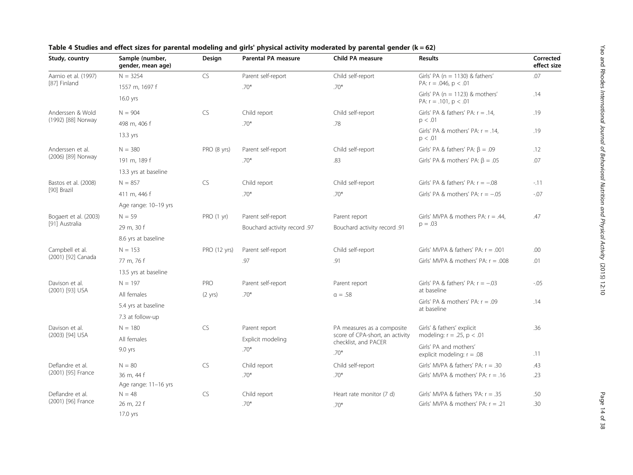| Study, country        | Sample (number,<br>gender, mean age) | Design            | <b>Parental PA measure</b>          | Child PA measure                                        | <b>Results</b>                                                    | Corrected<br>effect size |
|-----------------------|--------------------------------------|-------------------|-------------------------------------|---------------------------------------------------------|-------------------------------------------------------------------|--------------------------|
| Aarnio et al. (1997)  | $N = 3254$                           | CS                | Parent self-report                  | Child self-report                                       | Girls' PA ( $n = 1130$ ) & fathers'                               | .07                      |
| [87] Finland          | 1557 m, 1697 f                       |                   | $.70*$                              | $.70*$                                                  | PA: $r = .046$ , $p < .01$                                        |                          |
|                       | 16.0 yrs                             |                   |                                     |                                                         | Girls' PA ( $n = 1123$ ) & mothers'<br>PA: $r = .101$ , $p < .01$ | .14                      |
| Anderssen & Wold      | $N = 904$                            | CS                | Child report                        | Child self-report                                       | Girls' PA & fathers' PA: $r = .14$ ,                              | .19                      |
| (1992) [88] Norway    | 498 m, 406 f                         |                   | $.70*$                              | .78                                                     | p < .01                                                           |                          |
|                       | 13.3 yrs                             |                   |                                     |                                                         | Girls' PA & mothers' PA: $r = .14$ ,<br>p < .01                   | .19                      |
| Anderssen et al.      | $N = 380$                            | PRO (8 yrs)       | Parent self-report                  | Child self-report                                       | Girls' PA & fathers' PA: $\beta = .09$                            | .12                      |
| (2006) [89] Norway    | 191 m, 189 f                         |                   | $.70*$                              | .83                                                     | Girls' PA & mothers' PA: $\beta = .05$                            | .07                      |
|                       | 13.3 yrs at baseline                 |                   |                                     |                                                         |                                                                   |                          |
| Bastos et al. (2008)  | $N = 857$                            | <b>CS</b>         | Child report                        | Child self-report                                       | Girls' PA & fathers' PA: $r = -.08$                               | $-11$                    |
| [90] Brazil           | 411 m. 446 f                         |                   | $.70*$                              | $.70*$                                                  | Girls' PA & mothers' PA: $r = -.05$                               | $-0.07$                  |
|                       | Age range: 10-19 yrs                 |                   |                                     |                                                         |                                                                   |                          |
| Bogaert et al. (2003) | $N = 59$                             | PRO (1 yr)        | Parent self-report                  | Parent report                                           | Girls' MVPA & mothers PA: $r = .44$ ,                             | .47                      |
| [91] Australia        | 29 m, 30 f                           |                   | <b>Bouchard activity record .97</b> | <b>Bouchard activity record .91</b>                     | $p = .03$                                                         |                          |
|                       | 8.6 yrs at baseline                  |                   |                                     |                                                         |                                                                   |                          |
| Campbell et al.       | $N = 153$                            | PRO (12 yrs)      | Parent self-report                  | Child self-report                                       | Girls' MVPA & fathers' PA: $r = .001$                             | .00                      |
| (2001) [92] Canada    | 77 m, 76 f                           |                   | .97                                 | .91                                                     | Girls' MVPA & mothers' PA: $r = .008$                             | .01                      |
|                       | 13.5 yrs at baseline                 |                   |                                     |                                                         |                                                                   |                          |
| Davison et al.        | $N = 197$                            | PRO               | Parent self-report                  | Parent report                                           | Girls' PA & fathers' PA: $r = -.03$                               | $-0.05$                  |
| (2001) [93] USA       | All females                          | $(2 \text{ yrs})$ | $.70*$                              | $\alpha = .58$                                          | at baseline                                                       |                          |
|                       | 5.4 yrs at baseline                  |                   |                                     |                                                         | Girls' PA & mothers' PA: $r = .09$<br>at baseline                 | .14                      |
|                       | 7.3 at follow-up                     |                   |                                     |                                                         |                                                                   |                          |
| Davison et al.        | $N = 180$                            | <b>CS</b>         | Parent report                       | PA measures as a composite                              | Girls' & fathers' explicit                                        | .36                      |
| (2003) [94] USA       | All females                          |                   | Explicit modeling                   | score of CPA-short, an activity<br>checklist, and PACER | modeling: $r = .25$ , $p < .01$                                   |                          |
|                       | 9.0 yrs                              |                   | $.70*$                              | $.70*$                                                  | Girls' PA and mothers'<br>explicit modeling: $r = .08$            | .11                      |
| Deflandre et al.      | $N = 80$                             | <b>CS</b>         | Child report                        | Child self-report                                       | Girls' MVPA & fathers' PA: $r = .30$                              | .43                      |
| (2001) [95] France    | 36 m, 44 f                           |                   | $.70*$                              | $.70*$                                                  | Girls' MVPA & mothers' PA: $r = .16$                              | .23                      |
|                       | Age range: 11-16 yrs                 |                   |                                     |                                                         |                                                                   |                          |
| Deflandre et al.      | $N = 48$                             | <b>CS</b>         | Child report                        | Heart rate monitor (7 d)                                | Girls' MVPA & fathers 'PA: $r = .35$                              | .50                      |
| (2001) [96] France    | 26 m, 22 f                           |                   | $.70*$                              | $.70*$                                                  | Girls' MVPA & mothers' PA: $r = .21$                              | .30                      |
|                       | 17.0 yrs                             |                   |                                     |                                                         |                                                                   |                          |

# <span id="page-13-0"></span>Table 4 Studies and effect sizes for parental modeling and girls' physical activity moderated by parental gender ( $k = 62$ )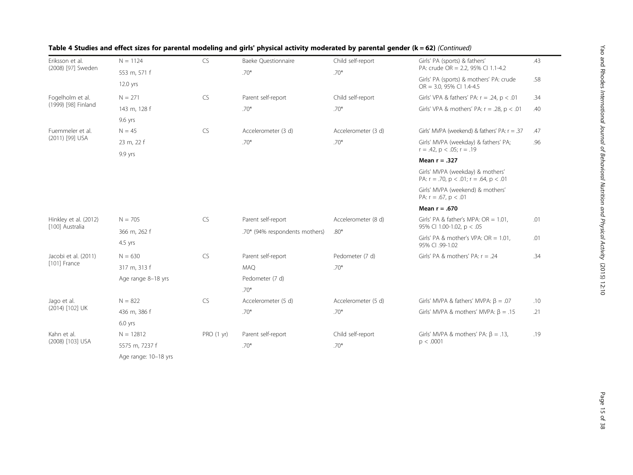| Eriksson et al.       | $N = 1124$           | <b>CS</b>  | <b>Baeke Questionnaire</b>     | Child self-report   | Girls' PA (sports) & fathers'                                                         | .43 |
|-----------------------|----------------------|------------|--------------------------------|---------------------|---------------------------------------------------------------------------------------|-----|
| (2008) [97] Sweden    | 553 m, 571 f         |            | $.70*$                         | $.70*$              | PA: crude OR = 2.2, 95% Cl 1.1-4.2                                                    |     |
|                       | 12.0 yrs             |            |                                |                     | Girls' PA (sports) & mothers' PA: crude<br>OR = $3.0$ , 95% CI 1.4-4.5                | .58 |
| Fogelholm et al.      | $N = 271$            | <b>CS</b>  | Parent self-report             | Child self-report   | Girls' VPA & fathers' PA: $r = .24$ , $p < .01$                                       | .34 |
| (1999) [98] Finland   | 143 m, 128 f         |            | $.70*$                         | $.70*$              | Girls' VPA & mothers' PA: $r = .28$ , $p < .01$                                       | .40 |
|                       | 9.6 yrs              |            |                                |                     |                                                                                       |     |
| Fuemmeler et al.      | $N = 45$             | <b>CS</b>  | Accelerometer (3 d)            | Accelerometer (3 d) | Girls' MVPA (weekend) & fathers' PA: r = .37                                          | .47 |
| (2011) [99] USA       | 23 m, 22 f           |            | $.70*$                         | $.70*$              | Girls' MVPA (weekday) & fathers' PA;<br>$r = .42$ , $p < .05$ ; $r = .19$             | .96 |
|                       | 9.9 yrs              |            |                                |                     | Mean $r = .327$                                                                       |     |
|                       |                      |            |                                |                     | Girls' MVPA (weekday) & mothers'<br>PA: $r = .70$ , $p < .01$ ; $r = .64$ , $p < .01$ |     |
|                       |                      |            |                                |                     | Girls' MVPA (weekend) & mothers'<br>PA: $r = .67$ , $p < .01$                         |     |
|                       |                      |            |                                |                     | Mean $r = .670$                                                                       |     |
| Hinkley et al. (2012) | $N = 705$            | <b>CS</b>  | Parent self-report             | Accelerometer (8 d) | Girls' PA & father's MPA: $OR = 1.01$ ,                                               | .01 |
| [100] Australia       | 366 m, 262 f         |            | .70* (94% respondents mothers) | $.80*$              | 95% CI 1.00-1.02, p < .05                                                             |     |
|                       | 4.5 yrs              |            |                                |                     | Girls' PA & mother's VPA: $OR = 1.01$ ,<br>95% CI .99-1.02                            | .01 |
| Jacobi et al. (2011)  | $N = 630$            | <b>CS</b>  | Parent self-report             | Pedometer (7 d)     | Girls' PA & mothers' PA: $r = .24$                                                    | .34 |
| [101] France          | 317 m, 313 f         |            | <b>MAO</b>                     | $.70*$              |                                                                                       |     |
|                       | Age range 8-18 yrs   |            | Pedometer (7 d)                |                     |                                                                                       |     |
|                       |                      |            | $.70*$                         |                     |                                                                                       |     |
| Jago et al.           | $N = 822$            | <b>CS</b>  | Accelerometer (5 d)            | Accelerometer (5 d) | Girls' MVPA & fathers' MVPA: $\beta = .07$                                            | .10 |
| (2014) [102] UK       | 436 m, 386 f         |            | $.70*$                         | $.70*$              | Girls' MVPA & mothers' MVPA: $\beta = .15$                                            | .21 |
|                       | $6.0$ yrs            |            |                                |                     |                                                                                       |     |
| Kahn et al.           | $N = 12812$          | PRO (1 yr) | Parent self-report             | Child self-report   | Girls' MVPA & mothers' PA: $\beta = .13$ ,                                            | .19 |
| (2008) [103] USA      | 5575 m, 7237 f       |            | $.70*$                         | $.70*$              | p < .0001                                                                             |     |
|                       | Age range: 10-18 yrs |            |                                |                     |                                                                                       |     |

# Table 4 Studies and effect sizes for parental modeling and girls' physical activity moderated by parental gender ( $k = 62$ ) (Continued)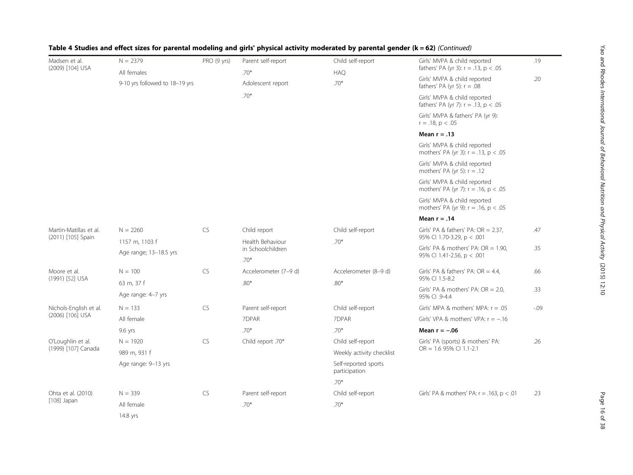| Madsen et al.<br>(2009) [104] USA            | $N = 2379$                     | PRO (9 yrs) | Parent self-report                    | Child self-report                     | Girls' MVPA & child reported                                              | .19     |
|----------------------------------------------|--------------------------------|-------------|---------------------------------------|---------------------------------------|---------------------------------------------------------------------------|---------|
|                                              | All females                    |             | $.70*$                                | <b>HAQ</b>                            | fathers' PA (yr 3): $r = .13$ , $p < .05$                                 |         |
|                                              | 9-10 yrs followed to 18-19 yrs |             | Adolescent report                     | $.70*$                                | Girls' MVPA & child reported<br>fathers' PA (yr 5): $r = .08$             | .20     |
|                                              |                                |             | $.70*$                                |                                       | Girls' MVPA & child reported<br>fathers' PA (yr 7): $r = .13$ , $p < .05$ |         |
|                                              |                                |             |                                       |                                       | Girls' MVPA & fathers' PA (yr 9):<br>$r = .18, p < .05$                   |         |
|                                              |                                |             |                                       |                                       | Mean $r = .13$                                                            |         |
|                                              |                                |             |                                       |                                       | Girls' MVPA & child reported<br>mothers' PA (yr 3): $r = .13$ , $p < .05$ |         |
|                                              |                                |             |                                       |                                       | Girls' MVPA & child reported<br>mothers' PA (yr 5): $r = .12$             |         |
|                                              |                                |             |                                       |                                       | Girls' MVPA & child reported<br>mothers' PA (yr 7): $r = .16$ , $p < .05$ |         |
|                                              |                                |             |                                       |                                       | Girls' MVPA & child reported<br>mothers' PA (yr 9): $r = .16$ , $p < .05$ |         |
|                                              |                                |             |                                       |                                       | Mean $r = .14$                                                            |         |
| Martin-Matillas et al.<br>(2011) [105] Spain | $N = 2260$                     | <b>CS</b>   | Child report                          | Child self-report                     | Girls' PA & fathers' PA: OR = 2.37,<br>95% CI 1.70-3.29, $p < .001$       | .47     |
|                                              | 1157 m, 1103 f                 |             | Health Behaviour<br>in Schoolchildren | $.70*$                                | Girls' PA & mothers' PA: OR = 1.90,                                       | .35     |
|                                              | Age range; 13-18.5 yrs         |             | $.70*$                                |                                       | 95% Cl 1.41-2.56, p < .001                                                |         |
| Moore et al.                                 | $N = 100$                      | CS          | Accelerometer (7-9 d)                 | Accelerometer (8-9 d)                 | Girls' PA & fathers' PA: $OR = 4.4$ ,                                     | .66     |
| (1991) [52] USA                              | 63 m, 37 f                     |             | $.80*$                                | $.80*$                                | 95% CI 1.5-8.2                                                            |         |
|                                              | Age range: 4-7 yrs             |             |                                       |                                       | Girls' PA & mothers' PA: $OR = 2.0$ ,<br>95% CI .9-4.4                    | .33     |
| Nichols-English et al.                       | $N = 133$                      | CS          | Parent self-report                    | Child self-report                     | Girls' MPA & mothers' MPA: $r = .05$                                      | $-0.09$ |
| (2006) [106] USA                             | All female                     |             | 7DPAR                                 | 7DPAR                                 | Girls' VPA & mothers' VPA: $r = -.16$                                     |         |
|                                              | 9.6 yrs                        |             | $.70*$                                | $.70*$                                | Mean $r = -.06$                                                           |         |
| O'Loughlin et al.                            | $N = 1920$                     | CS          | Child report .70*                     | Child self-report                     | Girls' PA (sports) & mothers' PA:                                         | .26     |
| (1999) [107] Canada                          | 989 m. 931 f                   |             |                                       | Weekly activity checklist             | $OR = 1.6$ 95% CI 1.1-2.1                                                 |         |
|                                              | Age range: 9-13 yrs            |             |                                       | Self-reported sports<br>participation |                                                                           |         |
|                                              |                                |             |                                       | $.70*$                                |                                                                           |         |
| Ohta et al. (2010)                           | $N = 339$                      | <b>CS</b>   | Parent self-report                    | Child self-report                     | Girls' PA & mothers' PA: $r = .163$ , $p < .01$                           | .23     |
| $[108]$ Japan                                | All female                     |             | $.70*$                                | $.70*$                                |                                                                           |         |
|                                              | 14.8 yrs                       |             |                                       |                                       |                                                                           |         |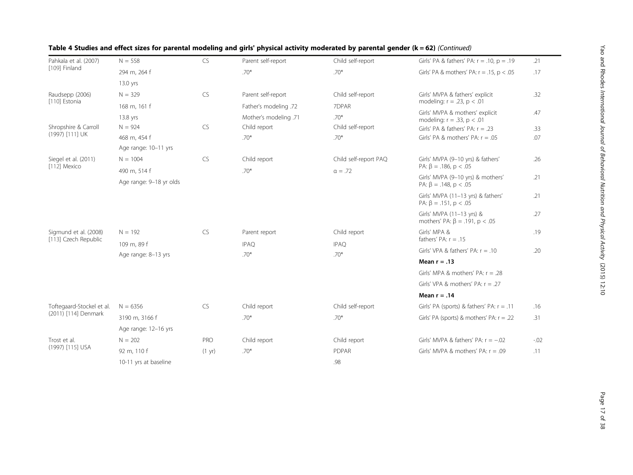| Pahkala et al. (2007)                         | $N = 558$                          | CS               | Parent self-report    | Child self-report     | Girls' PA & fathers' PA: $r = .10$ , $p = .19$                       | .21     |
|-----------------------------------------------|------------------------------------|------------------|-----------------------|-----------------------|----------------------------------------------------------------------|---------|
| [109] Finland                                 | 294 m, 264 f                       |                  | $.70*$                | $.70*$                | Girls' PA & mothers' PA: $r = .15$ , $p < .05$                       | .17     |
|                                               | 13.0 yrs                           |                  |                       |                       |                                                                      |         |
| Raudsepp (2006)                               | $N = 329$                          | CS.              | Parent self-report    | Child self-report     | Girls' MVPA & fathers' explicit                                      | .32     |
| [110] Estonia                                 | 168 m. 161 f                       |                  | Father's modeling .72 | 7DPAR                 | modeling: $r = .23$ , $p < .01$                                      |         |
|                                               | 13.8 yrs                           |                  | Mother's modeling .71 | $.70*$                | Girls' MVPA & mothers' explicit<br>modeling: $r = .33$ , $p < .01$   | .47     |
| Shropshire & Carroll                          | $N = 924$                          | <b>CS</b>        | Child report          | Child self-report     | Girls' PA & fathers' PA: $r = .23$                                   | .33     |
| (1997) [111] UK                               | 468 m, 454 f                       |                  | $.70*$                | $.70*$                | Girls' PA & mothers' PA: $r = .05$                                   | .07     |
|                                               | Age range: 10-11 yrs               |                  |                       |                       |                                                                      |         |
| Siegel et al. (2011)                          | $N = 1004$                         | CS.              | Child report          | Child self-report PAQ | Girls' MVPA (9-10 yrs) & fathers'                                    | .26     |
| [112] Mexico                                  | 490 m, 514 f                       |                  | $.70*$                | $\alpha = .72$        | PA: $\beta = .186$ , $p < .05$                                       |         |
|                                               | Age range: 9-18 yr olds            |                  |                       |                       | Girls' MVPA (9-10 yrs) & mothers'<br>PA: $\beta = .148$ , p < .05    | .21     |
|                                               |                                    |                  |                       |                       | Girls' MVPA (11-13 yrs) & fathers'<br>PA: $\beta = .151$ , $p < .05$ | .21     |
|                                               |                                    |                  |                       |                       | Girls' MVPA (11-13 yrs) &<br>mothers' PA: $\beta = .191$ , p < .05   | .27     |
| Sigmund et al. (2008)<br>[113] Czech Republic | $N = 192$                          | <b>CS</b>        | Parent report         | Child report          | Girls' MPA &<br>fathers' PA: $r = .15$                               | .19     |
|                                               | 109 m, 89 f<br>Age range: 8-13 yrs |                  | <b>IPAQ</b><br>$.70*$ | <b>IPAQ</b><br>$.70*$ | Girls' VPA & fathers' PA: $r = .10$                                  | .20     |
|                                               |                                    |                  |                       |                       | Mean $r = .13$                                                       |         |
|                                               |                                    |                  |                       |                       | Girls' MPA & mothers' PA: $r = .28$                                  |         |
|                                               |                                    |                  |                       |                       | Girls' VPA & mothers' PA: $r = .27$                                  |         |
|                                               |                                    |                  |                       |                       | Mean $r = .14$                                                       |         |
| Toftegaard-Stockel et al.                     | $N = 6356$                         | <b>CS</b>        | Child report          | Child self-report     | Girls' PA (sports) & fathers' PA: $r = .11$                          | .16     |
| (2011) [114] Denmark                          | 3190 m, 3166 f                     |                  | $.70*$                | $.70*$                | Girls' PA (sports) & mothers' PA: $r = .22$                          | .31     |
|                                               | Age range: 12-16 yrs               |                  |                       |                       |                                                                      |         |
| Trost et al.                                  | $N = 202$                          | PRO              | Child report          | Child report          | Girls' MVPA & fathers' PA: $r = -.02$                                | $-0.02$ |
| (1997) [115] USA                              | 92 m, 110 f                        | $(1 \text{ yr})$ | $.70*$                | PDPAR                 | Girls' MVPA & mothers' PA: $r = .09$                                 | .11     |
|                                               | 10-11 yrs at baseline              |                  |                       | .98                   |                                                                      |         |

# Table 4 Studies and effect sizes for parental modeling and girls' physical activity moderated by parental gender ( $k = 62$ ) (Continued)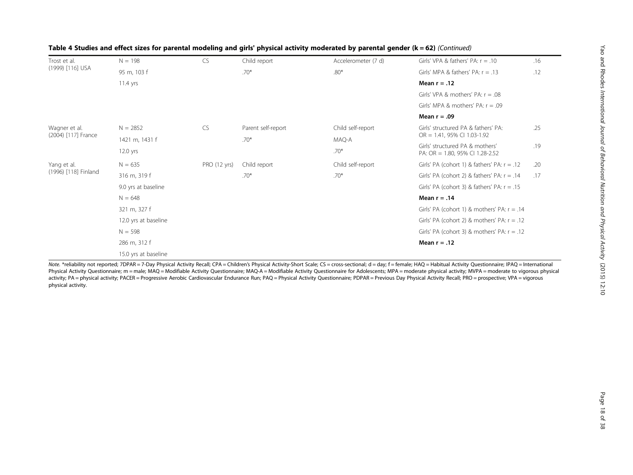| Trost et al.                         | $N = 198$            | <b>CS</b>    | Child report       | Accelerometer (7 d) | Girls' VPA & fathers' PA: $r = .10$                                | .16 |
|--------------------------------------|----------------------|--------------|--------------------|---------------------|--------------------------------------------------------------------|-----|
| (1999) [116] USA                     | 95 m, 103 f          |              | $.70*$             | $.80*$              | Girls' MPA & fathers' PA: $r = .13$                                | .12 |
|                                      | $11.4$ yrs           |              |                    |                     | Mean $r = .12$                                                     |     |
|                                      |                      |              |                    |                     | Girls' VPA & mothers' PA: $r = .08$                                |     |
|                                      |                      |              |                    |                     | Girls' MPA & mothers' PA: $r = .09$                                |     |
|                                      |                      |              |                    |                     | Mean $r = .09$                                                     |     |
| Wagner et al.<br>(2004) [117] France | $N = 2852$           | <b>CS</b>    | Parent self-report | Child self-report   | Girls' structured PA & fathers' PA:                                | .25 |
|                                      | 1421 m, 1431 f       |              | $.70*$             | MAQ-A               | $OR = 1.41, 95\% \text{ CI } 1.03 - 1.92$                          |     |
|                                      | 12.0 yrs             |              |                    | $.70*$              | Girls' structured PA & mothers'<br>PA: OR = 1.80, 95% CI 1.28-2.52 | .19 |
| Yang et al.                          | $N = 635$            | PRO (12 yrs) | Child report       | Child self-report   | Girls' PA (cohort 1) & fathers' PA: $r = .12$                      | .20 |
| (1996) [118] Finland                 | 316 m, 319 f         |              | $.70*$             | $.70*$              | Girls' PA (cohort 2) & fathers' PA: $r = .14$                      | .17 |
|                                      | 9.0 yrs at baseline  |              |                    |                     | Girls' PA (cohort 3) & fathers' PA: $r = .15$                      |     |
|                                      | $N = 648$            |              |                    |                     | Mean $r = .14$                                                     |     |
|                                      | 321 m, 327 f         |              |                    |                     | Girls' PA (cohort 1) & mothers' PA: $r = .14$                      |     |
|                                      | 12.0 yrs at baseline |              |                    |                     | Girls' PA (cohort 2) & mothers' PA: $r = .12$                      |     |
|                                      | $N = 598$            |              |                    |                     | Girls' PA (cohort 3) & mothers' PA: $r = .12$                      |     |
|                                      | 286 m, 312 f         |              |                    |                     | Mean $r = .12$                                                     |     |
|                                      | 15.0 yrs at baseline |              |                    |                     |                                                                    |     |

Table 4 Studies and effect sizes for parental modeling and girls' physical activity moderated by parental gender ( $k = 62$ ) (Continued)

Note. \*reliability not reported; 7DPAR = 7-Day Physical Activity Recall; CPA = Children's Physical Activity-Short Scale; CS = cross-sectional; d = day; f = female; HAQ = Habitual Activity Questionnaire; IPAQ = Internationa Physical Activity Questionnaire; m = male; MAQ = Modifiable Activity Questionnaire; MAQ-A = Modifiable Activity Questionnaire for Adolescents; MPA = moderate physical activity; MVPA = moderate to vigorous physical activity; PA = physical activity; PACER = Progressive Aerobic Cardiovascular Endurance Run; PAQ = Physical Activity Questionnaire; PDPAR = Previous Day Physical Activity Recall; PRO = prospective; VPA = vigorous physical activity.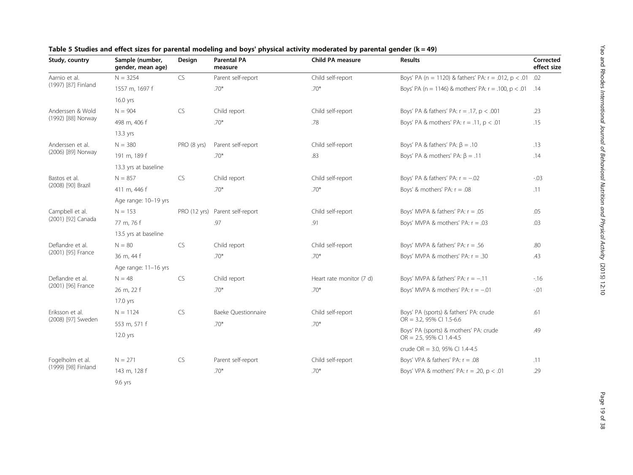| Study, country                         | Sample (number,<br>gender, mean age) | Design      | <b>Parental PA</b><br>measure   | Child PA measure         | <b>Results</b>                                                        | Corrected<br>effect size |
|----------------------------------------|--------------------------------------|-------------|---------------------------------|--------------------------|-----------------------------------------------------------------------|--------------------------|
| Aarnio et al.                          | $N = 3254$                           | CS          | Parent self-report              | Child self-report        | Boys' PA (n = 1120) & fathers' PA: $r = .012$ , $p < .01$ .02         |                          |
| (1997) [87] Finland                    | 1557 m, 1697 f                       |             | $.70*$                          | $.70*$                   | Boys' PA (n = 1146) & mothers' PA: $r = .100$ , $p < .01$ .14         |                          |
|                                        | 16.0 yrs                             |             |                                 |                          |                                                                       |                          |
| Anderssen & Wold                       | $N = 904$                            | <b>CS</b>   | Child report                    | Child self-report        | Boys' PA & fathers' PA: $r = .17$ , $p < .001$                        | .23                      |
| (1992) [88] Norway                     | 498 m, 406 f                         |             | $.70*$                          | .78                      | Boys' PA & mothers' PA: $r = .11$ , $p < .01$                         | .15                      |
|                                        | 13.3 yrs                             |             |                                 |                          |                                                                       |                          |
| Anderssen et al.<br>(2006) [89] Norway | $N = 380$                            | PRO (8 yrs) | Parent self-report              | Child self-report        | Boys' PA & fathers' PA: $\beta = .10$                                 | .13                      |
|                                        | 191 m, 189 f                         |             | $.70*$                          | .83                      | Boys' PA & mothers' PA: $\beta = .11$                                 | .14                      |
|                                        | 13.3 yrs at baseline                 |             |                                 |                          |                                                                       |                          |
| Bastos et al.                          | $N = 857$                            | <b>CS</b>   | Child report                    | Child self-report        | Boys' PA & fathers' PA: $r = -.02$                                    | $-0.03$                  |
| (2008) [90] Brazil                     | 411 m, 446 f                         |             | $.70*$                          | $.70*$                   | Boys' & mothers' PA: $r = .08$                                        | .11                      |
|                                        | Age range: 10-19 yrs                 |             |                                 |                          |                                                                       |                          |
| Campbell et al.                        | $N = 153$                            |             | PRO (12 yrs) Parent self-report | Child self-report        | Boys' MVPA & fathers' PA: $r = .05$                                   | .05                      |
| (2001) [92] Canada                     | 77 m, 76 f                           |             | .97                             | .91                      | Boys' MVPA & mothers' PA: $r = .03$                                   | .03                      |
|                                        | 13.5 yrs at baseline                 |             |                                 |                          |                                                                       |                          |
| Deflandre et al.                       | $N = 80$                             | <b>CS</b>   | Child report                    | Child self-report        | Boys' MVPA & fathers' PA: $r = .56$                                   | .80                      |
| (2001) [95] France                     | 36 m, 44 f                           |             | $.70*$                          | $.70*$                   | Boys' MVPA & mothers' PA: $r = .30$                                   | .43                      |
|                                        | Age range: 11-16 yrs                 |             |                                 |                          |                                                                       |                          |
| Deflandre et al.                       | $N = 48$                             | CS          | Child report                    | Heart rate monitor (7 d) | Boys' MVPA & fathers' PA: $r = -.11$                                  | $-16$                    |
| (2001) [96] France                     | 26 m, 22 f                           |             | $.70*$                          | $.70*$                   | Boys' MVPA & mothers' PA: $r = -.01$                                  | $-.01$                   |
|                                        | 17.0 yrs                             |             |                                 |                          |                                                                       |                          |
| Eriksson et al.                        | $N = 1124$                           | <b>CS</b>   | <b>Baeke Questionnaire</b>      | Child self-report        | Boys' PA (sports) & fathers' PA: crude                                | .61                      |
| (2008) [97] Sweden                     | 553 m, 571 f                         |             | $.70*$                          | $.70*$                   | OR = 3.2, 95% CI 1.5-6.6                                              |                          |
|                                        | 12.0 yrs                             |             |                                 |                          | Boys' PA (sports) & mothers' PA: crude<br>OR = $2.5$ , 95% CI 1.4-4.5 | .49                      |
|                                        |                                      |             |                                 |                          | crude OR = $3.0$ , 95% CI 1.4-4.5                                     |                          |
| Fogelholm et al.                       | $N = 271$                            | <b>CS</b>   | Parent self-report              | Child self-report        | Boys' VPA & fathers' PA: $r = .08$                                    | .11                      |
| (1999) [98] Finland                    | 143 m, 128 f                         |             | $.70*$                          | $.70*$                   | Boys' VPA & mothers' PA: $r = .20$ , $p < .01$                        | .29                      |
|                                        | 9.6 yrs                              |             |                                 |                          |                                                                       |                          |

# <span id="page-18-0"></span>Table 5 Studies and effect sizes for parental modeling and boys' physical activity moderated by parental gender (k = 49)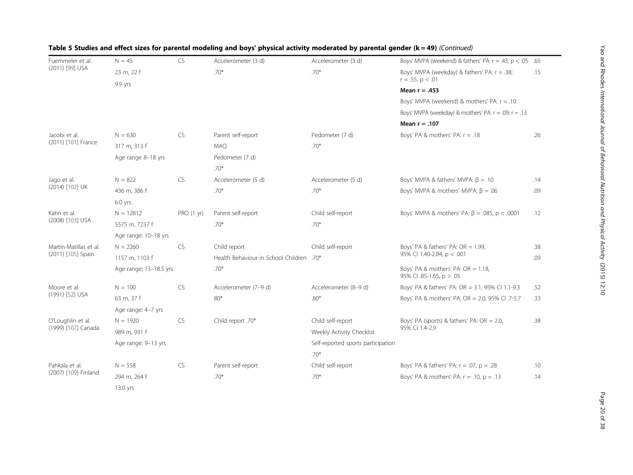| Fuemmeler et al.                | $N = 45$               | <b>CS</b>  | Accelerometer (3 d)                      | Accelerometer (3 d)                | Boys' MVPA (weekend) & fathers' PA: $r = .43$ , $p < .05$ . 65        |     |
|---------------------------------|------------------------|------------|------------------------------------------|------------------------------------|-----------------------------------------------------------------------|-----|
| (2011) [99] USA                 | 23 m, 22 f             |            | $.70*$                                   | $.70*$                             | Boys' MVPA (weekday) & fathers' PA: r = .38;<br>$r = .55$ , $p < .01$ | .15 |
|                                 | 9.9 yrs                |            |                                          |                                    | Mean $r = .453$                                                       |     |
|                                 |                        |            |                                          |                                    | Boys' MVPA (weekend) & mothers' PA: r = .10                           |     |
|                                 |                        |            |                                          |                                    | Boys' MVPA (weekday) & mothers' PA: $r = .09$ ; $r = .13$             |     |
|                                 |                        |            |                                          |                                    | Mean $r = .107$                                                       |     |
| Jacobi et al.                   | $N = 630$              | <b>CS</b>  | Parent self-report                       | Pedometer (7 d)                    | Boys' PA & mothers' PA: $r = .18$                                     | .26 |
| (2011) [101] France             | 317 m, 313 f           |            | <b>MAO</b>                               | $.70*$                             |                                                                       |     |
|                                 | Age range 8-18 yrs     |            | Pedometer (7 d)                          |                                    |                                                                       |     |
|                                 |                        |            | $.70*$                                   |                                    |                                                                       |     |
| Jago et al.                     | $N = 822$              | <b>CS</b>  | Accelerometer (5 d)                      | Accelerometer (5 d)                | Boys' MVPA & fathers' MVPA: $\beta = .10$                             | .14 |
| (2014) [102] UK                 | 436 m, 386 f           |            | $.70*$                                   | $.70*$                             | Boys' MVPA & mothers' MVPA: $\beta = .06$                             | .09 |
|                                 | $6.0$ yrs              |            |                                          |                                    |                                                                       |     |
| Kahn et al.<br>(2008) [103] USA | $N = 12812$            | PRO (1 yr) | Parent self-report                       | Child self-report                  | Boys' MVPA & mothers' PA: β = .085, p < .0001                         | .12 |
|                                 | 5575 m, 7237 f         |            | $.70*$                                   | $.70*$                             |                                                                       |     |
|                                 | Age range: 10-18 yrs   |            |                                          |                                    |                                                                       |     |
| Martin-Matillas et al.          | $N = 2260$             | <b>CS</b>  | Child report                             | Child self-report                  | Boys' PA & fathers' PA: $OR = 1.99$ ,                                 | .38 |
| (2011) [105] Spain              | 1157 m, 1103 f         |            | Health Behaviour in School Children .70* |                                    | 95% CI 1.40-2.84, p < .001                                            | .09 |
|                                 | Age range; 13-18.5 yrs |            | $.70*$                                   |                                    | Boys' PA & mothers' PA: OR = 1.18,<br>95% CI .85-1.65, p > .05        |     |
| Moore et al.                    | $N = 100$              | <b>CS</b>  | Accelerometer (7-9 d)                    | Accelerometer (8-9 d)              | Boys' PA & fathers' PA: OR = 3.1, 95% CI 1.1-9.3                      | .52 |
| (1991) [52] USA                 | 63 m, 37 f             |            | $80*$                                    | $.80*$                             | Boys' PA & mothers' PA: OR = 2.0, 95% CI .7-5.7                       | .33 |
|                                 | Age range: 4-7 yrs     |            |                                          |                                    |                                                                       |     |
| O'Loughlin et al.               | $N = 1920$             | <b>CS</b>  | Child report .70*                        | Child self-report                  | Boys' PA (sports) & fathers' PA: OR = 2.0,                            | .38 |
| (1999) [107] Canada             | 989 m, 931 f           |            |                                          | Weekly Activity Checklist          | 95% CI 1.4-2.9                                                        |     |
|                                 | Age range: 9-13 yrs    |            |                                          | Self-reported sports participation |                                                                       |     |
|                                 |                        |            |                                          | $.70*$                             |                                                                       |     |
| Pahkala et al.                  | $N = 558$              | <b>CS</b>  | Parent self-report                       | Child self-report                  | Boys' PA & fathers' PA: $r = .07$ , $p = .28$                         | .10 |
| (2007) [109] Finland            | 294 m, 264 f           |            | $.70*$                                   | $.70*$                             | Boys' PA & mothers' PA: $r = .10$ , $p = .13$                         | .14 |
|                                 | 13.0 yrs               |            |                                          |                                    |                                                                       |     |

# Table 5 Studies and effect sizes for parental modeling and boys' physical activity moderated by parental gender ( $k = 49$ ) (Continued)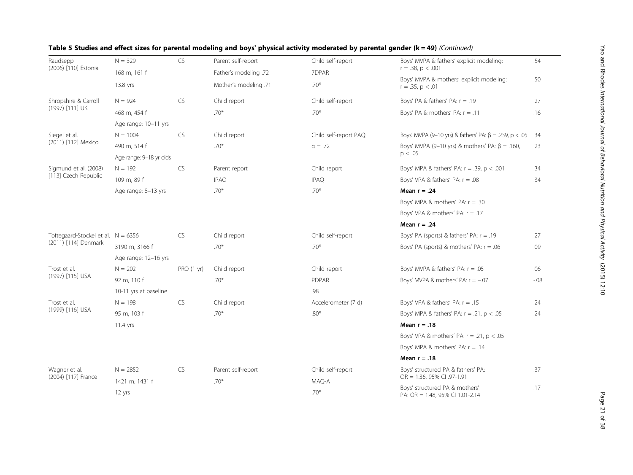| Raudsepp                             | $N = 329$               | CS                | Parent self-report    | Child self-report     | Boys' MVPA & fathers' explicit modeling:                            | .54     |
|--------------------------------------|-------------------------|-------------------|-----------------------|-----------------------|---------------------------------------------------------------------|---------|
| (2006) [110] Estonia                 | 168 m, 161 f            |                   | Father's modeling .72 | 7DPAR                 | $r = .38$ , $p < .001$                                              |         |
|                                      | 13.8 yrs                |                   | Mother's modeling .71 | $.70*$                | Boys' MVPA & mothers' explicit modeling:<br>$r = .35$ , $p < .01$   | .50     |
| Shropshire & Carroll                 | $N = 924$               | CS                | Child report          | Child self-report     | Boys' PA & fathers' PA: $r = .19$                                   | .27     |
| (1997) [111] UK                      | 468 m, 454 f            |                   | $.70*$                | $.70*$                | Boys' PA & mothers' PA: $r = .11$                                   | .16     |
|                                      | Age range: 10-11 yrs    |                   |                       |                       |                                                                     |         |
| Siegel et al.                        | $N = 1004$              | <b>CS</b>         | Child report          | Child self-report PAQ | Boys' MVPA (9-10 yrs) & fathers' PA: $\beta = 0.239$ , p < 0.05 .34 |         |
| (2011) [112] Mexico                  | 490 m, 514 f            |                   | $.70*$                | $\alpha = .72$        | Boys' MVPA (9-10 yrs) & mothers' PA: $\beta$ = .160,                | .23     |
|                                      | Age range: 9-18 yr olds |                   |                       |                       | p < .05                                                             |         |
| Sigmund et al. (2008)                | $N = 192$               | <b>CS</b>         | Parent report         | Child report          | Boys' MPA & fathers' PA: $r = .39$ , $p < .001$                     | .34     |
| [113] Czech Republic                 | 109 m, 89 f             |                   | <b>IPAQ</b>           | <b>IPAQ</b>           | Boys' VPA & fathers' PA: $r = .08$                                  | .34     |
|                                      | Age range: 8-13 yrs     |                   | $.70*$                | $.70*$                | Mean $r = .24$                                                      |         |
|                                      |                         |                   |                       |                       | Boys' MPA & mothers' PA: $r = .30$                                  |         |
|                                      |                         |                   |                       |                       | Boys' VPA & mothers' PA: $r = .17$                                  |         |
|                                      |                         |                   |                       |                       | Mean $r = .24$                                                      |         |
| Toftegaard-Stockel et al. $N = 6356$ |                         | <b>CS</b>         | Child report          | Child self-report     | Boys' PA (sports) & fathers' PA: $r = .19$                          | .27     |
| (2011) [114] Denmark                 | 3190 m, 3166 f          |                   | $.70*$                | $.70*$                | Boys' PA (sports) & mothers' PA: r = .06                            | .09     |
|                                      | Age range: 12-16 yrs    |                   |                       |                       |                                                                     |         |
| Trost et al.                         | $N = 202$               | <b>PRO (1 yr)</b> | Child report          | Child report          | Boys' MVPA & fathers' PA: $r = .05$                                 | .06     |
| (1997) [115] USA                     | 92 m, 110 f             |                   | $.70*$                | PDPAR                 | Boys' MVPA & mothers' PA: $r = -.07$                                | $-0.08$ |
|                                      | 10-11 yrs at baseline   |                   |                       | .98                   |                                                                     |         |
| Trost et al.                         | $N = 198$               | <b>CS</b>         | Child report          | Accelerometer (7 d)   | Boys' VPA & fathers' PA: $r = .15$                                  | .24     |
| (1999) [116] USA                     | 95 m, 103 f             |                   | $.70*$                | $.80*$                | Boys' MPA & fathers' PA: $r = .21$ , $p < .05$                      | .24     |
|                                      | $11.4$ yrs              |                   |                       |                       | Mean $r = .18$                                                      |         |
|                                      |                         |                   |                       |                       | Boys' VPA & mothers' PA: $r = .21$ , $p < .05$                      |         |
|                                      |                         |                   |                       |                       | Boys' MPA & mothers' PA: $r = .14$                                  |         |
|                                      |                         |                   |                       |                       | Mean $r = .18$                                                      |         |
| Wagner et al.                        | $N = 2852$              | <b>CS</b>         | Parent self-report    | Child self-report     | Boys' structured PA & fathers' PA:                                  | .37     |
| (2004) [117] France                  | 1421 m, 1431 f          |                   | $.70*$                | MAQ-A                 | OR = $1.36$ , 95% CI .97-1.91                                       |         |
|                                      | 12 yrs                  |                   |                       | $.70*$                | Boys' structured PA & mothers'<br>PA: OR = 1.48, 95% CI 1.01-2.14   | .17     |

# Table 5 Studies and effect sizes for parental modeling and boys' physical activity moderated by parental gender ( $k = 49$ ) (Continued)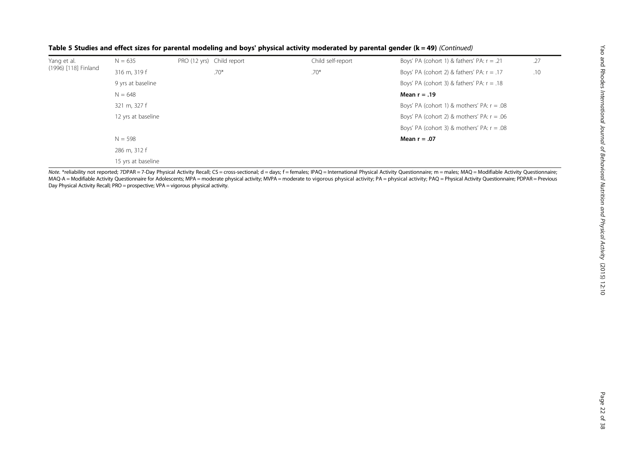| Yang et al.<br>(1996) [118] Finland | $N = 635$          | PRO (12 yrs) Child report | Child self-report | Boys' PA (cohort 1) & fathers' PA: $r = .21$ | .27 |
|-------------------------------------|--------------------|---------------------------|-------------------|----------------------------------------------|-----|
|                                     | 316 m, 319 f       | $.70*$                    | $.70*$            | Boys' PA (cohort 2) & fathers' PA: $r = .17$ | .10 |
|                                     | 9 yrs at baseline  |                           |                   | Boys' PA (cohort 3) & fathers' PA: $r = .18$ |     |
|                                     | $N = 648$          |                           |                   | Mean $r = .19$                               |     |
|                                     | 321 m, 327 f       |                           |                   | Boys' PA (cohort 1) & mothers' PA: $r = .08$ |     |
|                                     | 12 yrs at baseline |                           |                   | Boys' PA (cohort 2) & mothers' PA: $r = .06$ |     |
|                                     |                    |                           |                   | Boys' PA (cohort 3) & mothers' PA: $r = .08$ |     |
|                                     | $N = 598$          |                           |                   | Mean $r = .07$                               |     |
|                                     | 286 m, 312 f       |                           |                   |                                              |     |
|                                     | 15 yrs at baseline |                           |                   |                                              |     |

Table 5 Studies and effect sizes for parental modeling and boys' physical activity moderated by parental gender  $(k = 49)$  (Continued)

Note. \*reliability not reported; 7DPAR = 7-Day Physical Activity Recall; CS = cross-sectional; d = days; f = females; IPAQ = International Physical Activity Questionnaire; m = males; MAQ = Modifiable Activity Questionnaire MAQ-A = Modifiable Activity Questionnaire for Adolescents; MPA = moderate physical activity; MVPA = moderate to vigorous physical activity; PA = physical activity; PAQ = Physical Activity Questionnaire; PDPAR = Previous Day Physical Activity Recall; PRO = prospective; VPA = vigorous physical activity.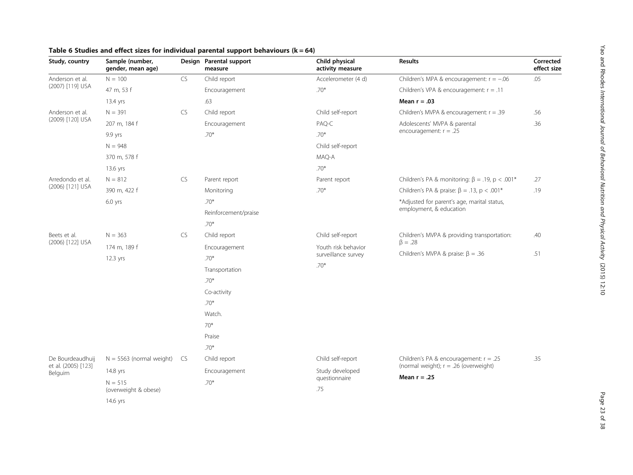| Study, country                 | Sample (number,<br>gender, mean age) |           | Design Parental support<br>measure | Child physical<br>activity measure | <b>Results</b>                                        | Corrected<br>effect size |
|--------------------------------|--------------------------------------|-----------|------------------------------------|------------------------------------|-------------------------------------------------------|--------------------------|
| Anderson et al.                | $N = 100$                            | CS        | Child report                       | Accelerometer (4 d)                | Children's MPA & encouragement: $r = -.06$            | .05                      |
| (2007) [119] USA               | 47 m, 53 f                           |           | Encouragement                      | $.70*$                             | Children's VPA & encouragement: $r = .11$             |                          |
|                                | 13.4 yrs                             |           | .63                                |                                    | Mean $r = .03$                                        |                          |
| Anderson et al.                | $N = 391$                            | CS.       | Child report                       | Child self-report                  | Children's MVPA & encouragement: $r = .39$            | .56                      |
| (2009) [120] USA               | 207 m, 184 f                         |           | Encouragement                      | PAQ-C                              | Adolescents' MVPA & parental                          | .36                      |
|                                | 9.9 yrs                              |           | $.70*$                             | $.70*$                             | encouragement: $r = .25$                              |                          |
|                                | $N = 948$                            |           |                                    | Child self-report                  |                                                       |                          |
|                                | 370 m, 578 f                         |           |                                    | MAQ-A                              |                                                       |                          |
|                                | 13.6 yrs                             |           |                                    | $.70*$                             |                                                       |                          |
| Arredondo et al.               | $N = 812$                            | <b>CS</b> | Parent report                      | Parent report                      | Children's PA & monitoring: $\beta = .19$ , p < .001* | .27                      |
| (2006) [121] USA               | 390 m, 422 f                         |           | Monitoring                         | $.70*$                             | Children's PA & praise: $\beta = .13$ , p < .001*     | .19                      |
|                                | $6.0$ yrs                            |           | $.70*$                             |                                    | *Adjusted for parent's age, marital status,           |                          |
|                                |                                      |           | Reinforcement/praise               |                                    | employment, & education                               |                          |
|                                |                                      |           | $.70*$                             |                                    |                                                       |                          |
| Beets et al.                   | $N = 363$                            | <b>CS</b> | Child report                       | Child self-report                  | Children's MVPA & providing transportation:           | .40                      |
| (2006) [122] USA               | 174 m, 189 f                         |           | Encouragement                      | Youth risk behavior                | $\beta = .28$                                         |                          |
|                                | 12.3 yrs                             |           | $.70*$                             | surveillance survey                | Children's MVPA & praise: $\beta = .36$               | .51                      |
|                                |                                      |           | Transportation                     | $.70*$                             |                                                       |                          |
|                                |                                      |           | $.70*$                             |                                    |                                                       |                          |
|                                |                                      |           | Co-activity                        |                                    |                                                       |                          |
|                                |                                      |           | $.70*$                             |                                    |                                                       |                          |
|                                |                                      |           | Watch.                             |                                    |                                                       |                          |
|                                |                                      |           | $70*$                              |                                    |                                                       |                          |
|                                |                                      |           | Praise                             |                                    |                                                       |                          |
|                                |                                      |           | $.70*$                             |                                    |                                                       |                          |
| De Bourdeaudhuij               | $N = 5563$ (normal weight)           | CS        | Child report                       | Child self-report                  | Children's PA & encouragement: $r = .25$              | .35                      |
| et al. (2005) [123]<br>Belguim | 14.8 yrs                             |           | Encouragement                      | Study developed                    | (normal weight); $r = .26$ (overweight)               |                          |
|                                | $N = 515$<br>(overweight & obese)    |           | $.70*$                             | questionnaire<br>.75               | Mean $r = .25$                                        |                          |
|                                | 14.6 yrs                             |           |                                    |                                    |                                                       |                          |

# <span id="page-22-0"></span>Table 6 Studies and effect sizes for individual parental support behaviours ( $k = 64$ )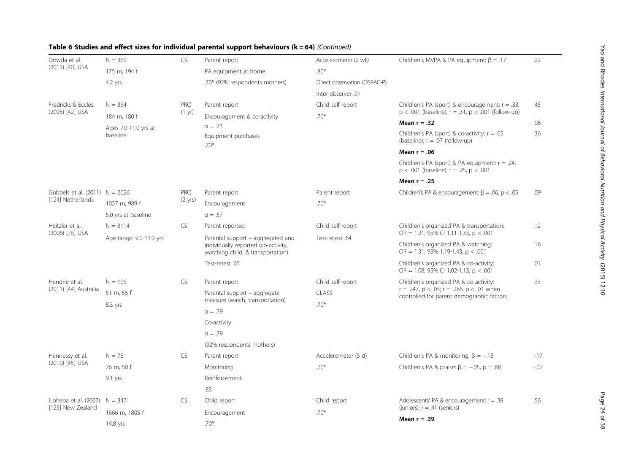| Dowda et al.                                          | $N = 369$                  | <b>CS</b>                                                                | Parent report                                                   | Accelerometer (2 wk)                                                           | Children's MVPA & PA equipment: $\beta = .17$                                                      | .22     |
|-------------------------------------------------------|----------------------------|--------------------------------------------------------------------------|-----------------------------------------------------------------|--------------------------------------------------------------------------------|----------------------------------------------------------------------------------------------------|---------|
| (2011) [40] USA                                       | 175 m, 194 f               |                                                                          | PA equipment at home                                            | $.80*$                                                                         |                                                                                                    |         |
|                                                       | $4.2$ yrs                  |                                                                          | .70* (92% respondents mothers)                                  | Direct observation (OSRAC-P)                                                   |                                                                                                    |         |
|                                                       |                            |                                                                          |                                                                 | lnter-observer .91                                                             |                                                                                                    |         |
| Fredricks & Eccles                                    | $N = 364$                  | PRO                                                                      | Parent report                                                   | Child self-report                                                              | Children's PA (sport) & encouragement: $r = .33$ ,                                                 | .45     |
| (2005) [42] USA                                       | 184 m, 180 f               | $(1 \text{ yr})$                                                         | Encouragement & co-activity                                     | $.70*$                                                                         | $p < .001$ (baseline); $r = .31$ , $p < .001$ (follow-up)                                          |         |
|                                                       | Ages 7.0-11.0 yrs at       |                                                                          | $\alpha = .73$                                                  |                                                                                | Mean $r = .32$                                                                                     | .08     |
|                                                       | baseline                   |                                                                          | Equipment purchases<br>$.70*$                                   |                                                                                | Children's PA (sport) & co-activity: $r = .05$<br>(baseline); $r = .07$ (follow-up)                | .36     |
|                                                       |                            |                                                                          |                                                                 |                                                                                | Mean $r = .06$                                                                                     |         |
|                                                       |                            |                                                                          |                                                                 |                                                                                | Children's PA (sport) & PA equipment: $r = .24$ ,<br>$p < .001$ (baseline); $r = .25$ , $p < .001$ |         |
|                                                       |                            |                                                                          |                                                                 |                                                                                | Mean $r = .25$                                                                                     |         |
| Gubbels et al. $(2011)$ N = 2026<br>[124] Netherlands |                            | <b>PRO</b>                                                               | Parent report                                                   | Parent report                                                                  | Children's PA & encouragement: $\beta = .06$ , $p < .05$                                           | .09     |
|                                                       | 1037 m, 989 f              | $(2 \text{ yrs})$                                                        | Encouragement                                                   | $.70*$                                                                         |                                                                                                    |         |
|                                                       | 5.0 yrs at baseline        |                                                                          | $\alpha = .57$                                                  |                                                                                |                                                                                                    |         |
| Heitzler et al.<br>(2006) [76] USA                    | $N = 3114$                 | <b>CS</b>                                                                | Parent reported                                                 | Child self-report                                                              | Children's organized PA & transportation:                                                          | .12     |
|                                                       | Age range: 9.0-13.0 yrs    | Parental support - aggregated and<br>individually reported (co-activity, | Test-retest .64                                                 | OR = 1.21, 95% CI 1.11-1.33, $p < .001$<br>Children's organized PA & watching: | .16                                                                                                |         |
|                                                       |                            |                                                                          | watching child, & transportation)                               |                                                                                | $OR = 1.31, 95\%$ 1.19-1.43, $p < .001$                                                            |         |
|                                                       |                            |                                                                          | Test-retest .65                                                 |                                                                                | Children's organized PA & co-activity:<br>OR = 1.08, 95% CI 1.02-1.13, $p < .001$                  | .01     |
| Hendrie et al.                                        | $N = 106$                  | CS.                                                                      | Parent report                                                   | Child self-report                                                              | Children's organized PA & co-activity:                                                             | .33     |
| (2011) [44] Australia                                 | 51 m, 55 f                 |                                                                          | Parental support - aggregate<br>measure (watch, transportation) | <b>CLASS</b>                                                                   | $r = .247$ , $p < .05$ ; $r = .286$ , $p < .01$ when<br>controlled for parent demographic factors  |         |
|                                                       | 8.3 yrs                    |                                                                          | $\alpha = .79$                                                  | $.70*$                                                                         |                                                                                                    |         |
|                                                       |                            |                                                                          | Co-activity                                                     |                                                                                |                                                                                                    |         |
|                                                       |                            |                                                                          | $\alpha = .79$                                                  |                                                                                |                                                                                                    |         |
|                                                       |                            |                                                                          | (92% respondents mothers)                                       |                                                                                |                                                                                                    |         |
| Hennessy et al.                                       | $N = 76$                   | <b>CS</b>                                                                | Parent report                                                   | Accelerometer (5 d)                                                            | Children's PA & monitoring: $\beta = -.13$                                                         | $-17$   |
| (2010) [45] USA                                       | 26 m, 50 f                 |                                                                          | Monitoring                                                      | $.70*$                                                                         | Children's PA & praise: $\beta = -.05$ , p = .68                                                   | $-0.07$ |
|                                                       | $9.1$ yrs                  |                                                                          | Reinforcement                                                   |                                                                                |                                                                                                    |         |
|                                                       |                            |                                                                          | .83                                                             |                                                                                |                                                                                                    |         |
| Hohepa et al. $(2007)$ N = 3471                       |                            | <b>CS</b>                                                                | Child report                                                    | Child report                                                                   | Adolescents' PA & encouragement: $r = .38$                                                         | .56     |
| [125] New Zealand                                     |                            |                                                                          |                                                                 | $.70*$                                                                         | (juniors); $r = .41$ (seniors)                                                                     |         |
|                                                       | 1666 m, 1805 f<br>14.8 yrs | Encouragement<br>$.70*$                                                  |                                                                 | Mean $r = .39$                                                                 |                                                                                                    |         |
|                                                       |                            |                                                                          |                                                                 |                                                                                |                                                                                                    |         |

# Table 6 Studies and effect sizes for individual parental support behaviours ( $k = 64$ ) (Continued)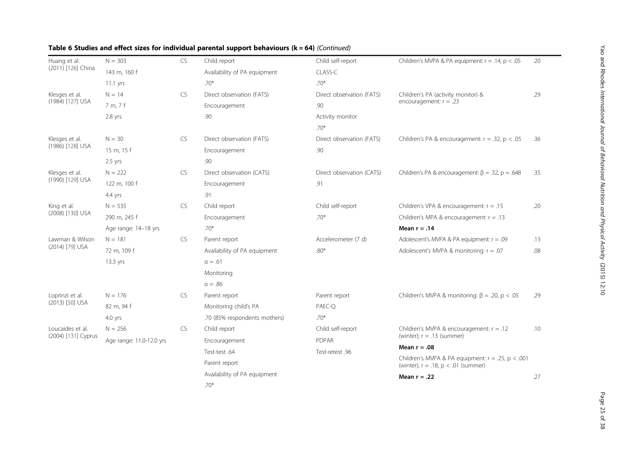| Huang et al.                       | $N = 303$                | <b>CS</b> | Child report                  | Child self-report         | Children's MVPA & PA equipment: $r = .14$ , $p < .05$                                              | .20 |
|------------------------------------|--------------------------|-----------|-------------------------------|---------------------------|----------------------------------------------------------------------------------------------------|-----|
| (2011) [126] China                 | 143 m, 160 f             |           | Availability of PA equipment  | CLASS-C                   |                                                                                                    |     |
|                                    | 11.1 yrs                 |           | $.70*$                        | $.70*$                    |                                                                                                    |     |
| Klesges et al.                     | $N = 14$                 | <b>CS</b> | Direct observation (FATS)     | Direct observation (FATS) | Children's PA (activity monitor) &                                                                 | .29 |
| (1984) [127] USA                   | 7 m, 7 f                 |           | Encouragement                 | .90                       | encouragement: $r = .23$                                                                           |     |
|                                    | 2.8 yrs                  |           | .90                           | Activity monitor          |                                                                                                    |     |
|                                    |                          |           |                               | $.70*$                    |                                                                                                    |     |
| Klesges et al.                     | $N = 30$                 | <b>CS</b> | Direct observation (FATS)     | Direct observation (FATS) | Children's PA & encouragement: $r = .32$ , $p < .05$                                               | .36 |
| (1986) [128] USA                   | 15 m, 15 f               |           | Encouragement                 | .90                       |                                                                                                    |     |
|                                    | $2.5$ yrs                |           | .90                           |                           |                                                                                                    |     |
| Klesges et al.<br>(1990) [129] USA | $N = 222$                | <b>CS</b> | Direct observation (CATS)     | Direct observation (CATS) | Children's PA & encouragement: $\beta = 0.32$ , p = 0.648                                          | .35 |
|                                    | 122 m, 100 f             |           | Encouragement                 | .91                       |                                                                                                    |     |
|                                    | 4.4 yrs                  |           | .91                           |                           |                                                                                                    |     |
| King et al.                        | $N = 535$                | <b>CS</b> | Child report                  | Child self-report         | Children's VPA & encouragement: $r = .15$                                                          | .20 |
| (2008) [130] USA                   | 290 m, 245 f             |           | Encouragement                 | $.70*$                    | Children's MPA & encouragement: $r = .13$                                                          |     |
|                                    | Age range: 14-18 yrs     |           | $.70*$                        |                           | Mean $r = .14$                                                                                     |     |
| Lawman & Wilson                    | $N = 181$                | <b>CS</b> | Parent report                 | Accelerometer (7 d)       | Adolescent's MVPA & PA equipment: $r = .09$                                                        | .13 |
| (2014) [79] USA                    | 72 m, 109 f              |           | Availability of PA equipment  | $.80*$                    | Adolescent's MVPA & monitoring: $r = .07$                                                          | .08 |
|                                    | 13.3 yrs                 |           | $\alpha = .61$                |                           |                                                                                                    |     |
|                                    |                          |           | Monitoring                    |                           |                                                                                                    |     |
|                                    |                          |           | $\alpha = .86$                |                           |                                                                                                    |     |
| Loprinzi et al.                    | $N = 176$                | <b>CS</b> | Parent report                 | Parent report             | Children's MVPA & monitoring: $\beta = .20$ , $p < .05$                                            | .29 |
| (2013) [50] USA                    | 82 m, 94 f               |           | Monitoring child's PA         | PAEC-Q                    |                                                                                                    |     |
|                                    | 4.0 yrs                  |           | .70 (85% respondents mothers) | $.70*$                    |                                                                                                    |     |
| Loucaides et al.                   | $N = 256$                | <b>CS</b> | Child report                  | Child self-report         | Children's MVPA & encouragement: $r = .12$                                                         | .10 |
| (2004) [131] Cyprus                | Age range: 11.0-12.0 yrs |           | Encouragement                 | PDPAR                     | (winter); $r = .13$ (summer)                                                                       |     |
|                                    |                          |           | Test-test .64                 | Test-retest .96           | Mean $r = .08$                                                                                     |     |
|                                    |                          |           | Parent report                 |                           | Children's MVPA & PA equipment: $r = .25$ , $p < .001$<br>(winter); $r = .18$ , $p < .01$ (summer) |     |
|                                    |                          |           | Availability of PA equipment  |                           | Mean $r = .22$                                                                                     | .27 |
|                                    |                          |           |                               |                           |                                                                                                    |     |

# Table 6 Studies and effect sizes for individual parental support behaviours ( $k = 64$ ) (Continued)

Yao and Rhodes

International

Journal of

Behavioral

Nutrition

and Physical

Activity

(2015) 12:10

.70\*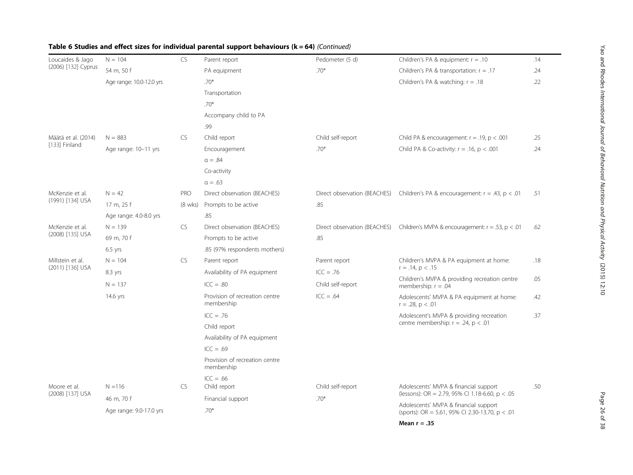| Loucaides & Jago                    | $N = 104$                | CS.                                          | Parent report                                | Pedometer (5 d)   | Children's PA & equipment: $r = .10$                                                       | .14 |
|-------------------------------------|--------------------------|----------------------------------------------|----------------------------------------------|-------------------|--------------------------------------------------------------------------------------------|-----|
| (2006) [132] Cyprus                 | 54 m, 50 f               |                                              | PA equipment                                 | $.70*$            | Children's PA & transportation: $r = .17$                                                  | .24 |
|                                     | Age range: 10.0-12.0 yrs |                                              | $.70*$                                       |                   | Children's PA & watching: $r = .18$                                                        | .22 |
|                                     |                          |                                              | Transportation                               |                   |                                                                                            |     |
|                                     |                          |                                              | $.70*$                                       |                   |                                                                                            |     |
|                                     |                          |                                              | Accompany child to PA                        |                   |                                                                                            |     |
|                                     |                          |                                              | .99                                          |                   |                                                                                            |     |
| Määtä et al. (2014)                 | $N = 883$                | CS.                                          | Child report                                 | Child self-report | Child PA & encouragement: $r = .19$ , $p < .001$                                           | .25 |
| [133] Finland                       | Age range: 10-11 yrs     |                                              | Encouragement                                | $.70*$            | Child PA & Co-activity: $r = .16$ , $p < .001$                                             | .24 |
|                                     |                          |                                              | $\alpha = .84$                               |                   |                                                                                            |     |
|                                     |                          |                                              | Co-activity                                  |                   |                                                                                            |     |
|                                     |                          |                                              | $\alpha = .63$                               |                   |                                                                                            |     |
| McKenzie et al.<br>(1991) [134] USA | $N = 42$                 | <b>PRO</b>                                   | Direct observation (BEACHES)                 |                   | Direct observation (BEACHES) Children's PA & encouragement: $r = .43$ , $p < .01$          | .51 |
|                                     | 17 m, 25 f               | $(8 \text{ wks})$                            | Prompts to be active                         | .85               |                                                                                            |     |
|                                     | Age range: 4.0-8.0 yrs   |                                              | .85                                          |                   |                                                                                            |     |
| McKenzie et al.                     | $N = 139$                | CS                                           | Direct observation (BEACHES)                 |                   | Direct observation (BEACHES) Children's MVPA & encouragement: $r = .53$ , $p < .01$        | .62 |
| (2008) [135] USA                    | 69 m, 70 f               |                                              | Prompts to be active                         | .85               |                                                                                            |     |
|                                     | $6.5$ yrs                |                                              | .85 (97% respondents mothers)                |                   |                                                                                            |     |
| Millstein et al.                    | $N = 104$                | CS.                                          | Parent report                                | Parent report     | Children's MVPA & PA equipment at home:                                                    | .18 |
| (2011) [136] USA                    | 8.3 yrs                  |                                              | Availability of PA equipment                 | $ICC = .76$       | $r = .14$ , $p < .15$                                                                      |     |
|                                     | $N = 137$                |                                              | $ICC = .80$                                  | Child self-report | Children's MVPA & providing recreation centre<br>membership: $r = .04$                     | .05 |
|                                     | 14.6 yrs                 |                                              | Provision of recreation centre<br>membership | $ICC = .64$       | Adolescents' MVPA & PA equipment at home:<br>$r = .28$ , $p < .01$                         | .42 |
|                                     |                          |                                              | $ICC = .76$                                  |                   | Adolescent's MVPA & providing recreation                                                   | .37 |
|                                     |                          |                                              | Child report                                 |                   | centre membership: $r = .24$ , $p < .01$                                                   |     |
|                                     |                          |                                              | Availability of PA equipment                 |                   |                                                                                            |     |
|                                     |                          |                                              | $ICC = .69$                                  |                   |                                                                                            |     |
|                                     |                          | Provision of recreation centre<br>membership |                                              |                   |                                                                                            |     |
|                                     |                          |                                              | $ICC = .66$                                  |                   |                                                                                            |     |
| Moore et al.<br>(2008) [137] USA    | $N = 116$                | CS.                                          | Child report                                 | Child self-report | Adolescents' MVPA & financial support<br>(lessons): OR = 2.79, 95% CI 1.18-6.60, $p < .05$ | .50 |
|                                     | 46 m, 70 f               |                                              | Financial support                            | $.70*$            | Adolescents' MVPA & financial support<br>(sports): OR = 5.61, 95% CI 2.30-13.70, $p < .01$ |     |
|                                     | Age range: 9.0-17.0 yrs  |                                              | $.70*$                                       |                   |                                                                                            |     |

Mean  $r = .35$ 

# Table 6 Studies and effect sizes for individual parental support behaviours ( $k = 64$ ) (Continued)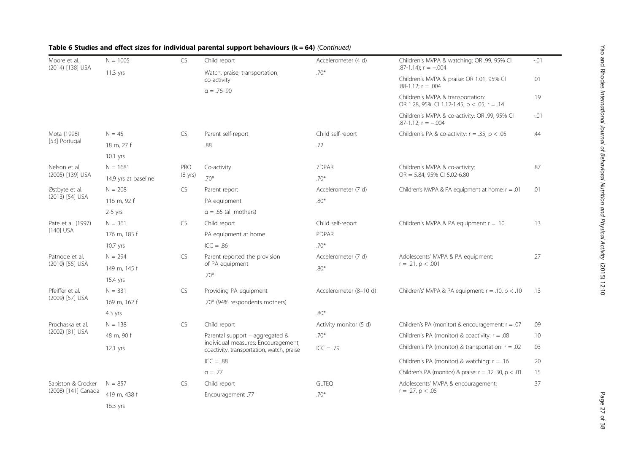| Moore et al.<br>(2014) [138] USA | <b>CS</b><br>$N = 1005$ |                   | Child report                                                                     | Accelerometer (4 d)    | Children's MVPA & watching: OR .99, 95% CI<br>.87-1.14); $r = -.004$                | $-0.01$ |  |  |  |
|----------------------------------|-------------------------|-------------------|----------------------------------------------------------------------------------|------------------------|-------------------------------------------------------------------------------------|---------|--|--|--|
|                                  | 11.3 yrs                |                   | Watch, praise, transportation,<br>co-activity                                    | $.70*$                 | Children's MVPA & praise: OR 1.01, 95% CI<br>$.88-1.12$ ; r = .004                  | .01     |  |  |  |
|                                  |                         |                   | $\alpha = .76 - .90$                                                             |                        | Children's MVPA & transportation:<br>OR 1.28, 95% CI 1.12-1.45, $p < .05$ ; r = .14 | .19     |  |  |  |
|                                  |                         |                   |                                                                                  |                        | Children's MVPA & co-activity: OR .99, 95% CI<br>$.87-1.12$ : r = -.004             | $-.01$  |  |  |  |
| Mota (1998)                      | $N = 45$                | <b>CS</b>         | Parent self-report                                                               | Child self-report      | Children's PA & co-activity: $r = .35$ , $p < .05$                                  | .44     |  |  |  |
| [53] Portugal                    | 18 m, 27 f              |                   | .88                                                                              | .72                    |                                                                                     |         |  |  |  |
|                                  | 10.1 yrs                |                   |                                                                                  |                        |                                                                                     |         |  |  |  |
| Nelson et al.                    | $N = 1681$              | <b>PRO</b>        | Co-activity                                                                      | 7DPAR                  | Children's MVPA & co-activity:                                                      | .87     |  |  |  |
| (2005) [139] USA                 | 14.9 yrs at baseline    | $(8 \text{ yrs})$ | $.70*$                                                                           | $.70*$                 | OR = 5.84, 95% CI 5.02-6.80                                                         |         |  |  |  |
| Østbyte et al.                   | $N = 208$               | <b>CS</b>         | Parent report                                                                    | Accelerometer (7 d)    | Children's MVPA & PA equipment at home: $r = .01$                                   | .01     |  |  |  |
| (2013) [54] USA                  | 116 m, 92 f             |                   | PA equipment                                                                     | $.80*$                 |                                                                                     |         |  |  |  |
|                                  | $2-5$ yrs               |                   | $\alpha = .65$ (all mothers)                                                     |                        |                                                                                     |         |  |  |  |
| Pate et al. (1997)               | $N = 361$               | CS.               | Child report                                                                     | Child self-report      | Children's MVPA & PA equipment: $r = .10$                                           | .13     |  |  |  |
| $[140]$ USA                      | 176 m, 185 f            |                   | PA equipment at home                                                             | PDPAR                  |                                                                                     |         |  |  |  |
|                                  | 10.7 yrs                |                   | $ICC = .86$                                                                      | $.70*$                 |                                                                                     |         |  |  |  |
| Patnode et al.                   | $N = 294$               | <b>CS</b>         | Parent reported the provision<br>of PA equipment<br>$.70*$                       | Accelerometer (7 d)    | Adolescents' MVPA & PA equipment:                                                   | .27     |  |  |  |
| (2010) [55] USA                  | 149 m, 145 f            |                   |                                                                                  | $.80*$                 | $r = .21$ , $p < .001$                                                              |         |  |  |  |
|                                  | 15.4 yrs                |                   |                                                                                  |                        |                                                                                     |         |  |  |  |
| Pfeiffer et al.                  | $N = 331$               | <b>CS</b>         | Providing PA equipment                                                           | Accelerometer (8-10 d) | Children's' MVPA & PA equipment: $r = .10$ , $p < .10$                              | .13     |  |  |  |
| (2009) [57] USA                  | 169 m, 162 f            |                   | .70* (94% respondents mothers)                                                   |                        |                                                                                     |         |  |  |  |
|                                  | 4.3 yrs                 |                   |                                                                                  | $.80*$                 |                                                                                     |         |  |  |  |
| Prochaska et al.                 | $N = 138$               | <b>CS</b>         | Child report                                                                     | Activity monitor (5 d) | Children's PA (monitor) & encouragement: $r = .07$                                  | .09     |  |  |  |
| (2002) [81] USA                  | 48 m, 90 f              |                   | Parental support - aggregated &                                                  | $.70*$                 | Children's PA (monitor) & coactivity: $r = .08$                                     | .10     |  |  |  |
|                                  | 12.1 yrs                |                   | individual measures: Encouragement,<br>coactivity, transportation, watch, praise | $ICC = .79$            | Children's PA (monitor) & transportation: $r = .02$                                 | .03     |  |  |  |
|                                  |                         |                   | $ICC = .88$                                                                      |                        | Children's PA (monitor) & watching: $r = .16$                                       | .20     |  |  |  |
|                                  |                         |                   | $\alpha = .77$                                                                   |                        | Children's PA (monitor) & praise: $r = .12$ .30, $p < .01$                          | .15     |  |  |  |
| Sabiston & Crocker               | $N = 857$               | CS.               | Child report                                                                     | <b>GLTEQ</b>           | Adolescents' MVPA & encouragement:                                                  | .37     |  |  |  |
| (2008) [141] Canada              | 419 m, 438 f            |                   | Encouragement .77                                                                | $.70*$                 | $r = .27$ , $p < .05$                                                               |         |  |  |  |
|                                  | 16.3 yrs                |                   |                                                                                  |                        |                                                                                     |         |  |  |  |

# Table 6 Studies and effect sizes for individual parental support behaviours ( $k = 64$ ) (Continued)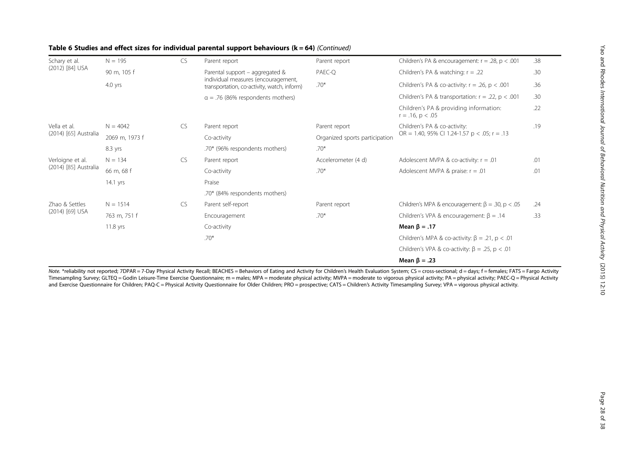| Schary et al.         | $N = 195$      | <b>CS</b> | Parent report                                                                      | Parent report                  | Children's PA & encouragement: $r = .28$ , $p < .001$           | .38 |  |
|-----------------------|----------------|-----------|------------------------------------------------------------------------------------|--------------------------------|-----------------------------------------------------------------|-----|--|
| (2012) [84] USA       | 90 m, 105 f    |           | Parental support - aggregated &                                                    | PAEC-Q                         | Children's PA & watching: $r = .22$                             | .30 |  |
|                       | $4.0$ yrs      |           | individual measures (encouragement,<br>transportation, co-activity, watch, inform) | $.70*$                         | Children's PA & co-activity: $r = .26$ , $p < .001$             | .36 |  |
|                       |                |           | $\alpha = .76$ (86% respondents mothers)                                           |                                | Children's PA & transportation: $r = .22$ , $p < .001$          | .30 |  |
|                       |                |           |                                                                                    |                                | Children's PA & providing information:<br>$r = .16$ , $p < .05$ | .22 |  |
| Vella et al.          | $N = 4042$     | <b>CS</b> | Parent report                                                                      | Parent report                  | Children's PA & co-activity:                                    | .19 |  |
| (2014) [65] Australia | 2069 m, 1973 f |           | Co-activity                                                                        | Organized sports participation | OR = 1.40, 95% CI 1.24-1.57 $p < .05$ ; r = .13                 |     |  |
| 8.3 yrs               |                |           | .70* (96% respondents mothers)                                                     | $.70*$                         |                                                                 |     |  |
| Verloigne et al.      | $N = 134$      | CS.       | Accelerometer (4 d)<br>Parent report                                               |                                | Adolescent MVPA & co-activity: $r = .01$                        | .01 |  |
| (2014) [85] Australia | 66 m, 68 f     |           | Co-activity                                                                        | $.70*$                         | Adolescent MVPA & praise: $r = .01$                             | .01 |  |
|                       | 14.1 yrs       |           | Praise                                                                             |                                |                                                                 |     |  |
|                       |                |           | .70* (84% respondents mothers)                                                     |                                |                                                                 |     |  |
| Zhao & Settles        | $N = 1514$     | CS.       | Parent self-report                                                                 | Parent report                  | Children's MPA & encouragement: $\beta = 0.30$ , p < 0.05       | .24 |  |
| (2014) [69] USA       | 763 m, 751 f   |           | Encouragement                                                                      | $.70*$                         | Children's VPA & encouragement: $\beta = .14$                   | .33 |  |
|                       | 11.8 yrs       |           | Co-activity                                                                        |                                | Mean $\beta = .17$                                              |     |  |
|                       |                |           | $.70*$                                                                             |                                | Children's MPA & co-activity: $\beta = .21$ , $p < .01$         |     |  |
|                       |                |           |                                                                                    |                                | Children's VPA & co-activity: $\beta = .25$ , $p < .01$         |     |  |
|                       |                |           |                                                                                    |                                | Mean $\beta = .23$                                              |     |  |

#### Table 6 Studies and effect sizes for individual parental support behaviours  $(k = 64)$  (Continued)

Note. \*reliability not reported; 7DPAR = 7-Day Physical Activity Recall; BEACHES = Behaviors of Eating and Activity for Children's Health Evaluation System; CS = cross-sectional; d = days; f = females; FATS = Fargo Activit Timesampling Survey; GLTEQ = Godin Leisure-Time Exercise Questionnaire; m = males; MPA = moderate physical activity; MVPA = moderate to vigorous physical activity; PA = physical activity; PAEC-Q = Physical Activity and Exercise Questionnaire for Children; PAQ-C = Physical Activity Questionnaire for Older Children; PRO = prospective; CATS = Children's Activity Timesampling Survey; VPA = vigorous physical activity.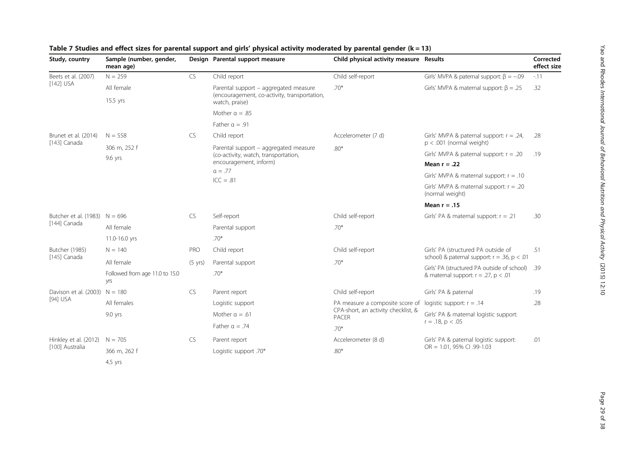| Study, country                       | Sample (number, gender,<br>mean age)  |                   | Design Parental support measure                                                       | Child physical activity measure Results             |                                                                                          | Corrected<br>effect size |
|--------------------------------------|---------------------------------------|-------------------|---------------------------------------------------------------------------------------|-----------------------------------------------------|------------------------------------------------------------------------------------------|--------------------------|
| Beets et al. (2007)                  | $N = 259$                             | <b>CS</b>         | Child report                                                                          | Child self-report                                   | Girls' MVPA & paternal support: $\beta = -.09$                                           | $-11$                    |
| [142] USA                            | All female                            |                   | Parental support - aggregated measure<br>(encouragement, co-activity, transportation, | $.70*$                                              | Girls' MVPA & maternal support: $\beta = .25$                                            | .32                      |
|                                      | 15.5 yrs                              |                   | watch, praise)                                                                        |                                                     |                                                                                          |                          |
|                                      |                                       |                   | Mother $\alpha = .85$                                                                 |                                                     |                                                                                          |                          |
|                                      |                                       |                   | Father $\alpha = .91$                                                                 |                                                     |                                                                                          |                          |
| Brunet et al. (2014)<br>[143] Canada | $N = 558$                             | CS                | Child report                                                                          | Accelerometer (7 d)                                 | Girls' MVPA & paternal support: $r = .24$ ,<br>$p < .001$ (normal weight)                | .28                      |
|                                      | 306 m, 252 f                          |                   | Parental support - aggregated measure<br>(co-activity, watch, transportation,         | $.80*$                                              | Girls' MVPA & paternal support: $r = .20$                                                | .19                      |
|                                      | 9.6 yrs                               |                   | encouragement, inform)                                                                |                                                     | Mean $r = .22$                                                                           |                          |
|                                      |                                       |                   | $\alpha = .77$<br>$ICC = .81$                                                         |                                                     | Girls' MVPA & maternal support: $r = .10$                                                |                          |
|                                      |                                       |                   |                                                                                       |                                                     | Girls' MVPA & maternal support: $r = .20$<br>(normal weight)                             |                          |
|                                      |                                       |                   |                                                                                       |                                                     | Mean $r = .15$                                                                           |                          |
| Butcher et al. $(1983)$ N = 696      |                                       | CS                | Self-report                                                                           | Child self-report                                   | Girls' PA & maternal support: $r = .21$                                                  | .30                      |
| [144] Canada                         | All female                            |                   | Parental support                                                                      | $.70*$                                              |                                                                                          |                          |
|                                      | 11.0-16.0 yrs                         |                   | $.70*$                                                                                |                                                     |                                                                                          |                          |
| Butcher (1985)                       | $N = 140$                             | <b>PRO</b>        | Child report                                                                          | Child self-report                                   | Girls' PA (structured PA outside of                                                      | .51                      |
| [145] Canada                         | All female                            | $(5 \text{ yrs})$ | Parental support                                                                      | $.70*$                                              | school) & paternal support: $r = .36$ , $p < .01$                                        |                          |
|                                      | Followed from age 11.0 to 15.0<br>yrs |                   | $.70*$                                                                                |                                                     | Girls' PA (structured PA outside of school)<br>& maternal support: $r = .27$ , $p < .01$ | .39                      |
| Davison et al. $(2003)$ N = 180      |                                       | CS.               | Parent report                                                                         | Child self-report                                   | Girls' PA & paternal                                                                     | .19                      |
| [94] USA                             | All females                           |                   | Logistic support                                                                      | PA measure a composite score of                     | logistic support: $r = .14$                                                              | .28                      |
|                                      | $9.0$ yrs                             |                   | Mother $\alpha = .61$                                                                 | CPA-short, an activity checklist, &<br><b>PACER</b> | Girls' PA & maternal logistic support:                                                   |                          |
|                                      |                                       |                   | Father $\alpha = .74$                                                                 | $.70*$                                              | $r = .18, p < .05$                                                                       |                          |
| Hinkley et al. $(2012)$ N = 705      |                                       | CS                | Parent report                                                                         | Accelerometer (8 d)                                 | Girls' PA & paternal logistic support:                                                   | .01                      |
| [100] Australia                      | 366 m, 262 f                          |                   | Logistic support .70*                                                                 | $.80*$                                              | $OR = 1.01$ , 95% CI .99-1.03                                                            |                          |

# <span id="page-28-0"></span>Table 7 Studies and effect sizes for parental support and girls' physical activity moderated by parental gender ( $k = 13$ )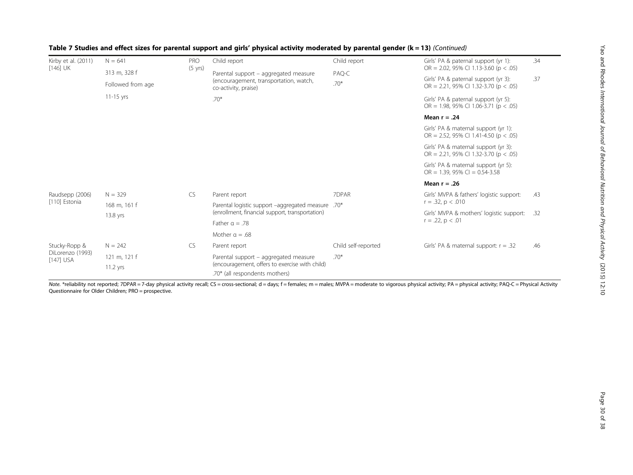| Kirby et al. (2011)<br>$[146]$ UK | $N = 641$                | <b>PRO</b><br>(5 yrs) | Child report                                                                            | Child report        | Girls' PA & paternal support (yr 1):<br>OR = 2.02, 95% CI 1.13-3.60 ( $p < .05$ ) |     |  |
|-----------------------------------|--------------------------|-----------------------|-----------------------------------------------------------------------------------------|---------------------|-----------------------------------------------------------------------------------|-----|--|
|                                   | 313 m, 328 f             |                       | Parental support - aggregated measure                                                   | PAQ-C               |                                                                                   |     |  |
|                                   | Followed from age        |                       | (encouragement, transportation, watch,<br>co-activity, praise)                          | $.70*$              | Girls' PA & paternal support (yr 3):<br>OR = 2.21, 95% CI 1.32-3.70 ( $p < .05$ ) | .37 |  |
|                                   | $11-15$ yrs              |                       | $.70*$                                                                                  |                     | Girls' PA & paternal support (yr 5):<br>OR = 1.98, 95% CI 1.06-3.71 ( $p < .05$ ) |     |  |
|                                   |                          |                       |                                                                                         |                     | Mean $r = .24$                                                                    |     |  |
|                                   |                          |                       |                                                                                         |                     | Girls' PA & maternal support (yr 1):<br>OR = 2.52, 95% CI 1.41-4.50 ( $p < .05$ ) |     |  |
|                                   |                          |                       |                                                                                         |                     | Girls' PA & maternal support (yr 3):<br>OR = 2.21, 95% CI 1.32-3.70 ( $p < .05$ ) |     |  |
|                                   |                          |                       |                                                                                         |                     | Girls' PA & maternal support (yr 5):<br>$OR = 1.39$ , 95% CI = 0.54-3.58          |     |  |
|                                   |                          |                       |                                                                                         |                     | Mean $r = .26$                                                                    |     |  |
| Raudsepp (2006)                   | $N = 329$                | <b>CS</b>             | Parent report                                                                           | 7DPAR               | Girls' MVPA & fathers' logistic support:                                          | .43 |  |
| [110] Estonia                     | 168 m, 161 f             |                       | Parental logistic support -aggregated measure .70*                                      |                     | $r = .32$ , $p < .010$                                                            |     |  |
|                                   | 13.8 yrs                 |                       | (enrollment, financial support, transportation)                                         |                     | Girls' MVPA & mothers' logistic support:                                          | .32 |  |
|                                   |                          |                       | Father $\alpha = .78$                                                                   |                     | $r = .22$ , $p < .01$                                                             |     |  |
|                                   |                          |                       | Mother $\alpha = .68$                                                                   |                     |                                                                                   |     |  |
| Stucky-Ropp &                     | $N = 242$                | CS.                   | Parent report                                                                           | Child self-reported | Girls' PA & maternal support: $r = .32$                                           | .46 |  |
| DiLorenzo (1993)<br>$[147]$ USA   | 121 m, 121 f<br>11.2 yrs |                       | Parental support - aggregated measure<br>(encouragement, offers to exercise with child) | $.70*$              |                                                                                   |     |  |
|                                   |                          |                       | .70* (all respondents mothers)                                                          |                     |                                                                                   |     |  |

|  |  |  | Table 7 Studies and effect sizes for parental support and girls' physical activity moderated by parental gender ( $k = 13$ ) (Continued) |
|--|--|--|------------------------------------------------------------------------------------------------------------------------------------------|
|--|--|--|------------------------------------------------------------------------------------------------------------------------------------------|

Note. \*reliability not reported; 7DPAR = 7-day physical activity recall; CS = cross-sectional; d = days; f = females; m = males; MVPA = moderate to vigorous physical activity; PA = physical activity; PAQ-C = Physical Activ Questionnaire for Older Children; PRO = prospective.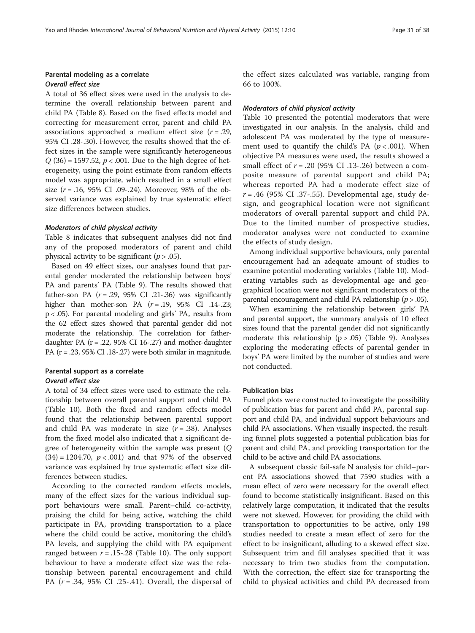#### Parental modeling as a correlate Overall effect size

A total of 36 effect sizes were used in the analysis to determine the overall relationship between parent and child PA (Table [8\)](#page-31-0). Based on the fixed effects model and correcting for measurement error, parent and child PA associations approached a medium effect size  $(r=.29)$ , 95% CI .28-.30). However, the results showed that the effect sizes in the sample were significantly heterogeneous  $Q(36) = 1597.52, p < .001$ . Due to the high degree of heterogeneity, using the point estimate from random effects model was appropriate, which resulted in a small effect size  $(r = .16, 95\% \text{ CI}$  .09-.24). Moreover, 98% of the observed variance was explained by true systematic effect size differences between studies.

#### Moderators of child physical activity

Table [8](#page-31-0) indicates that subsequent analyses did not find any of the proposed moderators of parent and child physical activity to be significant ( $p > .05$ ).

Based on 49 effect sizes, our analyses found that parental gender moderated the relationship between boys' PA and parents' PA (Table [9\)](#page-32-0). The results showed that father-son PA  $(r=.29, 95\% \text{ CI} .21-.36)$  was significantly higher than mother-son PA  $(r=.19, 95\%$  CI .14-.23; p < .05). For parental modeling and girls' PA, results from the 62 effect sizes showed that parental gender did not moderate the relationship. The correlation for fatherdaughter PA  $(r = .22, 95\% \text{ CI } 16-.27)$  and mother-daughter PA (r = .23, 95% CI .18-.27) were both similar in magnitude.

# Parental support as a correlate Overall effect size

A total of 34 effect sizes were used to estimate the relationship between overall parental support and child PA (Table [10](#page-33-0)). Both the fixed and random effects model found that the relationship between parental support and child PA was moderate in size  $(r=.38)$ . Analyses from the fixed model also indicated that a significant degree of heterogeneity within the sample was present (Q  $(34) = 1204.70, p < .001$  and that 97% of the observed variance was explained by true systematic effect size differences between studies.

According to the corrected random effects models, many of the effect sizes for the various individual support behaviours were small. Parent–child co-activity, praising the child for being active, watching the child participate in PA, providing transportation to a place where the child could be active, monitoring the child's PA levels, and supplying the child with PA equipment ranged between  $r = .15-.28$  (Table [10](#page-33-0)). The only support behaviour to have a moderate effect size was the relationship between parental encouragement and child PA  $(r=.34, 95\% \text{ CI } .25-.41)$ . Overall, the dispersal of the effect sizes calculated was variable, ranging from 66 to 100%.

#### Moderators of child physical activity

Table [10](#page-33-0) presented the potential moderators that were investigated in our analysis. In the analysis, child and adolescent PA was moderated by the type of measurement used to quantify the child's PA  $(p < .001)$ . When objective PA measures were used, the results showed a small effect of  $r = .20$  (95% CI .13-.26) between a composite measure of parental support and child PA; whereas reported PA had a moderate effect size of  $r = .46$  (95% CI .37-.55). Developmental age, study design, and geographical location were not significant moderators of overall parental support and child PA. Due to the limited number of prospective studies, moderator analyses were not conducted to examine the effects of study design.

Among individual supportive behaviours, only parental encouragement had an adequate amount of studies to examine potential moderating variables (Table [10](#page-33-0)). Moderating variables such as developmental age and geographical location were not significant moderators of the parental encouragement and child PA relationship ( $p > .05$ ).

When examining the relationship between girls' PA and parental support, the summary analysis of 10 effect sizes found that the parental gender did not significantly moderate this relationship  $(p > .05)$  (Table [9\)](#page-32-0). Analyses exploring the moderating effects of parental gender in boys' PA were limited by the number of studies and were not conducted.

#### Publication bias

Funnel plots were constructed to investigate the possibility of publication bias for parent and child PA, parental support and child PA, and individual support behaviours and child PA associations. When visually inspected, the resulting funnel plots suggested a potential publication bias for parent and child PA, and providing transportation for the child to be active and child PA associations.

A subsequent classic fail-safe N analysis for child–parent PA associations showed that 7590 studies with a mean effect of zero were necessary for the overall effect found to become statistically insignificant. Based on this relatively large computation, it indicated that the results were not skewed. However, for providing the child with transportation to opportunities to be active, only 198 studies needed to create a mean effect of zero for the effect to be insignificant, alluding to a skewed effect size. Subsequent trim and fill analyses specified that it was necessary to trim two studies from the computation. With the correction, the effect size for transporting the child to physical activities and child PA decreased from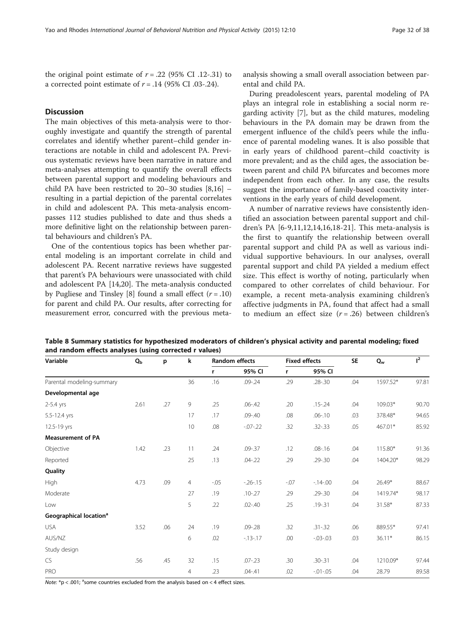<span id="page-31-0"></span>the original point estimate of  $r = .22$  (95% CI .12-.31) to a corrected point estimate of  $r = .14$  (95% CI .03-.24).

#### **Discussion**

The main objectives of this meta-analysis were to thoroughly investigate and quantify the strength of parental correlates and identify whether parent–child gender interactions are notable in child and adolescent PA. Previous systematic reviews have been narrative in nature and meta-analyses attempting to quantify the overall effects between parental support and modeling behaviours and child PA have been restricted to 20–30 studies [[8,16\]](#page-34-0) – resulting in a partial depiction of the parental correlates in child and adolescent PA. This meta-analysis encompasses 112 studies published to date and thus sheds a more definitive light on the relationship between parental behaviours and children's PA.

One of the contentious topics has been whether parental modeling is an important correlate in child and adolescent PA. Recent narrative reviews have suggested that parent's PA behaviours were unassociated with child and adolescent PA [[14](#page-34-0),[20](#page-34-0)]. The meta-analysis conducted by Pugliese and Tinsley [\[8](#page-34-0)] found a small effect  $(r = .10)$ for parent and child PA. Our results, after correcting for measurement error, concurred with the previous meta-

analysis showing a small overall association between parental and child PA.

During preadolescent years, parental modeling of PA plays an integral role in establishing a social norm regarding activity [[7\]](#page-34-0), but as the child matures, modeling behaviours in the PA domain may be drawn from the emergent influence of the child's peers while the influence of parental modeling wanes. It is also possible that in early years of childhood parent–child coactivity is more prevalent; and as the child ages, the association between parent and child PA bifurcates and becomes more independent from each other. In any case, the results suggest the importance of family-based coactivity interventions in the early years of child development.

A number of narrative reviews have consistently identified an association between parental support and children's PA [[6-9,11,12,14](#page-34-0),[16,18-21\]](#page-34-0). This meta-analysis is the first to quantify the relationship between overall parental support and child PA as well as various individual supportive behaviours. In our analyses, overall parental support and child PA yielded a medium effect size. This effect is worthy of noting, particularly when compared to other correlates of child behaviour. For example, a recent meta-analysis examining children's affective judgments in PA, found that affect had a small to medium an effect size  $(r=.26)$  between children's

| Variable                           | $\mathbf{Q}_{\mathbf{b}}$ | p   | k              | Random effects |             | <b>Fixed effects</b> |                | <b>SE</b> | $\mathbf{Q}_\mathbf{w}$ | $I^2$ |
|------------------------------------|---------------------------|-----|----------------|----------------|-------------|----------------------|----------------|-----------|-------------------------|-------|
|                                    |                           |     |                | r              | 95% CI      | $\mathbf{r}$         | 95% CI         |           |                         |       |
| Parental modeling-summary          |                           |     | 36             | .16            | $.09 - .24$ | .29                  | $.28 - .30$    | .04       | 1597.52*                | 97.81 |
| Developmental age                  |                           |     |                |                |             |                      |                |           |                         |       |
| 2-5.4 yrs                          | 2.61                      | .27 | 9              | .25            | $.06 - .42$ | .20                  | $.15 - .24$    | .04       | 109.03*                 | 90.70 |
| 5.5-12.4 yrs                       |                           |     | 17             | .17            | $.09 - .40$ | .08                  | $.06 - 10$     | .03       | 378.48*                 | 94.65 |
| 12.5-19 yrs                        |                           |     | 10             | .08            | $-07 - 22$  | .32                  | $.32 - .33$    | .05       | 467.01*                 | 85.92 |
| <b>Measurement of PA</b>           |                           |     |                |                |             |                      |                |           |                         |       |
| Objective                          | 1.42                      | .23 | 11             | .24            | .09-.37     | .12                  | $.08 - 16$     | .04       | 115.80*                 | 91.36 |
| Reported                           |                           |     | 25             | .13            | $.04 - .22$ | .29                  | $.29 - .30$    | .04       | 1404.20*                | 98.29 |
| Quality                            |                           |     |                |                |             |                      |                |           |                         |       |
| High                               | 4.73                      | .09 | 4              | $-0.05$        | $-26 - 15$  | $-0.07$              | $-14-00$       | .04       | $26.49*$                | 88.67 |
| Moderate                           |                           |     | 27             | .19            | $.10 - .27$ | .29                  | .29-.30        | .04       | 1419.74*                | 98.17 |
| Low                                |                           |     | 5              | .22            | $.02 - .40$ | .25                  | .19-.31        | .04       | $31.58*$                | 87.33 |
| Geographical location <sup>a</sup> |                           |     |                |                |             |                      |                |           |                         |       |
| <b>USA</b>                         | 3.52                      | .06 | 24             | .19            | .09-.28     | .32                  | $.31 - .32$    | .06       | 889.55*                 | 97.41 |
| AUS/NZ                             |                           |     | 6              | .02            | $-13 - 17$  | .00                  | $-0.03 - 0.03$ | .03       | $36.11*$                | 86.15 |
| Study design                       |                           |     |                |                |             |                      |                |           |                         |       |
| CS.                                | .56                       | .45 | 32             | .15            | $.07 - .23$ | .30                  | $.30 - .31$    | .04       | 1210.09*                | 97.44 |
| PRO                                |                           |     | $\overline{4}$ | .23            | $.04 - .41$ | .02                  | $-0.01 - 0.05$ | .04       | 28.79                   | 89.58 |

Table 8 Summary statistics for hypothesized moderators of children's physical activity and parental modeling; fixed and random effects analyses (using corrected r values)

Note:  $*p < .001$ ; <sup>a</sup>some countries excluded from the analysis based on < 4 effect sizes.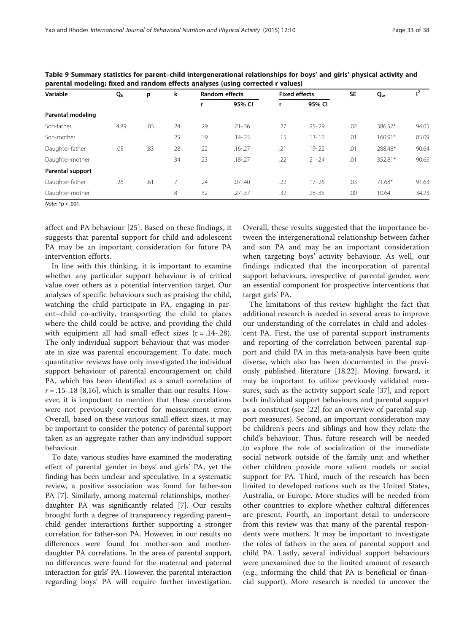| Variable                 | $Q_{\rm b}$ | p   | k  | <b>Random effects</b> |             | <b>Fixed effects</b> |             | <b>SE</b> | $Q_w$     | 1 <sup>2</sup> |
|--------------------------|-------------|-----|----|-----------------------|-------------|----------------------|-------------|-----------|-----------|----------------|
|                          |             |     |    | r                     | 95% CI      | r                    | 95% CI      |           |           |                |
| <b>Parental modeling</b> |             |     |    |                       |             |                      |             |           |           |                |
| Son-father               | 4.89        | .03 | 24 | .29                   | $.21 - .36$ | .27                  | $.25 - .29$ | .02       | 386.57*   | 94.05          |
| Son-mother               |             |     | 25 | .19                   | $.14 - .23$ | .15                  | $.13 - .16$ | .01       | $160.91*$ | 85.09          |
| Daughter-father          | .05         | .83 | 28 | .22                   | $.16 - .27$ | .21                  | $.19 - .22$ | .01       | 288.48*   | 90.64          |
| Daughter-mother          |             |     | 34 | .23                   | $.18 - .27$ | .22                  | $.21 - .24$ | .01       | 352.81*   | 90.65          |
| Parental support         |             |     |    |                       |             |                      |             |           |           |                |
| Daughter-father          | .26         | .61 |    | .24                   | $.07 - .40$ | .22                  | $.17 - .26$ | .03       | 71.68*    | 91.63          |
| Daughter-mother          |             |     | 8  | .32                   | $.27 - .37$ | .32                  | $.28 - .35$ | .00       | 10.64     | 34.23          |

<span id="page-32-0"></span>Table 9 Summary statistics for parent–child intergenerational relationships for boys' and girls' physical activity and parental modeling; fixed and random effects analyses (using corrected r values)

Note: \*p < .001.

affect and PA behaviour [[25\]](#page-34-0). Based on these findings, it suggests that parental support for child and adolescent PA may be an important consideration for future PA intervention efforts.

In line with this thinking, it is important to examine whether any particular support behaviour is of critical value over others as a potential intervention target. Our analyses of specific behaviours such as praising the child, watching the child participate in PA, engaging in parent–child co-activity, transporting the child to places where the child could be active, and providing the child with equipment all had small effect sizes  $(r = .14-.28)$ . The only individual support behaviour that was moderate in size was parental encouragement. To date, much quantitative reviews have only investigated the individual support behaviour of parental encouragement on child PA, which has been identified as a small correlation of  $r = .15-.18$  $r = .15-.18$  [8,[16](#page-34-0)], which is smaller than our results. However, it is important to mention that these correlations were not previously corrected for measurement error. Overall, based on these various small effect sizes, it may be important to consider the potency of parental support taken as an aggregate rather than any individual support behaviour.

To date, various studies have examined the moderating effect of parental gender in boys' and girls' PA, yet the finding has been unclear and speculative. In a systematic review, a positive association was found for father-son PA [[7](#page-34-0)]. Similarly, among maternal relationships, motherdaughter PA was significantly related [\[7](#page-34-0)]. Our results brought forth a degree of transparency regarding parent– child gender interactions further supporting a stronger correlation for father-son PA. However, in our results no differences were found for mother-son and motherdaughter PA correlations. In the area of parental support, no differences were found for the maternal and paternal interaction for girls' PA. However, the parental interaction regarding boys' PA will require further investigation.

Overall, these results suggested that the importance between the intergenerational relationship between father and son PA and may be an important consideration when targeting boys' activity behaviour. As well, our findings indicated that the incorporation of parental support behaviours, irrespective of parental gender, were an essential component for prospective interventions that target girls' PA.

The limitations of this review highlight the fact that additional research is needed in several areas to improve our understanding of the correlates in child and adolescent PA. First, the use of parental support instruments and reporting of the correlation between parental support and child PA in this meta-analysis have been quite diverse, which also has been documented in the previously published literature [\[18,22\]](#page-34-0). Moving forward, it may be important to utilize previously validated measures, such as the activity support scale [\[37\]](#page-34-0), and report both individual support behaviours and parental support as a construct (see [\[22](#page-34-0)] for an overview of parental support measures). Second, an important consideration may be children's peers and siblings and how they relate the child's behaviour. Thus, future research will be needed to explore the role of socialization of the immediate social network outside of the family unit and whether other children provide more salient models or social support for PA. Third, much of the research has been limited to developed nations such as the United States, Australia, or Europe. More studies will be needed from other countries to explore whether cultural differences are present. Fourth, an important detail to underscore from this review was that many of the parental respondents were mothers. It may be important to investigate the roles of fathers in the area of parental support and child PA. Lastly, several individual support behaviours were unexamined due to the limited amount of research (e.g., informing the child that PA is beneficial or financial support). More research is needed to uncover the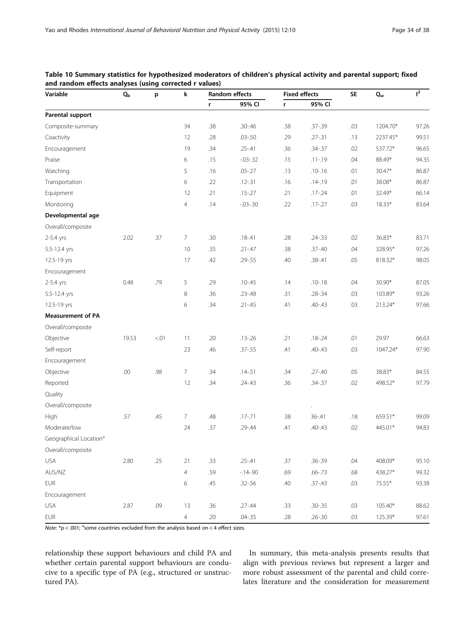| Variable                           | $\mathbf{Q}_{\mathbf{b}}$ | p    | k              | Random effects |             | <b>Fixed effects</b> |             | <b>SE</b> | $Q_w$    | $I^2$ |
|------------------------------------|---------------------------|------|----------------|----------------|-------------|----------------------|-------------|-----------|----------|-------|
|                                    |                           |      |                | r              | 95% CI      | r                    | 95% CI      |           |          |       |
| Parental support                   |                           |      |                |                |             |                      |             |           |          |       |
| Composite-summary                  |                           |      | 34             | .38            | $.30 - .46$ | .38                  | .37-.39     | .03       | 1204.70* | 97.26 |
| Coactivity                         |                           |      | 12             | .28            | $.03 - .50$ | .29                  | $.27 - .31$ | .13       | 2237.45* | 99.51 |
| Encouragement                      |                           |      | 19             | .34            | $.25 - .41$ | .36                  | $.34 - .37$ | .02       | 537.72*  | 96.65 |
| Praise                             |                           |      | 6              | .15            | $-03 - 32$  | .15                  | $.11 - .19$ | .04       | 88.49*   | 94.35 |
| Watching                           |                           |      | 5              | .16            | $.05 - .27$ | .13                  | $.10 - .16$ | .01       | 30.47*   | 86.87 |
| Transportation                     |                           |      | 6              | .22            | $.12 - .31$ | .16                  | $.14 - .19$ | .01       | 38.08*   | 86.87 |
| Equipment                          |                           |      | 12             | .21            | $.15 - .27$ | .21                  | $.17 - .24$ | .01       | 32.49*   | 66.14 |
| Monitoring                         |                           |      | $\overline{4}$ | .14            | $-03 - 30$  | .22                  | $.17 - .27$ | .03       | $18.33*$ | 83.64 |
| Developmental age                  |                           |      |                |                |             |                      |             |           |          |       |
| Overall/composite                  |                           |      |                |                |             |                      |             |           |          |       |
| 2-5.4 yrs                          | 2.02                      | .37  | 7              | .30            | $.18 - .41$ | .28                  | $.24 - .33$ | .02       | 36.83*   | 83.71 |
| 5.5-12.4 yrs                       |                           |      | 10             | .35            | $.21 - .47$ | .38                  | $.37 - .40$ | .04       | 328.95*  | 97.26 |
| 12.5-19 yrs                        |                           |      | 17             | .42            | $.29 - .55$ | .40                  | $.38 - .41$ | .05       | 818.32*  | 98.05 |
| Encouragement                      |                           |      |                |                |             |                      |             |           |          |       |
| 2-5.4 yrs                          | 0.48                      | .79  | 5              | .29            | $.10 - .45$ | .14                  | $.10 - .18$ | .04       | 30.90*   | 87.05 |
| 5.5-12.4 yrs                       |                           |      | 8              | .36            | $.23 - .48$ | .31                  | $.28 - .34$ | .03       | 103.89*  | 93.26 |
| 12.5-19 yrs                        |                           |      | 6              | .34            | $.21 - .45$ | .41                  | $.40 - .43$ | .03       | 213.24*  | 97.66 |
| <b>Measurement of PA</b>           |                           |      |                |                |             |                      |             |           |          |       |
| Overall/composite                  |                           |      |                |                |             |                      |             |           |          |       |
| Objective                          | 19.53                     | < 01 | 11             | .20            | $.13 - .26$ | .21                  | $.18 - .24$ | .01       | 29.97    | 66.63 |
| Self-report                        |                           |      | 23             | .46            | $.37 - .55$ | .41                  | .40-.43     | .03       | 1047.24* | 97.90 |
| Encouragement                      |                           |      |                |                |             |                      |             |           |          |       |
| Objective                          | .00                       | .98  | 7              | .34            | $.14 - .51$ | .34                  | $.27 - .40$ | .05       | 38.83*   | 84.55 |
| Reported                           |                           |      | 12             | .34            | $.24 - .43$ | .36                  | $.34 - .37$ | .02       | 498.52*  | 97.79 |
| Quality                            |                           |      |                |                |             |                      |             |           |          |       |
| Overall/composite                  |                           |      |                |                |             |                      |             |           |          |       |
| High                               | .57                       | .45  | 7              | .48            | $.17 - .71$ | .38                  | $36 - .41$  | .18       | 659.51*  | 99.09 |
| Moderate/low                       |                           |      | 24             | .37            | .29-.44     | .41                  | $.40 - .43$ | .02       | 445.01*  | 94.83 |
| Geographical Location <sup>a</sup> |                           |      |                |                |             |                      |             |           |          |       |
| Overall/composite                  |                           |      |                |                |             |                      |             |           |          |       |
| <b>USA</b>                         | 2.80                      | .25  | 21             | .33            | $.25 - .41$ | .37                  | $.36 - .39$ | .04       | 408.09*  | 95.10 |
| AUS/NZ                             |                           |      | $\overline{4}$ | .59            | $-14-90$    | .69                  | $.66 - .73$ | .68       | 438.27*  | 99.32 |
| <b>EUR</b>                         |                           |      | 6              | .45            | $.32 - .56$ | .40                  | $.37 - .43$ | .03       | 75.55*   | 93.38 |
| Encouragement                      |                           |      |                |                |             |                      |             |           |          |       |
| <b>USA</b>                         | 2.87                      | .09  | 13             | .36            | $.27 - .44$ | .33                  | $.30 - .35$ | .03       | 105.40*  | 88.62 |
| EUR                                |                           |      | $\overline{4}$ | .20            | $.04 - .35$ | .28                  | $.26 - .30$ | $.03$     | 125.39*  | 97.61 |

<span id="page-33-0"></span>Table 10 Summary statistics for hypothesized moderators of children's physical activity and parental support; fixed and random effects analyses (using corrected r values)

Note:  $*p < .001$ ; <sup>a</sup>some countries excluded from the analysis based on < 4 effect sizes.

relationship these support behaviours and child PA and whether certain parental support behaviours are conducive to a specific type of PA (e.g., structured or unstructured PA).

In summary, this meta-analysis presents results that align with previous reviews but represent a larger and more robust assessment of the parental and child correlates literature and the consideration for measurement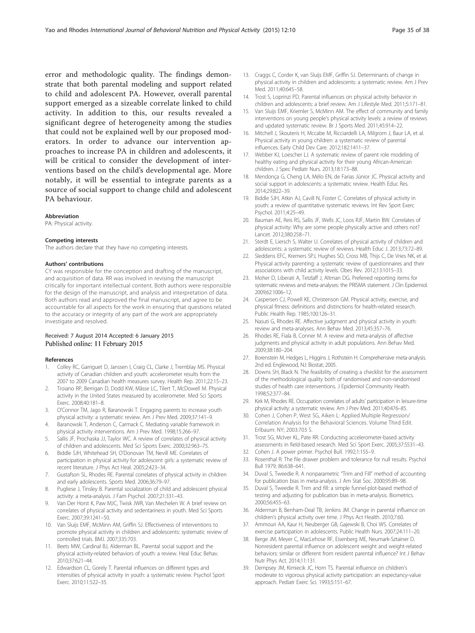<span id="page-34-0"></span>error and methodologic quality. The findings demonstrate that both parental modeling and support related to child and adolescent PA. However, overall parental support emerged as a sizeable correlate linked to child activity. In addition to this, our results revealed a significant degree of heterogeneity among the studies that could not be explained well by our proposed moderators. In order to advance our intervention approaches to increase PA in children and adolescents, it will be critical to consider the development of interventions based on the child's developmental age. More notably, it will be essential to integrate parents as a source of social support to change child and adolescent PA behaviour.

#### Abbreviation

PA: Physical activity.

#### Competing interests

The authors declare that they have no competing interests.

#### Authors' contributions

CY was responsible for the conception and drafting of the manuscript, and acquisition of data. RR was involved in revising the manuscript critically for important intellectual content. Both authors were responsible for the design of the manuscript, and analysis and interpretation of data. Both authors read and approved the final manuscript, and agree to be accountable for all aspects for the work in ensuring that questions related to the accuracy or integrity of any part of the work are appropriately investigate and resolved.

#### Received: 7 August 2014 Accepted: 6 January 2015 Published online: 11 February 2015

#### References

- 1. Colley RC, Garriguet D, Janssen I, Craig CL, Clarke J, Tremblay MS. Physical activity of Canadian children and youth: accelerometer results from the 2007 to 2009 Canadian health measures survey. Health Rep. 2011;22:15–23.
- 2. Troiano RP, Berrigan D, Dodd KW, Mâsse LC, Tilert T, McDowell M. Physical activity in the United States measured by accelerometer. Med Sci Sports Exerc. 2008;40:181–8.
- 3. O'Connor TM, Jago R, Baranowski T. Engaging parents to increase youth physical activity: a systematic review. Am J Prev Med. 2009;37:141–9.
- 4. Baranowski T, Anderson C, Carmack C. Mediating variable framework in physical activity interventions. Am J Prev Med. 1998;15:266–97.
- 5. Sallis JF, Prochaska JJ, Taylor WC. A review of correlates of physical activity of children and adolescents. Med Sci Sports Exerc. 2000;32:963–75.
- 6. Biddle SJH, Whitehead SH, O'Donovan TM, Nevill ME. Correlates of participation in physical activity for adolescent girls: a systematic review of recent literature. J Phys Act Heal. 2005;2:423–34.
- 7. Gustafson SL, Rhodes RE. Parental correlates of physical activity in children and early adolescents. Sports Med. 2006;36:79–97.
- 8. Pugliese J, Tinsley B. Parental socialization of child and adolescent physical activity: a meta-analysis. J Fam Psychol. 2007;21:331–43.
- 9. Van Der Horst K, Paw MJC, Twisk JWR, Van Mechelen W. A brief review on correlates of physical activity and sedentariness in youth. Med Sci Sports Exerc. 2007;39:1241–50.
- 10. Van Sluijs EMF, McMinn AM, Griffin SJ. Effectiveness of interventions to promote physical activity in children and adolescents: systematic review of controlled trials. BMJ. 2007;335:703.
- 11. Beets MW, Cardinal BJ, Alderman BL. Parental social support and the physical activity-related behaviors of youth: a review. Heal Educ Behav. 2010;37:621–44.
- 12. Edwardson CL, Gorely T. Parental influences on different types and intensities of physical activity in youth: a systematic review. Psychol Sport Exerc. 2010;11:522–35.
- 13. Craggs C, Corder K, van Sluijs EMF, Griffin SJ. Determinants of change in physical activity in children and adolescents: a systematic review. Am J Prev Med. 2011;40:645–58.
- 14. Trost S, Loprinzi PD. Parental influences on physical activity behavior in children and adolescents: a brief review. Am J Lifestyle Med. 2011;5:171–81.
- 15. Van Sluijs EMF, Kriemler S, McMinn AM. The effect of community and family interventions on young people's physical activity levels: a review of reviews and updated systematic review. Br J Sports Med. 2011;45:914–22.
- 16. Mitchell J, Skouteris H, Mccabe M, Ricciardelli LA, Milgrom J, Baur LA, et al. Physical activity in young children: a systematic review of parental influences. Early Child Dev Care. 2012;182:1411–37.
- 17. Webber KJ, Loescher LJ, A systematic review of parent role modeling of healthy eating and physical activity for their young African-American children. J Spec Pediatr Nurs. 2013;18:173–88.
- 18. Mendonça G, Cheng LA, Mélo EN, de Farias Júnior JC. Physical activity and social support in adolescents: a systematic review. Health Educ Res. 2014;29:822–39.
- 19. Biddle SJH, Atkin AJ, Cavill N, Foster C. Correlates of physical activity in youth: a review of quantitative systematic reviews. Int Rev Sport Exerc Psychol. 2011;4:25–49.
- 20. Bauman AE, Reis RS, Sallis JF, Wells JC, Loos RJF, Martin BW. Correlates of physical activity: Why are some people physically active and others not? Lancet. 2012;380:258–71.
- 21. Sterdt E, Liersch S, Walter U. Correlates of physical activity of children and adolescents: a systematic review of reviews. Health Educ J. 2013;73:72–89.
- 22. Sleddens EFC, Kremers SPJ, Hughes SO, Cross MB, Thijs C, De Vries NK, et al. Physical activity parenting: a systematic review of questionnaires and their associations with child activity levels. Obes Rev. 2012;13:1015–33.
- 23. Moher D, Liberati A, Tetzlaff J, Altman DG. Preferred reporting items for systematic reviews and meta-analyses: the PRISMA statement. J Clin Epidemiol. 2009;62:1006–12.
- 24. Caspersen CJ, Powell KE, Christenson GM. Physical activity, exercise, and physical fitness: definitions and distinctions for health-related research. Public Health Rep. 1985;100:126–31.
- 25. Nasuti G, Rhodes RE. Affective judgment and physical activity in youth: review and meta-analyses. Ann Behav Med. 2013;45:357–76.
- 26. Rhodes RE, Fiala B, Conner M. A review and meta-analysis of affective judgments and physical activity in adult populations. Ann Behav Med. 2009;38:180–204.
- 27. Borenstein M, Hedges L, Higgins J, Rothstein H. Comprehensive meta-analysis. 2nd ed. Englewood, NJ: Biostat; 2005.
- 28. Downs SH, Black N. The feasibility of creating a checklist for the assessment of the methodological quality both of randomised and non-randomised studies of health care interventions. J Epidemiol Community Health. 1998;52:377–84.
- 29. Kirk M, Rhodes RE. Occupation correlates of adults' participation in leisure-time physical activity: a systematic review. Am J Prev Med. 2011;40:476–85.
- 30. Cohen J, Cohen P, West SG, Aiken L: Applied Multiple Regression/ Correlation Analysis for the Behavioral Sciences. Volume Third Edit. Erlbaum: NY; 2003:703 S.
- 31. Trost SG, McIver KL, Pate RR. Conducting accelerometer-based activity assessments in field-based research. Med Sci Sport Exerc. 2005;37:S531–43.
- 32. Cohen J. A power primer. Psychol Bull. 1992;1:155–9.
- 33. Rosenthal R: The file drawer problem and tolerance for null results. Psychol Bull 1979; 86:638–641.
- 34. Duval S, Tweedie R. A nonparametric "Trim and Fill" method of accounting for publication bias in meta-analysis. J Am Stat Soc. 2000;95:89–98.
- 35. Duval S, Tweedie R. Trim and fill: a simple funnel-plot-based method of testing and adjusting for publication bias in meta-analysis. Biometrics. 2000;56:455–63.
- 36. Alderman B, Benham-Deal TB, Jenkins JM. Change in parental influence on children's physical activity over time. J Phys Act Health. 2010;7:60.
- 37. Ammouri AA, Kaur H, Neuberger GB, Gajewski B, Choi WS. Correlates of exercise participation in adolescents. Public Health Nurs. 2007;24:111–20.
- 38. Berge JM, Meyer C, MacLehose RF, Eisenberg ME, Neumark-Sztainer D. Nonresident parental influence on adolescent weight and weight-related behaviors: similar or different from resident parental influence? Int J Behav Nutr Phys Act. 2014;11:131.
- 39. Dempsey JM, Kimiecik JC, Horn TS. Parental influence on children's moderate to vigorous physical activity participation: an expectancy-value approach. Pediatr Exerc Sci. 1993;5:151–67.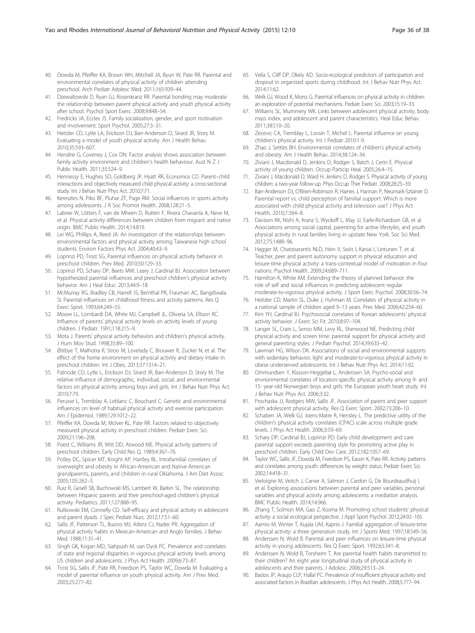- <span id="page-35-0"></span>40. Dowda M, Pfeiffer KA, Brown WH, Mitchell JA, Byun W, Pate RR. Parental and environmental correlates of physical activity of children attending preschool. Arch Pediatr Adolesc Med. 2011;165:939–44.
- 41. Dzewaltowski D, Ryan GJ, Rosenkranz RR. Parental bonding may moderate the relationship between parent physical activity and youth physical activity after school. Psychol Sport Exerc. 2008;9:848–54.
- 42. Fredricks JA, Eccles JS. Family socialization, gender, and sport motivation and involvement. Sport Psychol. 2005;27:3–31.
- 43. Heitzler CD, Lytle LA, Erickson DJ, Barr-Anderson D, Sirard JR, Story M. Evaluating a model of youth physical activity. Am J Health Behav. 2010;35:593–607.
- 44. Hendrie G, Coveney J, Cox DN. Factor analysis shows association between family activity environment and children's health behaviour. Aust N Z J Public Health. 2011;35:524–9.
- 45. Hennessy E, Hughes SO, Goldberg JP, Hyatt RR, Economos CD. Parent–child interactions and objectively measured child physical activity: a cross-sectional study. Int J Behav Nutr Phys Act. 2010;7:71.
- 46. Keresztes N, Piko BF, Pluhar ZF, Page RM. Social influences in sports activity among adolescents. J R Soc Promot Health. 2008;128:21–5.
- 47. Labree W, Lötters F, van de Mheen D, Rutten F, Rivera Chavarría A, Neve M, et al. Physical activity differences between children from migrant and native origin. BMC Public Health. 2014;14:819.
- 48. Lei WG, Phillips A, Reed JA. An investigation of the relationships between environmental factors and physical activity among Taiwanese high school students. Environ Factors Phys Act. 2004;40:43–9.
- 49. Loprinzi PD, Trost SG. Parental influences on physical activity behavior in preschool children. Prev Med. 2010;50:129–33.
- 50. Loprinzi PD, Schary DP, Beets MW, Leary J, Cardinal BJ. Association between hypothesized parental influences and preschool children's physical activity behavior. Am J Heal Educ. 2013;44:9–18.
- 51. McMurray RG, Bradley CB, Harrell JS, Bernthal PR, Frauman AC, Bangdiwala SI. Parental influences on childhood fitness and activity patterns. Res Q Exerc Sport. 1993;64:249–55.
- 52. Moore LL, Lombardi DA, White MJ, Campbell JL, Oliveria SA, Ellison RC. Influence of parents' physical activity levels on activity levels of young children. J Pediatr. 1991;118:215–9.
- 53. Mota J. Parents' physical activity behaviors and children's physical activity. J Hum Mov Stud. 1998;35:89–100.
- 54. Østbye T, Malhotra R, Stroo M, Lovelady C, Brouwer R, Zucker N, et al. The effect of the home environment on physical activity and dietary intake in preschool children. Int J Obes. 2013;37:1314–21.
- 55. Patnode CD, Lytle L, Erickson DJ, Sirard JR, Barr-Anderson D, Story M. The relative influence of demographic, individual, social, and environmental factors on physical activity among boys and girls. Int J Behav Nutr Phys Act. 2010;7:79.
- 56. Perusse L, Tremblay A, Leblanc C, Bouchard C. Genetic and environmental influences on level of habitual physical activity and exercise participation. Am J Epidemiol. 1989;129:1012–22.
- 57. Pfeiffer KA, Dowda M, McIver KL, Pate RR. Factors related to objectively measured physical activity in preschool children. Pediatr Exerc Sci. 2009;21:196–208.
- 58. Poest C, Williams JR, Witt DD, Atwood ME. Physical activity patterns of preschool children. Early Child Res Q. 1989;4:367–76.
- 59. Polley DC, Spicer MT, Knight AP, Hartley BL. Intrafamilial correlates of overweight and obesity in African-American and Native-American grandparents, parents, and children in rural Oklahoma. J Am Diet Assoc. 2005;105:262–5.
- 60. Ruiz R, Gesell SB, Buchowski MS, Lambert W, Barkin SL. The relationship between Hispanic parents and their preschool-aged children's physical activity. Pediatrics. 2011;127:888–95.
- 61. Rutkowski EM, Connelly CD. Self-efficacy and physical activity in adolescent and parent dyads. J Spec Pediatr Nurs. 2012;17:51–60.
- 62. Sallis JF, Patterson TL, Buono MJ, Atkins CJ, Nader PR. Aggregation of physical activity habits in Mexican-American and Anglo families. J Behav Med. 1988;11:31–41.
- 63. Singh GK, Kogan MD, Siahpush M, van Dyck PC. Prevalence and correlates of state and regional disparities in vigorous physical activity levels among US children and adolescents. J Phys Act Health. 2009;6:73–87.
- 64. Trost SG, Sallis JF, Pate RR, Freedson PS, Taylor WC, Dowda M. Evaluating a model of parental influence on youth physical activity. Am J Prev Med. 2003;25:277–82.
- 65. Vella S, Cliff DP, Okely AD. Socio-ecological predictors of participation and dropout in organised sports during childhood. Int J Behav Nutr Phys Act. 2014;11:62.
- 66. Welk GJ, Wood K, Morss G. Parental influences on physical activity in children: an exploration of potential mechanisms. Pediatr Exerc Sci. 2003;15:19–33.
- 67. Williams SL, Mummery WK. Links between adolescent physical activity, body mass index, and adolescent and parent characteristics. Heal Educ Behav. 2011;38:510–20.
- 68. Zecevic CA, Tremblay L, Lovsin T, Michel L: Parental influence on young children's physical activity. Int J Pediatr 2010:1-9.
- Zhao J, Settles BH. Environmental correlates of children's physical activity and obesity. Am J Health Behav. 2014;38:124–34.
- 70. Ziviani J, Macdonald D, Jenkins D, Rodger S, Batch J, Cerin E. Physical activity of young children. Occup Particip Heal. 2005;26:4–15.
- 71. Ziviani J, Macdonald D, Ward H, Jenkins D, Rodger S. Physical activity of young children: a two-year follow-up. Phys Occup Ther Pediatr. 2008;28:25–39.
- 72. Barr-Anderson DJ, O'Brien-Robinson R, Haines J, Hannan P, Neumark-Sztainer D. Parental report vs. child perception of familial support: Which is more associated with child physical activity and television use? J Phys Act Health. 2010;7:364–8.
- 73. Davison KK, Nishi A, Kranz S, Wyckoff L, May JJ, Earle-Richardson GB, et al. Associations among social capital, parenting for active lifestyles, and youth physical activity in rural families living in upstate New York. Soc Sci Med. 2012;75:1488–96.
- 74. Hagger M, Chatzisarantis NLD, Hein V, Soós I, Karsai I, Lintunen T, et al. Teacher, peer and parent autonomy support in physical education and leisure-time physical activity: a trans-contextual model of motivation in four nations. Psychol Health. 2009;24:689–711.
- 75. Hamilton K, White KM. Extending the theory of planned behavior: the role of self and social influences in predicting adolescent regular moderate-to-vigorous physical activity. J Sport Exerc Psychol. 2008;30:56–74.
- 76. Heitzler CD, Martin SL, Duke J, Huhman M. Correlates of physical activity in a national sample of children aged 9–13 years. Prev Med. 2006;42:254–60.
- 77. Kim YH, Cardinal BJ. Psychosocial correlates of Korean adolescents' physical activity behavior. J Exerc Sci Fit. 2010;8:97–104.
- 78. Langer SL, Crain L, Senso MM, Levy RL, Sherwood NE. Predicting child physical activity and screen time: parental support for physical activity and general parenting styles. J Pediatr Psychol. 2014;39:633–42.
- 79. Lawman HG, Wilson DK. Associations of social and environmental supports with sedentary behavior, light and moderate-to-vigorous physical activity in obese underserved adolescents. Int J Behav Nutr Phys Act. 2014;11:92.
- 80. Ommundsen Y, Klasson-Heggebø L, Anderssen SA. Psycho-social and envrionmental correlates of location-specific physical activity among 9- and 15- year-old Norwegian boys and girls: the European youth heart study. Int J Behav Nutr Phys Act. 2006;3:32.
- 81. Prochaska JJ, Rodgers MW, Sallis JF. Association of parent and peer support with adolescent physical activity. Res Q Exerc Sport. 2002;73:206–10.
- 82. Schaben JA, Welk GJ, Joens-Matre R, Hensley L. The predictive utility of the children's physical activity correlates (CPAC) scale across multiple grade levels. J Phys Act Health. 2006;3:59–69.
- 83. Schary DP, Cardinal BJ, Loprinzi PD. Early child development and care parental support exceeds parenting style for promoting active play in preschool children. Early Child Dev Care. 2012;182:1057–69.
- 84. Taylor WC, Sallis JF, Dowda M, Freedson PS, Eason K, Pate RR. Activity patterns and correlates among youth: differences by weight status. Pediatr Exerc Sci. 2002;14:418–31.
- 85. Verloigne M, Veitch J, Carver A, Salmon J, Cardon G, De Bourdeaudhuij I, et al. Exploring associations between parental and peer variables, personal variables and physical activity among adolescents: a mediation analysis. BMC Public Health. 2014;14:966.
- 86. Zhang T, Solmon MA, Gao Z, Kosma M. Promoting school students' physical activity: a social ecological perspective. J Appl Sport Psychol. 2012;24:92–105.
- 87. Aarnio M, Winter T, Kujala UM, Kaprio J. Familial aggregation of leisure-time physical activity: a three generation study. Int J Sports Med. 1997;18:549–56.
- 88. Anderssen N, Wold B. Parental and peer influences on leisure-time physical activity in young adolescents. Res Q Exerc Sport. 1992;63:341–8.
- 89. Anderssen N, Wold B, Torsheim T. Are parental health habits transmitted to their children? An eight year longitudinal study of physical activity in adolescents and their parents. J Adolesc. 2006;29:513–24.
- 90. Bastos JP, Araujo CLP, Hallal PC. Prevalence of insufficient physical activity and associated factors in Brazilian adolescents. J Phys Act Health. 2008;5:777–94.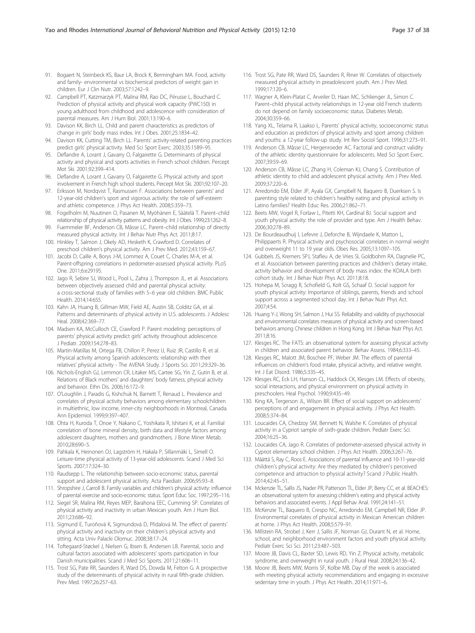- <span id="page-36-0"></span>91. Bogaert N, Steinbeck KS, Baur LA, Brock K, Bermingham MA. Food, activity and family- environmental vs biochemical predictors of weight gain in children. Eur J Clin Nutr. 2003;57:1242–9.
- 92. Campbell PT, Katzmarzyk PT, Malina RM, Rao DC, Pérusse L, Bouchard C. Prediction of physical activity and physical work capacity (PWC150) in young adulthood from childhood and adolescence with consideration of parental measures. Am J Hum Biol. 2001;13:190–6.
- 93. Davison KK, Birch LL. Child and parent characteristics as predictors of change in girls' body mass index. Int J Obes. 2001;25:1834–42.
- 94. Davison KK, Cutting TM, Birch LL. Parents' activity-related parenting practices predict girls' physical activity. Med Sci Sport Exerc. 2003;35:1589–95.
- 95. Deflandre A, Lorant J, Gavarry O, Falgairette G. Determinants of physical activity and physical and sports activities in French school children. Percept Mot Ski. 2001;92:399–414.
- 96. Deflandre A, Lorant J, Gavarry O, Falgairette G. Physical activity and sport involvement in French high school students. Percept Mot Ski. 2001;92:107–20.
- 97. Eriksson M, Nordqvist T, Rasmussen F. Associations between parents' and 12-year-old children's sport and vigorous activity: the role of self-esteem and athletic competence. J Phys Act Health. 2008;5:359–73.
- 98. Fogelholm M, Nuutinen O, Pasanen M, Myöhänen E, Säätelä T. Parent–child relationship of physical activity patterns and obesity. Int J Obes. 1999;23:1262–8.
- 99. Fuemmeler BF, Anderson CB, Mâsse LC. Parent–child relationship of directly measured physical activity. Int J Behav Nutr Phys Act. 2011;8:17.
- 100. Hinkley T, Salmon J, Okely AD, Hesketh K, Crawford D. Correlates of preschool children's physical activity. Am J Prev Med. 2012;43:159–67.
- 101. Jacobi D, Caille A, Borys J-M, Lommez A, Couet C, Charles M-A, et al. Parent-offspring correlations in pedometer-assessed physical activity. PLoS One. 2011;6:e29195.
- 102. Jago R, Sebire SJ, Wood L, Pool L, Zahra J, Thompson JL, et al. Associations between objectively assessed child and parental physical activity: a cross-sectional study of families with 5–6 year old children. BMC Public Health. 2014;14:655.
- 103. Kahn JA, Huang B, Gillman MW, Field AE, Austin SB, Colditz GA, et al. Patterns and determinants of physical activity in U.S. adolescents. J Adolesc Heal. 2008;42:369–77.
- 104. Madsen KA, McCulloch CE, Crawford P. Parent modeling: perceptions of parents' physical activity predict girls' activity throughout adolescence. J Pediatr. 2009;154:278–83.
- 105. Martin-Matillas M, Ortega FB, Chillon P, Perez IJ, Ruiz JR, Castillo R, et al. Physical activity among Spanish adolescents: relationship with their relatives' physical activity - The AVENA Study. J Sports Sci. 2011;29:329–36.
- 106. Nichols-English GJ, Lemmon CR, Litaker MS, Cartee SG, Yin Z, Gutin B, et al. Relations of Black mothers' and daughters' body fatness, physical activity and behavior. Ethn Dis. 2006;16:172–9.
- 107. O'Loughlin J, Paradis G, Kishchuk N, Barnett T, Renaud L. Prevalence and correlates of physical activity behaviors among elementary schoolchildren in multiethnic, low income, inner-city neighborhoods in Montreal, Canada. Ann Epidemiol. 1999;9:397–407.
- 108. Ohta H, Kuroda T, Onoe Y, Nakano C, Yoshikata R, Ishitani K, et al. Familial correlation of bone mineral density, birth data and lifestyle factors among adolescent daughters, mothers and grandmothers. J Bone Miner Metab. 2010;28:690–5.
- 109. Pahkala K, Heinonen OJ, Lagström H, Hakala P, Sillanmäki L, Simell O. Leisure-time physical activity of 13-year-old adolescents. Scand J Med Sci Sports. 2007;17:324–30.
- 110. Raudsepp L. The relationship between socio-economic status, parental support and adolescent physical activity. Acta Paediatr. 2006;95:93–8.
- 111. Shropshire J, Carroll B. Family variables and children's physical activity: influence of parental exercise and socio-economic status. Sport Educ Soc. 1997;2:95–116.
- 112. Siegel SR, Malina RM, Reyes MEP, Barahona EEC, Cumming SP. Correlates of physical activity and inactivity in urban Mexican youth. Am J Hum Biol. 2011;23:686–92.
- 113. Sigmund E, Turoňová K, Sigmundová D, Přidalová M. The effect of parents' physical activity and inactivity on their children's physical activity and sitting. Acta Univ Palacki Olomuc. 2008;38:17–24.
- 114. Toftegaard-Støckel J, Nielsen G, Ibsen B, Andersen LB. Parental, socio and cultural factors associated with adolescents' sports participation in four Danish municipalities. Scand J Med Sci Sports. 2011;21:606–11.
- 115. Trost SG, Pate RR, Saunders R, Ward DS, Dowda M, Felton G. A prospective study of the determinants of physical activity in rural fifth-grade children. Prev Med. 1997;26:257–63.
- 116. Trost SG, Pate RR, Ward DS, Saunders R, Riner W. Correlates of objectively measured physical activity in preadolescent youth. Am J Prev Med. 1999;17:120–6.
- 117. Wagner A, Klein-Platat C, Arveiler D, Haan MC, Schlienger JL, Simon C. Parent–child physical activity relationships in 12-year old French students do not depend on family socioeconomic status. Diabetes Metab. 2004;30:359–66.
- 118. Yang XL, Telama R, Laakso L. Parents' physical activity, socioeconomic status and education as predictors of physical activity and sport among children and youths: a 12-year follow-up study. Int Rev Sociol Sport. 1996;31:273–91.
- 119. Anderson CB, Mâsse LC, Hergenroeder AC. Factorial and construct validity of the athletic identity questionnaire for adolescents. Med Sci Sport Exerc. 2007;39:59–69.
- 120. Anderson CB, Mâsse LC, Zhang H, Coleman KJ, Chang S. Contribution of athletic identity to child and adolescent physical activity. Am J Prev Med. 2009;37:220–6.
- 121. Arredondo EM, Elder JP, Ayala GX, Campbell N, Baquero B, Duerksen S. Is parenting style related to children's healthy eating and physical activity in Latino families? Health Educ Res. 2006;21:862–71.
- 122. Beets MW, Vogel R, Forlaw L, Pitetti KH, Cardinal BJ. Social support and youth physical activity: the role of provider and type. Am J Health Behav. 2006;30:278–89.
- 123. De Bourdeaudhuij I, Lefevre J, Deforche B, Wijndaele K, Matton L, Philippaerts R. Physical activity and psychosocial correlates in normal weight and overweight 11 to 19 year olds. Obes Res. 2005;13:1097–105.
- 124. Gubbels JS, Kremers SPJ, Stafleu A, de Vries SI, Goldbohm RA, Dagnelie PC, et al. Association between parenting practices and children's dietary intake, activity behavior and development of body mass index: the KOALA birth cohort study. Int J Behav Nutr Phys Act. 2011;8:18.
- 125. Hohepa M, Scragg R, Schofield G, Kolt GS, Schaaf D. Social support for youth physical activity: Importance of siblings, parents, friends and school support across a segmented school day. Int J Behav Nutr Phys Act. 2007;4:54.
- 126. Huang Y-J, Wong SH, Salmon J, Hui SS. Reliability and validity of psychosocial and environmental correlates measures of physical activity and screen-based behaviors among Chinese children in Hong Kong. Int J Behav Nutr Phys Act. 2011;8:16.
- 127. Klesges RC. The FATS: an observational system for assessing physical activity in children and associated parent behavior. Behav Assess. 1984;6:333–45.
- 128. Klesges RC, Malott JM, Boschee PF, Weber JM. The effects of parental influences on children's food intake, physical activity, and relative weight. Int J Eat Disord. 1986;5:335–45.
- 129. Klesges RC, Eck LH, Hanson CL, Haddock CK, Klesges LM. Effects of obesity, social interactions, and physical environment on physical activity in preschoolers. Heal Psychol. 1990;9:435–49.
- 130. King KA, Tergerson JL, Wilson BR. Effect of social support on adolescents' perceptions of and engagement in physical activity. J Phys Act Health. 2008;5:374–84.
- 131. Loucaides CA, Chedzoy SM, Bennett N, Walshe K. Correlates of physical activity in a Cypriot sample of sixth-grade children. Pediatr Exerc Sci. 2004;16:25–36.
- 132. Loucaides CA, Jago R. Correlates of pedometer-assessed physical activity in Cypriot elementary school children. J Phys Act Health. 2006;3:267–76.
- 133. Määttä S, Ray C, Roos E. Associations of parental influence and 10-11-year-old children's physical activity: Are they mediated by children's perceived competence and attraction to physical activity? Scand J Public Health. 2014;42:45–51.
- 134. Mckenzie TL, Sallis JS, Nader PR, Patterson TL, Elder JP, Berry CC, et al. BEACHES: an observational system for assessing children's eating and physical activity behaviors and associated events. J Appl Behav Anal. 1991;24:141–51.
- 135. McKenzie TL, Baquero B, Crespo NC, Arredondo EM, Campbell NR, Elder JP. Environmental correlates of physical activity in Mexican American children at home. J Phys Act Health. 2008;5:579–91.
- 136. Millstein RA, Strobel J, Kerr J, Sallis JF, Norman GJ, Durant N, et al. Home, school, and neighborhood environment factors and youth physical activity. Pediatr Exerc Sci Sci. 2011;23:487–503.
- 137. Moore JB, Davis CL, Baxter SD, Lewis RD, Yin Z. Physical activity, metabolic syndrome, and overweight in rural youth. J Rural Heal. 2008;24:136–42.
- 138. Moore JB, Beets MW, Morris SF, Kolbe MB. Day of the week is associated with meeting physical activity recommendations and engaging in excessive sedentary time in youth. J Phys Act Health. 2014;11:971–6.